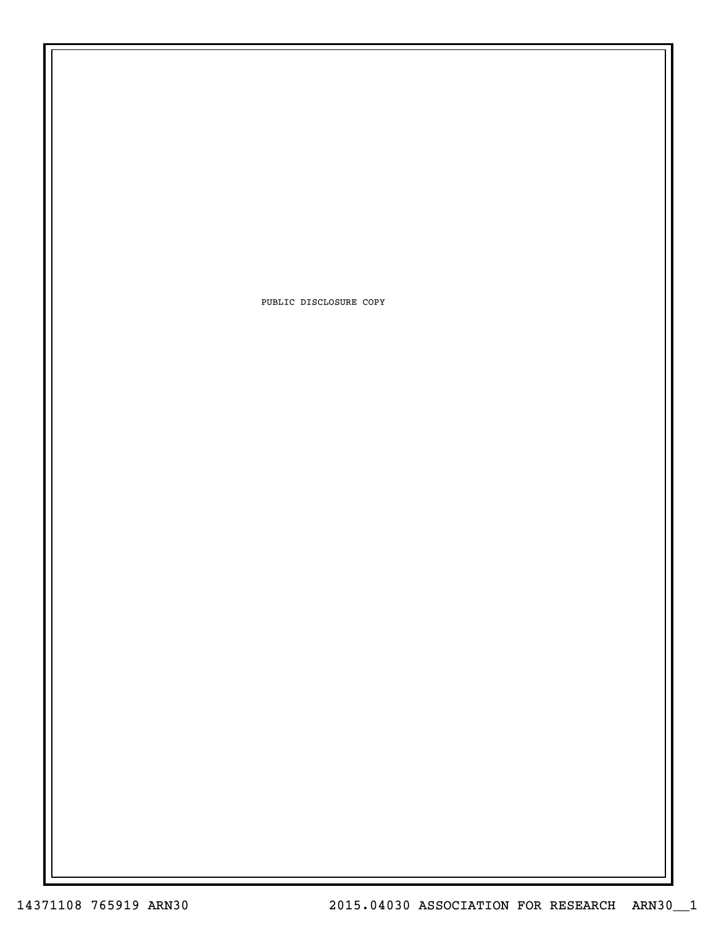PUBLIC DISCLOSURE COPY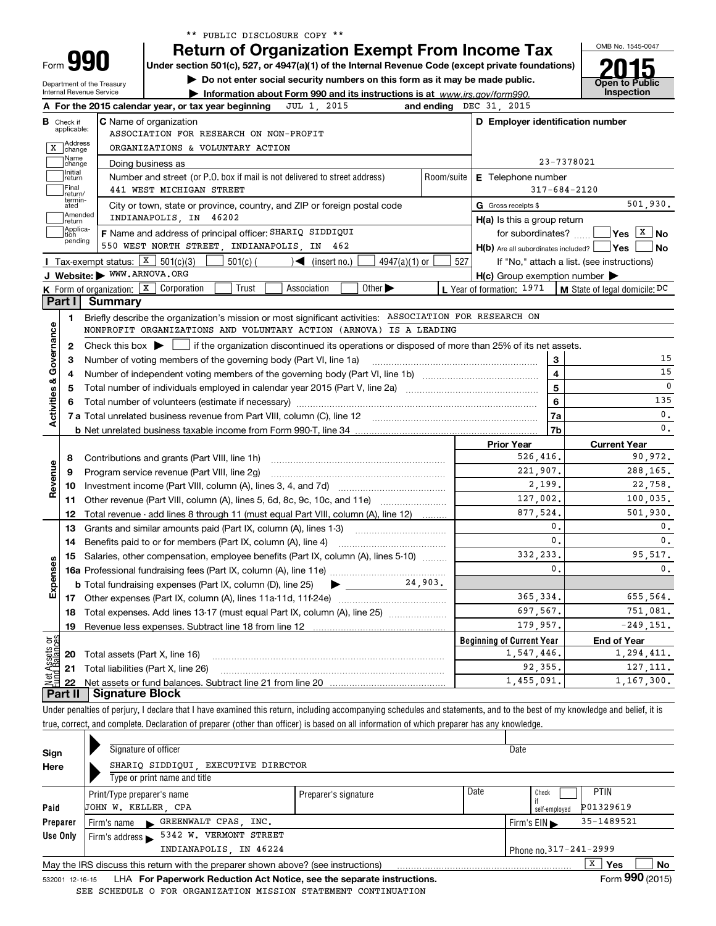| ** PUBLIC DISCLOSURE COPY ** |  |
|------------------------------|--|
|------------------------------|--|

OMB No. 1545-0047

**15**<br>ublic

**Open to Puble**<br>Inspection

**Under section 501(c), 527, or 4947(a)(1) of the Internal Revenue Code (except private foundations)**

Department of the Treasury

**| Do not enter social security numbers on this form as it may be made public. | Information about Form 990 and its instructions is at www.irs.gov/form990.** | Inspection

Internal Revenue Service

**990**

Form

| applicable:            | <b>C</b> Name of organization<br><b>B</b> Check if<br>ASSOCIATION FOR RESEARCH ON NON-PROFIT                                                   |                        | D Employer identification number                            |                                            |
|------------------------|------------------------------------------------------------------------------------------------------------------------------------------------|------------------------|-------------------------------------------------------------|--------------------------------------------|
| Address<br>Change<br>x | ORGANIZATIONS & VOLUNTARY ACTION                                                                                                               |                        |                                                             |                                            |
| Name                   | change<br>Doing business as                                                                                                                    |                        | 23-7378021                                                  |                                            |
| Initial<br>return      | Number and street (or P.O. box if mail is not delivered to street address)                                                                     | Room/suite             | E Telephone number                                          |                                            |
| Final<br>return/       | 441 WEST MICHIGAN STREET                                                                                                                       |                        | $317 - 684 - 2120$                                          |                                            |
| ated                   | termin-<br>City or town, state or province, country, and ZIP or foreign postal code                                                            | G Gross receipts \$    | 501,930.                                                    |                                            |
| return                 | Amended<br>INDIANAPOLIS, IN 46202                                                                                                              |                        | $H(a)$ is this a group return                               |                                            |
| tion                   | Applica-<br>F Name and address of principal officer: SHARIQ SIDDIQUI                                                                           |                        | for subordinates?                                           |                                            |
|                        | pending<br>550 WEST NORTH STREET, INDIANAPOLIS, IN 462                                                                                         |                        | $H(b)$ Are all subordinates included? $\Box$ Yes            | No                                         |
|                        | Tax-exempt status: $X = 501(c)(3)$<br>$501(c)$ (<br>$\sqrt{\bullet}$ (insert no.)                                                              | $4947(a)(1)$ or<br>527 |                                                             | If "No," attach a list. (see instructions) |
|                        | J Website: WWW.ARNOVA.ORG                                                                                                                      |                        | $H(c)$ Group exemption number $\blacktriangleright$         |                                            |
|                        | K Form of organization: X Corporation<br>Other $\blacktriangleright$<br>Trust<br>Association                                                   |                        | L Year of formation: $1971$   M State of legal domicile: DC |                                            |
|                        | Part I<br>Summary                                                                                                                              |                        |                                                             |                                            |
| 1.                     | Briefly describe the organization's mission or most significant activities: ASSOCIATION FOR RESEARCH ON                                        |                        |                                                             |                                            |
|                        | NONPROFIT ORGANIZATIONS AND VOLUNTARY ACTION (ARNOVA) IS A LEADING                                                                             |                        |                                                             |                                            |
| 2                      | if the organization discontinued its operations or disposed of more than 25% of its net assets.<br>Check this box $\blacktriangleright$ $\Box$ |                        |                                                             |                                            |
| З                      | Number of voting members of the governing body (Part VI, line 1a)                                                                              |                        | 3                                                           | 15                                         |
| 4                      |                                                                                                                                                |                        | 4                                                           | 15                                         |
| 5                      |                                                                                                                                                |                        | 5                                                           | $\mathbf 0$                                |
|                        |                                                                                                                                                | 6                      | 135                                                         |                                            |
| 6                      |                                                                                                                                                |                        |                                                             | 0.                                         |
|                        |                                                                                                                                                |                        | 7a<br>7b                                                    | $\mathbf{0}$ .                             |
|                        |                                                                                                                                                |                        | <b>Prior Year</b>                                           | <b>Current Year</b>                        |
|                        | Contributions and grants (Part VIII, line 1h)                                                                                                  |                        | 526,416.                                                    | 90,972.                                    |
| 8<br>9                 | Program service revenue (Part VIII, line 2g)                                                                                                   |                        | 221,907.                                                    | 288,165.                                   |
|                        |                                                                                                                                                |                        | 2,199.                                                      | 22,758.                                    |
| 10<br>11               |                                                                                                                                                |                        | 127,002.                                                    | 100,035.                                   |
|                        | Other revenue (Part VIII, column (A), lines 5, 6d, 8c, 9c, 10c, and 11e)                                                                       |                        | 877,524.                                                    | 501,930.                                   |
| 12                     | Total revenue - add lines 8 through 11 (must equal Part VIII, column (A), line 12)                                                             |                        | 0.                                                          | 0.                                         |
| 13                     | Grants and similar amounts paid (Part IX, column (A), lines 1-3)                                                                               |                        | 0.                                                          |                                            |
| 14                     | Benefits paid to or for members (Part IX, column (A), line 4)                                                                                  |                        |                                                             | 0.                                         |
| 15                     | Salaries, other compensation, employee benefits (Part IX, column (A), lines 5-10)                                                              |                        | 332,233.                                                    | 95,517.                                    |
|                        |                                                                                                                                                |                        | 0.                                                          | 0.                                         |
|                        | <b>b</b> Total fundraising expenses (Part IX, column (D), line 25)                                                                             |                        |                                                             |                                            |
|                        |                                                                                                                                                |                        | 365, 334.                                                   | 655,564.                                   |
| 18                     | Total expenses. Add lines 13-17 (must equal Part IX, column (A), line 25)                                                                      |                        | 697,567.                                                    | 751,081.                                   |
|                        | 19 Revenue less expenses. Subtract line 18 from line 12                                                                                        | 179.957.               | $-249.151.$                                                 |                                            |
|                        |                                                                                                                                                |                        | <b>Beginning of Current Year</b>                            | <b>End of Year</b>                         |
| 20                     | Total assets (Part X, line 16)                                                                                                                 |                        | 1,547,446.                                                  | 1,294,411.                                 |
| 21                     | Total liabilities (Part X, line 26)                                                                                                            |                        | 92,355.                                                     | 127, 111.                                  |
| 22                     |                                                                                                                                                |                        | 1,455,091.                                                  | 1,167,300.                                 |

| Sign     | Signature of officer                                                              |                      |      | Date                       |
|----------|-----------------------------------------------------------------------------------|----------------------|------|----------------------------|
| Here     | SHARIQ SIDDIQUI, EXECUTIVE DIRECTOR                                               |                      |      |                            |
|          | Type or print name and title                                                      |                      |      |                            |
|          | Print/Type preparer's name                                                        | Preparer's signature | Date | <b>PTIN</b><br>Check       |
| Paid     | JOHN W. KELLER, CPA                                                               |                      |      | P01329619<br>self-employed |
| Preparer | Firm's name S GREENWALT CPAS, INC.                                                |                      |      | 35-1489521<br>Firm's $EIN$ |
| Use Only | 5342 W. VERMONT STREET<br>Firm's address $\blacktriangleright$                    |                      |      |                            |
|          | INDIANAPOLIS, IN 46224                                                            |                      |      | Phone no. 317-241-2999     |
|          | May the IRS discuss this return with the preparer shown above? (see instructions) |                      |      | x<br>Yes<br>No             |
|          |                                                                                   |                      |      | ---                        |

532001 12-16-15 **For Paperwork Reduction Act Notice, see the separate instructions.** LHA Form (2015) SEE SCHEDULE O FOR ORGANIZATION MISSION STATEMENT CONTINUATION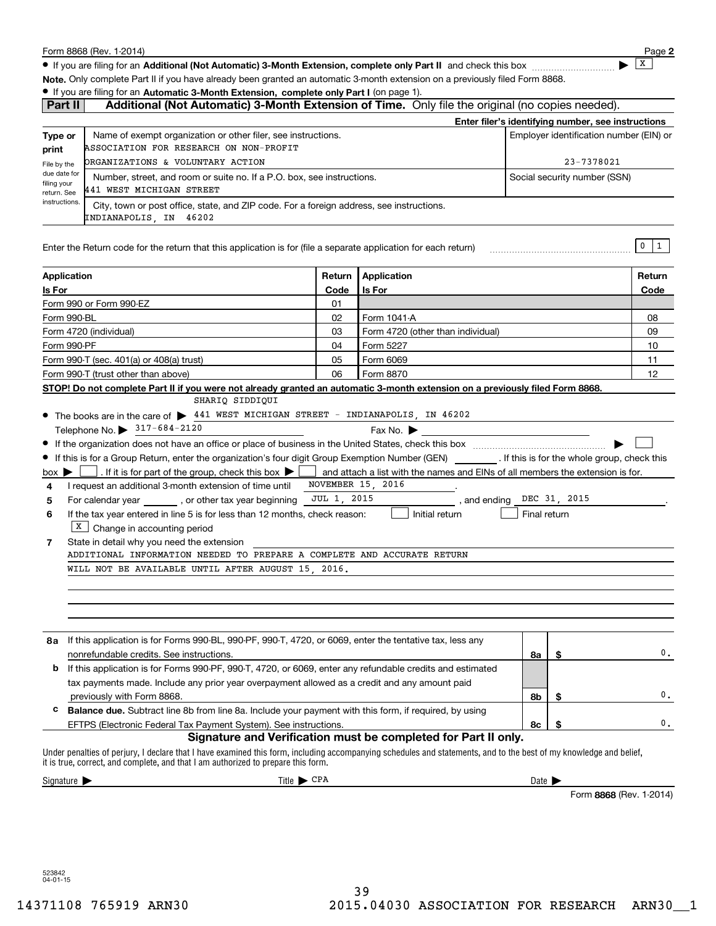Page (Rev. 1-2014) Page<br>● If you are filing for an **Additional (Not Automatic) 3-Month Extension, complete only Part II** and check this box <sub>~</sub>~~~~~~~~~~~~~~~~ ▶ ∑∑

**Note.**  Only complete Part II if you have already been granted an automatic 3-month extension on a previously filed Form 8868.

## ● If you are filing for an Automatic 3-Month Extension, complete only Part I (on page 1).

| Part II                                                     | Additional (Not Automatic) 3-Month Extension of Time. Only file the original (no copies needed).                  |                                                    |
|-------------------------------------------------------------|-------------------------------------------------------------------------------------------------------------------|----------------------------------------------------|
|                                                             |                                                                                                                   | Enter filer's identifying number, see instructions |
| Type or                                                     | Name of exempt organization or other filer, see instructions.                                                     | Employer identification number (EIN) or            |
| print                                                       | ASSOCIATION FOR RESEARCH ON NON-PROFIT                                                                            |                                                    |
| File by the                                                 | ORGANIZATIONS & VOLUNTARY ACTION                                                                                  | 23-7378021                                         |
| due date for<br>filing your<br>return, See<br>instructions. | Number, street, and room or suite no. If a P.O. box, see instructions.<br>441 WEST MICHIGAN STREET                | Social security number (SSN)                       |
|                                                             | City, town or post office, state, and ZIP code. For a foreign address, see instructions.<br>INDIANAPOLIS IN 46202 |                                                    |

Enter the Return code for the return that this application is for (file a separate application for each return)

| <b>Application</b>              |                                                                                                                                                                                                                                                         | Return | Application                                                                    |              | Return               |
|---------------------------------|---------------------------------------------------------------------------------------------------------------------------------------------------------------------------------------------------------------------------------------------------------|--------|--------------------------------------------------------------------------------|--------------|----------------------|
| Is For                          |                                                                                                                                                                                                                                                         | Code   | Is For                                                                         |              | Code                 |
|                                 | Form 990 or Form 990-EZ                                                                                                                                                                                                                                 |        |                                                                                |              |                      |
| Form 990-BL                     |                                                                                                                                                                                                                                                         | 02     | Form 1041-A                                                                    |              | 08                   |
| Form 4720 (individual)          |                                                                                                                                                                                                                                                         | 03     | Form 4720 (other than individual)                                              |              | 09                   |
| Form 990-PF                     |                                                                                                                                                                                                                                                         | 04     | Form 5227                                                                      |              | 10                   |
|                                 | Form 990-T (sec. 401(a) or 408(a) trust)                                                                                                                                                                                                                | 05     | Form 6069                                                                      |              | 11                   |
|                                 | Form 990-T (trust other than above)                                                                                                                                                                                                                     | 06     | Form 8870                                                                      |              | 12                   |
|                                 | STOP! Do not complete Part II if you were not already granted an automatic 3-month extension on a previously filed Form 8868.                                                                                                                           |        |                                                                                |              |                      |
|                                 | SHARIO SIDDIOUI                                                                                                                                                                                                                                         |        |                                                                                |              |                      |
|                                 | • The books are in the care of $\triangleright$ 441 WEST MICHIGAN STREET - INDIANAPOLIS, IN 46202                                                                                                                                                       |        |                                                                                |              |                      |
|                                 | Telephone No. $\triangleright$ 317-684-2120                                                                                                                                                                                                             |        | $\mathsf{Fax\ No.}$                                                            |              |                      |
|                                 |                                                                                                                                                                                                                                                         |        |                                                                                |              |                      |
|                                 | If this is for a Group Return, enter the organization's four digit Group Exemption Number (GEN) _________. If this is for the whole group, check this                                                                                                   |        |                                                                                |              |                      |
| $box \triangleright$            | . If it is for part of the group, check this box $\blacktriangleright$                                                                                                                                                                                  |        | and attach a list with the names and EINs of all members the extension is for. |              |                      |
| 4                               | I request an additional 3-month extension of time until                                                                                                                                                                                                 |        | NOVEMBER 15, 2016                                                              |              |                      |
| 5                               | For calendar year _________, or other tax year beginning                                                                                                                                                                                                |        | JUL 1, 2015<br>___________, and ending DEC 31, 2015                            |              |                      |
| 6                               | If the tax year entered in line 5 is for less than 12 months, check reason:                                                                                                                                                                             |        | Initial return                                                                 | Final return |                      |
|                                 | $X$ Change in accounting period                                                                                                                                                                                                                         |        |                                                                                |              |                      |
| 7                               | State in detail why you need the extension                                                                                                                                                                                                              |        |                                                                                |              |                      |
|                                 | ADDITIONAL INFORMATION NEEDED TO PREPARE A COMPLETE AND ACCURATE RETURN                                                                                                                                                                                 |        |                                                                                |              |                      |
|                                 | WILL NOT BE AVAILABLE UNTIL AFTER AUGUST 15, 2016.                                                                                                                                                                                                      |        |                                                                                |              |                      |
|                                 |                                                                                                                                                                                                                                                         |        |                                                                                |              |                      |
|                                 |                                                                                                                                                                                                                                                         |        |                                                                                |              |                      |
|                                 |                                                                                                                                                                                                                                                         |        |                                                                                |              |                      |
|                                 |                                                                                                                                                                                                                                                         |        |                                                                                |              |                      |
|                                 | 8a If this application is for Forms 990-BL, 990-PF, 990-T, 4720, or 6069, enter the tentative tax, less any                                                                                                                                             |        |                                                                                |              |                      |
|                                 | nonrefundable credits. See instructions.                                                                                                                                                                                                                |        |                                                                                | 8a           | \$<br>$\mathbf{0}$ . |
| b                               | If this application is for Forms 990-PF, 990-T, 4720, or 6069, enter any refundable credits and estimated                                                                                                                                               |        |                                                                                |              |                      |
|                                 | tax payments made. Include any prior year overpayment allowed as a credit and any amount paid                                                                                                                                                           |        |                                                                                |              |                      |
|                                 | previously with Form 8868.                                                                                                                                                                                                                              |        |                                                                                | 8b           | \$<br>$\mathbf{0}$ . |
| с                               | Balance due. Subtract line 8b from line 8a. Include your payment with this form, if required, by using                                                                                                                                                  |        |                                                                                |              |                      |
|                                 | EFTPS (Electronic Federal Tax Payment System). See instructions.                                                                                                                                                                                        |        |                                                                                | 8с           | \$<br>$\mathbf{0}$ . |
|                                 |                                                                                                                                                                                                                                                         |        | Signature and Verification must be completed for Part II only.                 |              |                      |
|                                 | Under penalties of perjury, I declare that I have examined this form, including accompanying schedules and statements, and to the best of my knowledge and belief,<br>it is true, correct, and complete, and that I am authorized to prepare this form. |        |                                                                                |              |                      |
| Signature $\blacktriangleright$ | Title $\blacktriangleright$ CPA                                                                                                                                                                                                                         |        |                                                                                | Date         |                      |

**8868** Form (Rev. 1-2014)

**2**

 $\boxed{\mathbf{X}}$ 

0 1

523842 04-01-15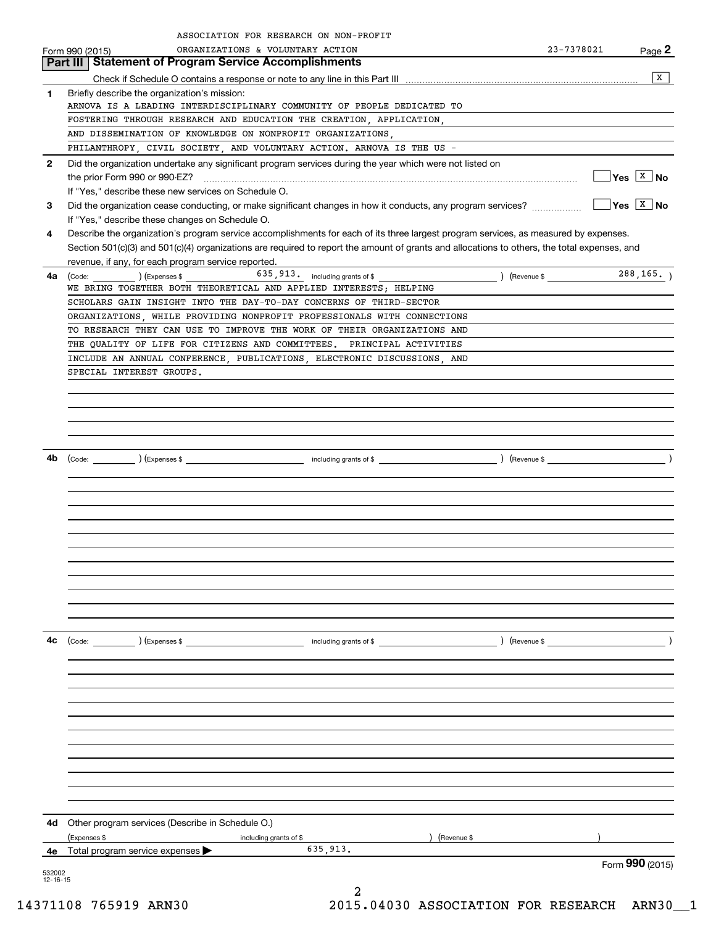|                | ASSOCIATION FOR RESEARCH ON NON-PROFIT                                                                                                       |                                  |            |                              |
|----------------|----------------------------------------------------------------------------------------------------------------------------------------------|----------------------------------|------------|------------------------------|
|                | ORGANIZATIONS & VOLUNTARY ACTION<br>Form 990 (2015)                                                                                          |                                  | 23-7378021 | Page 2                       |
|                | <b>Part III   Statement of Program Service Accomplishments</b>                                                                               |                                  |            |                              |
|                |                                                                                                                                              |                                  |            | X                            |
| 1              | Briefly describe the organization's mission:                                                                                                 |                                  |            |                              |
|                | ARNOVA IS A LEADING INTERDISCIPLINARY COMMUNITY OF PEOPLE DEDICATED TO                                                                       |                                  |            |                              |
|                | FOSTERING THROUGH RESEARCH AND EDUCATION THE CREATION, APPLICATION,                                                                          |                                  |            |                              |
|                | AND DISSEMINATION OF KNOWLEDGE ON NONPROFIT ORGANIZATIONS,<br>PHILANTHROPY, CIVIL SOCIETY, AND VOLUNTARY ACTION. ARNOVA IS THE US -          |                                  |            |                              |
| $\overline{2}$ |                                                                                                                                              |                                  |            |                              |
|                | Did the organization undertake any significant program services during the year which were not listed on                                     |                                  |            | $\sqrt{ }$ Yes $\sqrt{ }$ No |
|                | If "Yes," describe these new services on Schedule O.                                                                                         |                                  |            |                              |
| 3              | Did the organization cease conducting, or make significant changes in how it conducts, any program services?                                 |                                  |            | $\sqrt{}$ Yes $\sqrt{X}$ No  |
|                | If "Yes," describe these changes on Schedule O.                                                                                              |                                  |            |                              |
| 4              | Describe the organization's program service accomplishments for each of its three largest program services, as measured by expenses.         |                                  |            |                              |
|                | Section 501(c)(3) and 501(c)(4) organizations are required to report the amount of grants and allocations to others, the total expenses, and |                                  |            |                              |
|                | revenue, if any, for each program service reported.                                                                                          |                                  |            |                              |
| 4a             | $\begin{pmatrix} \text{Code:} \\ \text{Code:} \end{pmatrix}$ $\begin{pmatrix} \text{Expenses } \$ \end{pmatrix}$                             | 635, 913. including grants of \$ |            | (Revenue \$ 288, 165.)       |
|                | WE BRING TOGETHER BOTH THEORETICAL AND APPLIED INTERESTS; HELPING                                                                            |                                  |            |                              |
|                | SCHOLARS GAIN INSIGHT INTO THE DAY-TO-DAY CONCERNS OF THIRD-SECTOR                                                                           |                                  |            |                              |
|                | ORGANIZATIONS, WHILE PROVIDING NONPROFIT PROFESSIONALS WITH CONNECTIONS                                                                      |                                  |            |                              |
|                | TO RESEARCH THEY CAN USE TO IMPROVE THE WORK OF THEIR ORGANIZATIONS AND                                                                      |                                  |            |                              |
|                | THE OUALITY OF LIFE FOR CITIZENS AND COMMITTEES. PRINCIPAL ACTIVITIES                                                                        |                                  |            |                              |
|                | INCLUDE AN ANNUAL CONFERENCE, PUBLICATIONS, ELECTRONIC DISCUSSIONS, AND                                                                      |                                  |            |                              |
|                | SPECIAL INTEREST GROUPS.                                                                                                                     |                                  |            |                              |
|                |                                                                                                                                              |                                  |            |                              |
|                |                                                                                                                                              |                                  |            |                              |
|                |                                                                                                                                              |                                  |            |                              |
|                |                                                                                                                                              |                                  |            |                              |
| 4b             | (Code: <u>Code:</u> etc. ) (Expenses \$                                                                                                      |                                  |            |                              |
|                |                                                                                                                                              |                                  |            |                              |
|                |                                                                                                                                              |                                  |            |                              |
|                |                                                                                                                                              |                                  |            |                              |
|                |                                                                                                                                              |                                  |            |                              |
|                |                                                                                                                                              |                                  |            |                              |
|                |                                                                                                                                              |                                  |            |                              |
|                |                                                                                                                                              |                                  |            |                              |
|                |                                                                                                                                              |                                  |            |                              |
|                |                                                                                                                                              |                                  |            |                              |
|                |                                                                                                                                              |                                  |            |                              |
|                |                                                                                                                                              |                                  |            |                              |
|                |                                                                                                                                              |                                  |            |                              |
| 4c             | (Code: ) (Expenses \$ contract including grants of \$ code: including grants of \$                                                           |                                  |            |                              |
|                |                                                                                                                                              |                                  |            |                              |
|                |                                                                                                                                              |                                  |            |                              |
|                |                                                                                                                                              |                                  |            |                              |
|                |                                                                                                                                              |                                  |            |                              |
|                |                                                                                                                                              |                                  |            |                              |
|                |                                                                                                                                              |                                  |            |                              |
|                |                                                                                                                                              |                                  |            |                              |
|                |                                                                                                                                              |                                  |            |                              |
|                |                                                                                                                                              |                                  |            |                              |
|                |                                                                                                                                              |                                  |            |                              |
|                |                                                                                                                                              |                                  |            |                              |
| 4d -           | Other program services (Describe in Schedule O.)                                                                                             |                                  |            |                              |
|                | (Expenses \$<br>including grants of \$                                                                                                       | (Revenue \$                      |            |                              |
| 4е             | Total program service expenses $\blacktriangleright$                                                                                         | 635, 913.                        |            | Form 990 (2015)              |
| 532002         |                                                                                                                                              |                                  |            |                              |
| 12-16-15       |                                                                                                                                              | 2                                |            |                              |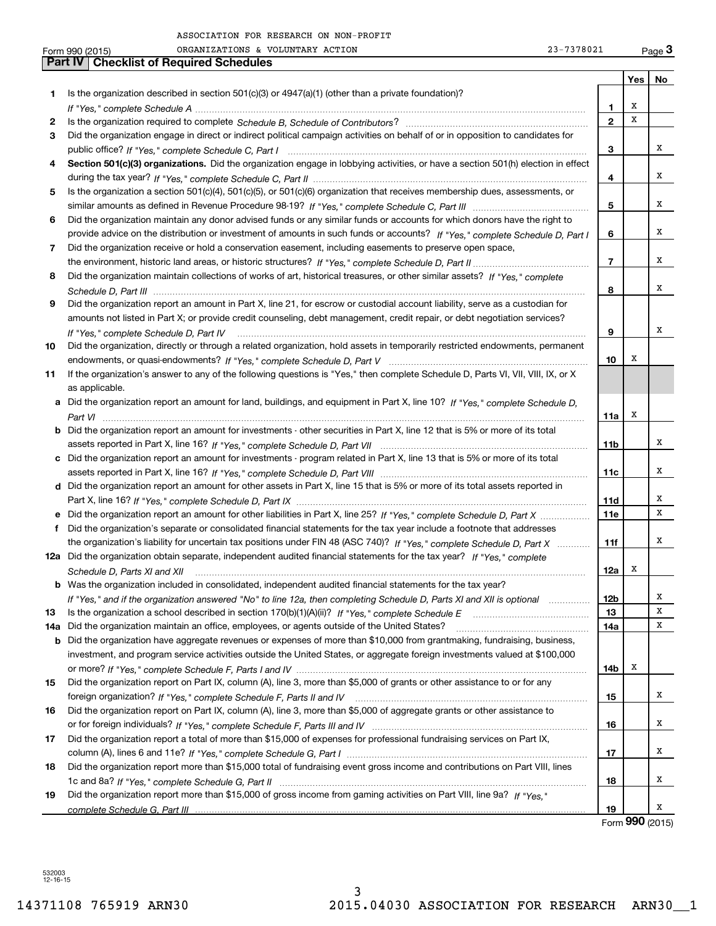|           | 23-7378021<br>ORGANIZATIONS & VOLUNTARY ACTION<br>Form 990 (2015)                                                                    |                |                 | Page $3$ |
|-----------|--------------------------------------------------------------------------------------------------------------------------------------|----------------|-----------------|----------|
|           | <b>Part IV   Checklist of Required Schedules</b>                                                                                     |                |                 |          |
|           |                                                                                                                                      |                | Yes             | No       |
| 1.        | Is the organization described in section $501(c)(3)$ or $4947(a)(1)$ (other than a private foundation)?                              |                |                 |          |
|           |                                                                                                                                      | 1              | х               |          |
| 2         |                                                                                                                                      | $\mathbf{2}$   | x               |          |
| 3         | Did the organization engage in direct or indirect political campaign activities on behalf of or in opposition to candidates for      |                |                 |          |
|           |                                                                                                                                      | 3              |                 | х        |
|           | Section 501(c)(3) organizations. Did the organization engage in lobbying activities, or have a section 501(h) election in effect     |                |                 |          |
|           |                                                                                                                                      | 4              |                 | х        |
| 5         | Is the organization a section 501(c)(4), 501(c)(5), or 501(c)(6) organization that receives membership dues, assessments, or         |                |                 |          |
|           |                                                                                                                                      | 5              |                 | х        |
| 6         | Did the organization maintain any donor advised funds or any similar funds or accounts for which donors have the right to            |                |                 |          |
|           | provide advice on the distribution or investment of amounts in such funds or accounts? If "Yes," complete Schedule D, Part I         | 6              |                 | х        |
|           |                                                                                                                                      |                |                 |          |
| 7         | Did the organization receive or hold a conservation easement, including easements to preserve open space,                            |                |                 | х        |
|           |                                                                                                                                      | $\overline{7}$ |                 |          |
| 8         | Did the organization maintain collections of works of art, historical treasures, or other similar assets? If "Yes," complete         |                |                 |          |
|           |                                                                                                                                      | 8              |                 | х        |
| 9         | Did the organization report an amount in Part X, line 21, for escrow or custodial account liability, serve as a custodian for        |                |                 |          |
|           | amounts not listed in Part X; or provide credit counseling, debt management, credit repair, or debt negotiation services?            |                |                 |          |
|           |                                                                                                                                      | 9              |                 | х        |
| 10        | Did the organization, directly or through a related organization, hold assets in temporarily restricted endowments, permanent        |                |                 |          |
|           |                                                                                                                                      | 10             | X               |          |
| 11        | If the organization's answer to any of the following questions is "Yes," then complete Schedule D, Parts VI, VII, VIII, IX, or X     |                |                 |          |
|           | as applicable.                                                                                                                       |                |                 |          |
|           | a Did the organization report an amount for land, buildings, and equipment in Part X, line 10? If "Yes," complete Schedule D,        |                |                 |          |
|           |                                                                                                                                      | 11a            | х               |          |
|           | <b>b</b> Did the organization report an amount for investments - other securities in Part X, line 12 that is 5% or more of its total |                |                 |          |
|           |                                                                                                                                      | 11b            |                 | х        |
|           | c Did the organization report an amount for investments - program related in Part X, line 13 that is 5% or more of its total         |                |                 |          |
|           |                                                                                                                                      | 11c            |                 | х        |
|           | d Did the organization report an amount for other assets in Part X, line 15 that is 5% or more of its total assets reported in       |                |                 |          |
|           |                                                                                                                                      | <b>11d</b>     |                 | х        |
|           | e Did the organization report an amount for other liabilities in Part X, line 25? If "Yes," complete Schedule D, Part X              | <b>11e</b>     |                 | x        |
| f         | Did the organization's separate or consolidated financial statements for the tax year include a footnote that addresses              |                |                 |          |
|           | the organization's liability for uncertain tax positions under FIN 48 (ASC 740)? If "Yes," complete Schedule D, Part X               | 11f            |                 | х        |
|           | 12a Did the organization obtain separate, independent audited financial statements for the tax year? If "Yes," complete              |                |                 |          |
|           | Schedule D, Parts XI and XII                                                                                                         | 12a            | х               |          |
|           | <b>b</b> Was the organization included in consolidated, independent audited financial statements for the tax year?                   |                |                 |          |
|           |                                                                                                                                      | 12b            |                 | x        |
|           | If "Yes," and if the organization answered "No" to line 12a, then completing Schedule D, Parts XI and XII is optional                |                |                 | х        |
| 13<br>14a | Did the organization maintain an office, employees, or agents outside of the United States?                                          | 13<br>14a      |                 | х        |
|           |                                                                                                                                      |                |                 |          |
| b         | Did the organization have aggregate revenues or expenses of more than \$10,000 from grantmaking, fundraising, business,              |                |                 |          |
|           | investment, and program service activities outside the United States, or aggregate foreign investments valued at \$100,000           |                | х               |          |
|           |                                                                                                                                      | 14b            |                 |          |
| 15        | Did the organization report on Part IX, column (A), line 3, more than \$5,000 of grants or other assistance to or for any            |                |                 |          |
|           |                                                                                                                                      | 15             |                 | х        |
| 16        | Did the organization report on Part IX, column (A), line 3, more than \$5,000 of aggregate grants or other assistance to             |                |                 |          |
|           |                                                                                                                                      | 16             |                 | х        |
| 17        | Did the organization report a total of more than \$15,000 of expenses for professional fundraising services on Part IX,              |                |                 |          |
|           |                                                                                                                                      | 17             |                 | х        |
| 18        | Did the organization report more than \$15,000 total of fundraising event gross income and contributions on Part VIII, lines         |                |                 |          |
|           |                                                                                                                                      | 18             |                 | х        |
| 19        | Did the organization report more than \$15,000 of gross income from gaming activities on Part VIII, line 9a? If "Yes."               |                |                 |          |
|           |                                                                                                                                      | 19             |                 | x        |
|           |                                                                                                                                      |                | Form 990 (2015) |          |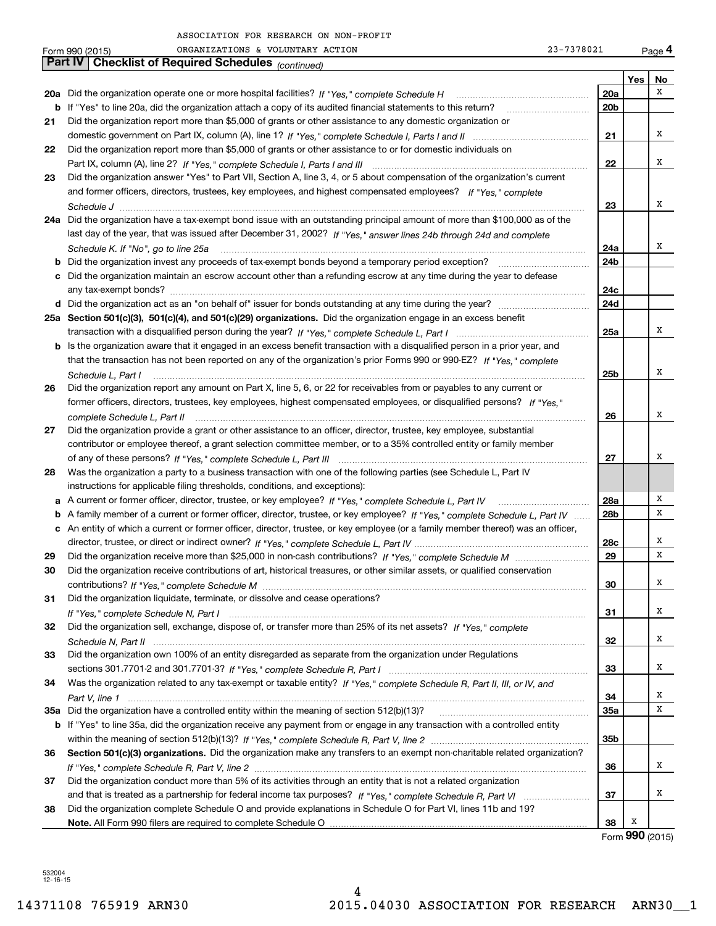|     | 23-7378021<br>ORGANIZATIONS & VOLUNTARY ACTION<br>Form 990 (2015)                                                                        |     |     | Page 4          |
|-----|------------------------------------------------------------------------------------------------------------------------------------------|-----|-----|-----------------|
|     | Part IV<br><b>Checklist of Required Schedules</b> (continued)                                                                            |     |     |                 |
|     |                                                                                                                                          |     | Yes | No              |
|     | 20a Did the organization operate one or more hospital facilities? If "Yes," complete Schedule H                                          | 20a |     | х               |
| b   | If "Yes" to line 20a, did the organization attach a copy of its audited financial statements to this return?                             | 20b |     |                 |
| 21  | Did the organization report more than \$5,000 of grants or other assistance to any domestic organization or                              |     |     |                 |
|     |                                                                                                                                          | 21  |     | X               |
| 22  | Did the organization report more than \$5,000 of grants or other assistance to or for domestic individuals on                            |     |     |                 |
|     |                                                                                                                                          | 22  |     | х               |
| 23  | Did the organization answer "Yes" to Part VII, Section A, line 3, 4, or 5 about compensation of the organization's current               |     |     |                 |
|     | and former officers, directors, trustees, key employees, and highest compensated employees? If "Yes," complete                           |     |     |                 |
|     |                                                                                                                                          | 23  |     | X               |
|     | 24a Did the organization have a tax-exempt bond issue with an outstanding principal amount of more than \$100,000 as of the              |     |     |                 |
|     | last day of the year, that was issued after December 31, 2002? If "Yes," answer lines 24b through 24d and complete                       |     |     |                 |
|     |                                                                                                                                          | 24a |     | X               |
|     | Schedule K. If "No", go to line 25a<br>Did the organization invest any proceeds of tax-exempt bonds beyond a temporary period exception? | 24b |     |                 |
| b   | c Did the organization maintain an escrow account other than a refunding escrow at any time during the year to defease                   |     |     |                 |
|     |                                                                                                                                          | 24c |     |                 |
|     |                                                                                                                                          |     |     |                 |
|     |                                                                                                                                          | 24d |     |                 |
|     | 25a Section 501(c)(3), 501(c)(4), and 501(c)(29) organizations. Did the organization engage in an excess benefit                         |     |     | X               |
|     |                                                                                                                                          | 25a |     |                 |
| b   | Is the organization aware that it engaged in an excess benefit transaction with a disqualified person in a prior year, and               |     |     |                 |
|     | that the transaction has not been reported on any of the organization's prior Forms 990 or 990-EZ? If "Yes," complete                    |     |     | X               |
|     | Schedule L, Part I                                                                                                                       | 25b |     |                 |
| 26  | Did the organization report any amount on Part X, line 5, 6, or 22 for receivables from or payables to any current or                    |     |     |                 |
|     | former officers, directors, trustees, key employees, highest compensated employees, or disqualified persons? If "Yes."                   |     |     |                 |
|     | complete Schedule L, Part II <i>maching and a complete Schedule L</i> , Part II and a complete Schedule L, Part II                       | 26  |     | X               |
| 27  | Did the organization provide a grant or other assistance to an officer, director, trustee, key employee, substantial                     |     |     |                 |
|     | contributor or employee thereof, a grant selection committee member, or to a 35% controlled entity or family member                      |     |     | х               |
|     |                                                                                                                                          | 27  |     |                 |
| 28  | Was the organization a party to a business transaction with one of the following parties (see Schedule L, Part IV                        |     |     |                 |
|     | instructions for applicable filing thresholds, conditions, and exceptions):                                                              |     |     | Χ               |
|     | a A current or former officer, director, trustee, or key employee? If "Yes," complete Schedule L, Part IV                                | 28a |     | х               |
|     | b A family member of a current or former officer, director, trustee, or key employee? If "Yes," complete Schedule L, Part IV             | 28b |     |                 |
|     | c An entity of which a current or former officer, director, trustee, or key employee (or a family member thereof) was an officer,        |     |     |                 |
|     |                                                                                                                                          | 28c |     | X<br>х          |
| 29  |                                                                                                                                          | 29  |     |                 |
| 30  | Did the organization receive contributions of art, historical treasures, or other similar assets, or qualified conservation              |     |     |                 |
|     |                                                                                                                                          | 30  |     | х               |
| 31  | Did the organization liquidate, terminate, or dissolve and cease operations?                                                             |     |     |                 |
|     |                                                                                                                                          | 31  |     | x               |
| 32  | Did the organization sell, exchange, dispose of, or transfer more than 25% of its net assets? If "Yes," complete                         |     |     |                 |
|     |                                                                                                                                          | 32  |     | x               |
| 33  | Did the organization own 100% of an entity disregarded as separate from the organization under Regulations                               |     |     |                 |
|     |                                                                                                                                          | 33  |     | x               |
| 34  | Was the organization related to any tax-exempt or taxable entity? If "Yes," complete Schedule R, Part II, III, or IV, and                |     |     |                 |
|     |                                                                                                                                          | 34  |     | х               |
| 35a | Did the organization have a controlled entity within the meaning of section 512(b)(13)?                                                  | 35a |     | x               |
|     | b If "Yes" to line 35a, did the organization receive any payment from or engage in any transaction with a controlled entity              |     |     |                 |
|     |                                                                                                                                          | 35b |     |                 |
| 36  | Section 501(c)(3) organizations. Did the organization make any transfers to an exempt non-charitable related organization?               |     |     |                 |
|     |                                                                                                                                          | 36  |     | X               |
| 37  | Did the organization conduct more than 5% of its activities through an entity that is not a related organization                         |     |     |                 |
|     |                                                                                                                                          | 37  |     | x               |
| 38  | Did the organization complete Schedule O and provide explanations in Schedule O for Part VI, lines 11b and 19?                           |     |     |                 |
|     |                                                                                                                                          | 38  | х   |                 |
|     |                                                                                                                                          |     |     | Form 990 (2015) |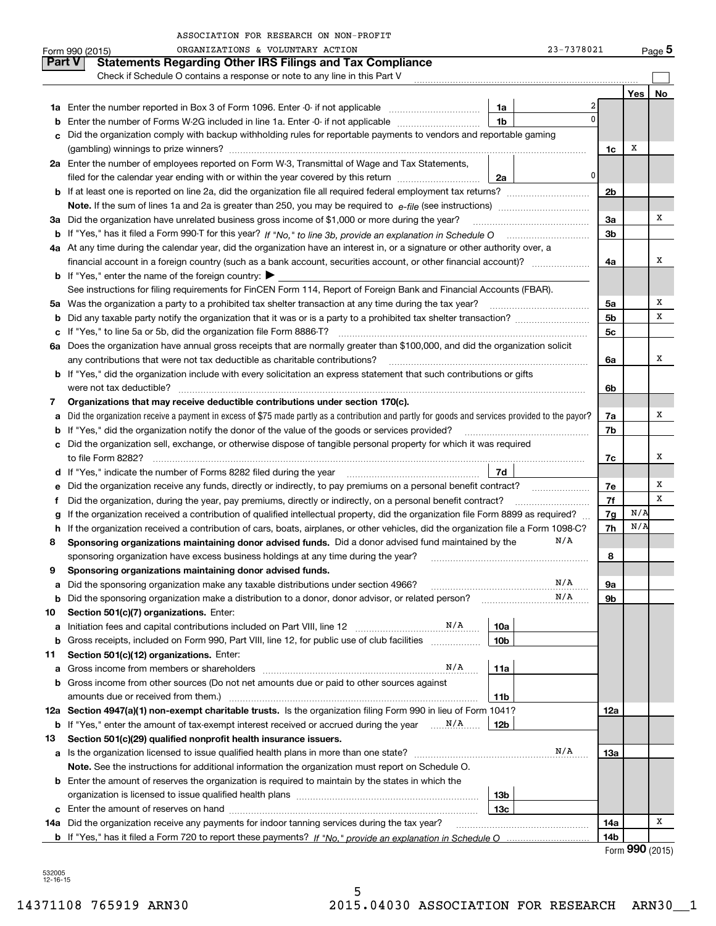|        | ORGANIZATIONS & VOLUNTARY ACTION<br>Form 990 (2015)                                                                                                                                                                           |                 | 23-7378021   |                |     | Page 5 |
|--------|-------------------------------------------------------------------------------------------------------------------------------------------------------------------------------------------------------------------------------|-----------------|--------------|----------------|-----|--------|
|        | <b>Part V</b><br><b>Statements Regarding Other IRS Filings and Tax Compliance</b>                                                                                                                                             |                 |              |                |     |        |
|        | Check if Schedule O contains a response or note to any line in this Part V                                                                                                                                                    |                 |              |                |     |        |
|        |                                                                                                                                                                                                                               |                 |              |                | Yes | No     |
|        |                                                                                                                                                                                                                               | 1a              | 2            |                |     |        |
| b      | Enter the number of Forms W-2G included in line 1a. Enter -0- if not applicable                                                                                                                                               | 1 <sub>b</sub>  | $\mathbf{0}$ |                |     |        |
| c      | Did the organization comply with backup withholding rules for reportable payments to vendors and reportable gaming                                                                                                            |                 |              |                |     |        |
|        |                                                                                                                                                                                                                               |                 |              | 1c             | х   |        |
|        | 2a Enter the number of employees reported on Form W-3, Transmittal of Wage and Tax Statements,                                                                                                                                |                 |              |                |     |        |
|        | filed for the calendar year ending with or within the year covered by this return                                                                                                                                             | 2a              | 0            |                |     |        |
| b      |                                                                                                                                                                                                                               |                 |              | 2 <sub>b</sub> |     |        |
|        |                                                                                                                                                                                                                               |                 |              |                |     |        |
|        | 3a Did the organization have unrelated business gross income of \$1,000 or more during the year?                                                                                                                              |                 |              | 3a             |     | x      |
|        |                                                                                                                                                                                                                               |                 |              | 3b             |     |        |
|        | 4a At any time during the calendar year, did the organization have an interest in, or a signature or other authority over, a                                                                                                  |                 |              |                |     |        |
|        | financial account in a foreign country (such as a bank account, securities account, or other financial account)?                                                                                                              |                 |              | 4a             |     | х      |
|        | <b>b</b> If "Yes," enter the name of the foreign country: $\blacktriangleright$                                                                                                                                               |                 |              |                |     |        |
|        | See instructions for filing requirements for FinCEN Form 114, Report of Foreign Bank and Financial Accounts (FBAR).                                                                                                           |                 |              |                |     |        |
| 5а     | Was the organization a party to a prohibited tax shelter transaction at any time during the tax year?                                                                                                                         |                 |              | 5a             |     | х      |
| b      | Did any taxable party notify the organization that it was or is a party to a prohibited tax shelter transaction?                                                                                                              |                 |              | 5b             |     | х      |
| c      | If "Yes," to line 5a or 5b, did the organization file Form 8886-T?                                                                                                                                                            |                 |              | 5c             |     |        |
|        | 6a Does the organization have annual gross receipts that are normally greater than \$100,000, and did the organization solicit                                                                                                |                 |              |                |     |        |
|        | any contributions that were not tax deductible as charitable contributions?                                                                                                                                                   |                 |              | 6a             |     | х      |
|        | <b>b</b> If "Yes," did the organization include with every solicitation an express statement that such contributions or gifts                                                                                                 |                 |              |                |     |        |
|        | were not tax deductible?                                                                                                                                                                                                      |                 |              | 6b             |     |        |
| 7      | Organizations that may receive deductible contributions under section 170(c).                                                                                                                                                 |                 |              |                |     | x      |
| а      | Did the organization receive a payment in excess of \$75 made partly as a contribution and partly for goods and services provided to the payor?                                                                               |                 |              | 7a             |     |        |
| b      | If "Yes," did the organization notify the donor of the value of the goods or services provided?                                                                                                                               |                 |              | 7b             |     |        |
|        | c Did the organization sell, exchange, or otherwise dispose of tangible personal property for which it was required                                                                                                           |                 |              |                |     | x      |
|        | d If "Yes," indicate the number of Forms 8282 filed during the year manufactured in the second of the way and the way and the way and the way and the way and the way and the way and the way and the way and the way and the | 7d              |              | 7c             |     |        |
|        | Did the organization receive any funds, directly or indirectly, to pay premiums on a personal benefit contract?                                                                                                               |                 |              | 7e             |     | Х      |
| е<br>f | Did the organization, during the year, pay premiums, directly or indirectly, on a personal benefit contract?                                                                                                                  |                 |              | 7f             |     | Х      |
| g      | If the organization received a contribution of qualified intellectual property, did the organization file Form 8899 as required?                                                                                              |                 |              | 7g             | N/A |        |
| h.     | If the organization received a contribution of cars, boats, airplanes, or other vehicles, did the organization file a Form 1098-C?                                                                                            |                 |              | 7h             | N/A |        |
| 8      | Sponsoring organizations maintaining donor advised funds. Did a donor advised fund maintained by the                                                                                                                          |                 | N/A          |                |     |        |
|        | sponsoring organization have excess business holdings at any time during the year?                                                                                                                                            |                 |              | 8              |     |        |
|        | Sponsoring organizations maintaining donor advised funds.                                                                                                                                                                     |                 |              |                |     |        |
| a      | Did the sponsoring organization make any taxable distributions under section 4966?                                                                                                                                            |                 | N/A          | 9а             |     |        |
| b      | Did the sponsoring organization make a distribution to a donor, donor advisor, or related person?                                                                                                                             |                 | N/A          | 9b             |     |        |
| 10     | Section 501(c)(7) organizations. Enter:                                                                                                                                                                                       |                 |              |                |     |        |
| а      |                                                                                                                                                                                                                               | 10a             |              |                |     |        |
| b      | Gross receipts, included on Form 990, Part VIII, line 12, for public use of club facilities <i>manager</i> (Gross)                                                                                                            | 10 <sub>b</sub> |              |                |     |        |
| 11     | Section 501(c)(12) organizations. Enter:                                                                                                                                                                                      |                 |              |                |     |        |
| а      | N/A<br>Gross income from members or shareholders                                                                                                                                                                              | 11a             |              |                |     |        |
| b      | Gross income from other sources (Do not net amounts due or paid to other sources against                                                                                                                                      |                 |              |                |     |        |
|        |                                                                                                                                                                                                                               | 11b             |              |                |     |        |
|        | 12a Section 4947(a)(1) non-exempt charitable trusts. Is the organization filing Form 990 in lieu of Form 1041?                                                                                                                |                 |              | 12a            |     |        |
|        |                                                                                                                                                                                                                               | 12b             |              |                |     |        |
| 13     | Section 501(c)(29) qualified nonprofit health insurance issuers.                                                                                                                                                              |                 |              |                |     |        |
| а      | Is the organization licensed to issue qualified health plans in more than one state?                                                                                                                                          |                 | N/A          | 13a            |     |        |
|        | Note. See the instructions for additional information the organization must report on Schedule O.                                                                                                                             |                 |              |                |     |        |
| b      | Enter the amount of reserves the organization is required to maintain by the states in which the                                                                                                                              |                 |              |                |     |        |
|        |                                                                                                                                                                                                                               | 13b             |              |                |     |        |
| c      |                                                                                                                                                                                                                               | 13с             |              |                |     |        |
|        | 14a Did the organization receive any payments for indoor tanning services during the tax year?                                                                                                                                |                 |              | 14a            |     | x      |
|        |                                                                                                                                                                                                                               |                 |              | 14b            |     |        |
|        |                                                                                                                                                                                                                               |                 |              |                |     |        |

Form **990** (2015)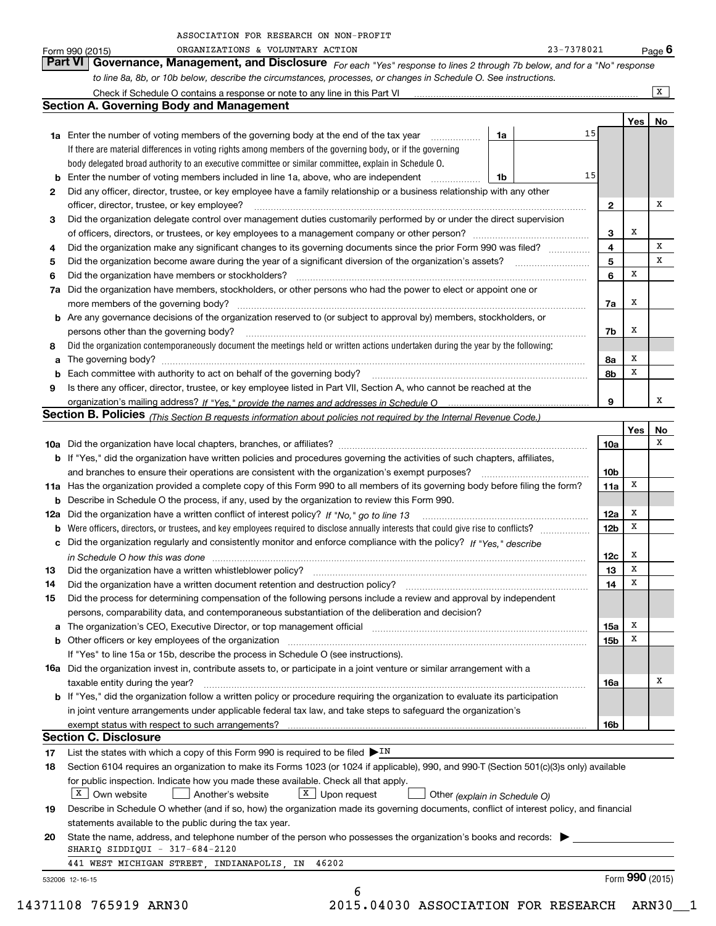|    | ORGANIZATIONS & VOLUNTARY ACTION<br>Form 990 (2015)                                                                                                                                                                                       |    | 23-7378021 |                 |     | $Page$ 6        |
|----|-------------------------------------------------------------------------------------------------------------------------------------------------------------------------------------------------------------------------------------------|----|------------|-----------------|-----|-----------------|
|    | <b>Part VI</b><br>Governance, Management, and Disclosure For each "Yes" response to lines 2 through 7b below, and for a "No" response                                                                                                     |    |            |                 |     |                 |
|    | to line 8a, 8b, or 10b below, describe the circumstances, processes, or changes in Schedule O. See instructions.                                                                                                                          |    |            |                 |     |                 |
|    |                                                                                                                                                                                                                                           |    |            |                 |     | $\overline{X}$  |
|    | <b>Section A. Governing Body and Management</b>                                                                                                                                                                                           |    |            |                 |     |                 |
|    |                                                                                                                                                                                                                                           |    |            |                 | Yes | No.             |
|    | 1a Enter the number of voting members of the governing body at the end of the tax year                                                                                                                                                    | 1a | 15         |                 |     |                 |
|    | If there are material differences in voting rights among members of the governing body, or if the governing                                                                                                                               |    |            |                 |     |                 |
|    | body delegated broad authority to an executive committee or similar committee, explain in Schedule O.                                                                                                                                     |    |            |                 |     |                 |
|    | <b>b</b> Enter the number of voting members included in line 1a, above, who are independent <i>manumum</i>                                                                                                                                | 1b | 15         |                 |     |                 |
| 2  | Did any officer, director, trustee, or key employee have a family relationship or a business relationship with any other                                                                                                                  |    |            |                 |     |                 |
|    | officer, director, trustee, or key employee?                                                                                                                                                                                              |    |            | $\mathbf{2}$    |     | х               |
| 3  | Did the organization delegate control over management duties customarily performed by or under the direct supervision                                                                                                                     |    |            |                 | х   |                 |
| 4  | Did the organization make any significant changes to its governing documents since the prior Form 990 was filed?                                                                                                                          |    |            | 3<br>4          |     | x               |
| 5  |                                                                                                                                                                                                                                           |    |            | 5               |     | х               |
| 6  | Did the organization have members or stockholders?                                                                                                                                                                                        |    |            | 6               | х   |                 |
|    | 7a Did the organization have members, stockholders, or other persons who had the power to elect or appoint one or                                                                                                                         |    |            |                 |     |                 |
|    | more members of the governing body?                                                                                                                                                                                                       |    |            | 7a              | х   |                 |
|    | <b>b</b> Are any governance decisions of the organization reserved to (or subject to approval by) members, stockholders, or                                                                                                               |    |            |                 |     |                 |
|    | persons other than the governing body?                                                                                                                                                                                                    |    |            | 7b              | х   |                 |
| 8  | Did the organization contemporaneously document the meetings held or written actions undertaken during the year by the following:                                                                                                         |    |            |                 |     |                 |
|    |                                                                                                                                                                                                                                           |    |            | 8a              | х   |                 |
|    | <b>b</b> Each committee with authority to act on behalf of the governing body?                                                                                                                                                            |    |            | 8b              | x   |                 |
| 9  | Is there any officer, director, trustee, or key employee listed in Part VII, Section A, who cannot be reached at the                                                                                                                      |    |            |                 |     |                 |
|    |                                                                                                                                                                                                                                           |    |            | 9               |     | х               |
|    | Section B. Policies (This Section B requests information about policies not required by the Internal Revenue Code.)                                                                                                                       |    |            |                 |     |                 |
|    |                                                                                                                                                                                                                                           |    |            |                 | Yes | No.             |
|    |                                                                                                                                                                                                                                           |    |            | <b>10a</b>      |     | x               |
|    | <b>b</b> If "Yes," did the organization have written policies and procedures governing the activities of such chapters, affiliates,                                                                                                       |    |            |                 |     |                 |
|    | and branches to ensure their operations are consistent with the organization's exempt purposes?                                                                                                                                           |    |            | 10 <sub>b</sub> | х   |                 |
|    | 11a Has the organization provided a complete copy of this Form 990 to all members of its governing body before filing the form?<br><b>b</b> Describe in Schedule O the process, if any, used by the organization to review this Form 990. |    |            | 11a             |     |                 |
|    | 12a Did the organization have a written conflict of interest policy? If "No," go to line 13                                                                                                                                               |    |            | 12a             | х   |                 |
|    |                                                                                                                                                                                                                                           |    |            | 12 <sub>b</sub> | x   |                 |
|    | c Did the organization regularly and consistently monitor and enforce compliance with the policy? If "Yes," describe                                                                                                                      |    |            |                 |     |                 |
|    |                                                                                                                                                                                                                                           |    |            | 12c             | х   |                 |
| 13 | Did the organization have a written whistleblower policy?                                                                                                                                                                                 |    |            | 13              | x   |                 |
| 14 | Did the organization have a written document retention and destruction policy?                                                                                                                                                            |    |            | 14              | X   |                 |
| 15 | Did the process for determining compensation of the following persons include a review and approval by independent                                                                                                                        |    |            |                 |     |                 |
|    | persons, comparability data, and contemporaneous substantiation of the deliberation and decision?                                                                                                                                         |    |            |                 |     |                 |
|    |                                                                                                                                                                                                                                           |    |            | 15a             | х   |                 |
|    | <b>b</b> Other officers or key employees of the organization                                                                                                                                                                              |    |            | 15b             | X   |                 |
|    | If "Yes" to line 15a or 15b, describe the process in Schedule O (see instructions).                                                                                                                                                       |    |            |                 |     |                 |
|    | 16a Did the organization invest in, contribute assets to, or participate in a joint venture or similar arrangement with a                                                                                                                 |    |            |                 |     |                 |
|    | taxable entity during the year?                                                                                                                                                                                                           |    |            | 16a             |     | Х               |
|    | <b>b</b> If "Yes," did the organization follow a written policy or procedure requiring the organization to evaluate its participation                                                                                                     |    |            |                 |     |                 |
|    | in joint venture arrangements under applicable federal tax law, and take steps to safeguard the organization's                                                                                                                            |    |            | 16b             |     |                 |
|    | <b>Section C. Disclosure</b>                                                                                                                                                                                                              |    |            |                 |     |                 |
| 17 | List the states with which a copy of this Form 990 is required to be filed $\blacktriangleright$ IN                                                                                                                                       |    |            |                 |     |                 |
| 18 | Section 6104 requires an organization to make its Forms 1023 (or 1024 if applicable), 990, and 990-T (Section 501(c)(3)s only) available                                                                                                  |    |            |                 |     |                 |
|    | for public inspection. Indicate how you made these available. Check all that apply.                                                                                                                                                       |    |            |                 |     |                 |
|    | X<br>$X$ Upon request<br>Own website<br>Another's website<br>Other (explain in Schedule O)                                                                                                                                                |    |            |                 |     |                 |
| 19 | Describe in Schedule O whether (and if so, how) the organization made its governing documents, conflict of interest policy, and financial                                                                                                 |    |            |                 |     |                 |
|    | statements available to the public during the tax year.                                                                                                                                                                                   |    |            |                 |     |                 |
| 20 | State the name, address, and telephone number of the person who possesses the organization's books and records:                                                                                                                           |    |            |                 |     |                 |
|    | SHARIQ SIDDIQUI - 317-684-2120                                                                                                                                                                                                            |    |            |                 |     |                 |
|    | 441 WEST MICHIGAN STREET, INDIANAPOLIS, IN<br>46202                                                                                                                                                                                       |    |            |                 |     |                 |
|    | 532006 12-16-15<br>6                                                                                                                                                                                                                      |    |            |                 |     | Form 990 (2015) |
|    |                                                                                                                                                                                                                                           |    |            |                 |     |                 |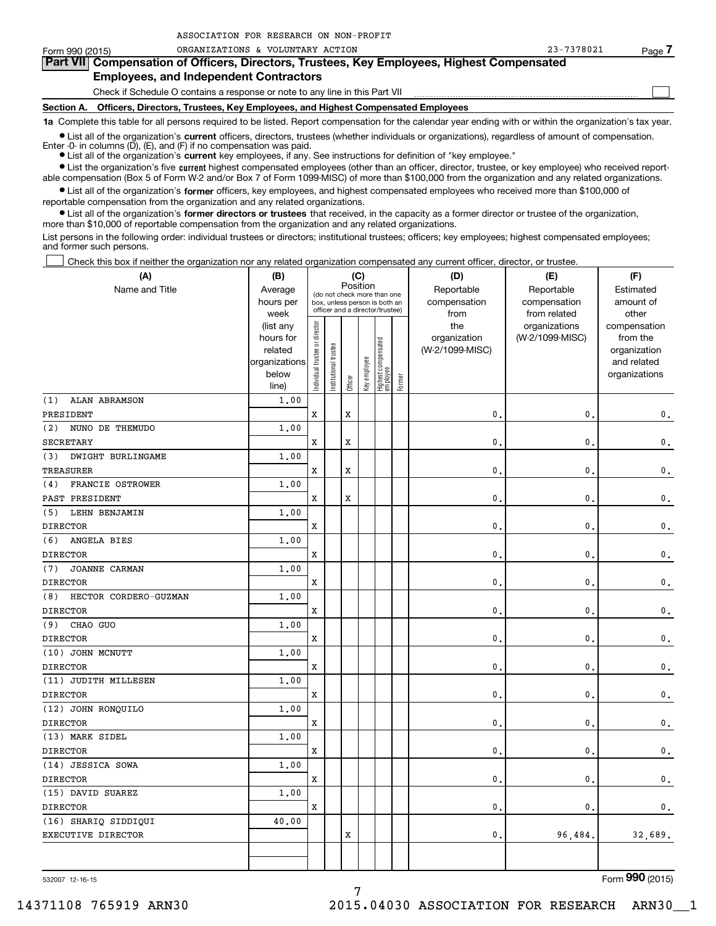| Form 990 (2015) | ORGANIZATIONS & VOLUNTARY ACTION                                                                                                                                                                                            | 23-7378021 | Page |
|-----------------|-----------------------------------------------------------------------------------------------------------------------------------------------------------------------------------------------------------------------------|------------|------|
|                 | Part VII Compensation of Officers, Directors, Trustees, Key Employees, Highest Compensated                                                                                                                                  |            |      |
|                 | <b>Employees, and Independent Contractors</b>                                                                                                                                                                               |            |      |
|                 | Check if Schedule O contains a response or note to any line in this Part VII                                                                                                                                                |            |      |
| Section A.      | Officers, Directors, Trustees, Key Employees, and Highest Compensated Employees                                                                                                                                             |            |      |
|                 | 1a Complete this table for all persons required to be listed. Report compensation for the calendar year ending with or within the organization's tax year.                                                                  |            |      |
|                 | • List all of the organization's current officers, directors, trustees (whether individuals or organizations), regardless of amount of compensation.<br>Enter -0- in columns (D), (E), and (F) if no compensation was paid. |            |      |

**current**  ● List all of the organization's current key employees, if any. See instructions for definition of "key employee."

ASSOCIATION FOR RESEARCH ON NON-PROFIT

**•** List the organization's five current highest compensated employees (other than an officer, director, trustee, or key employee) who received reportable compensation (Box 5 of Form W-2 and/or Box 7 of Form 1099-MISC) of more than \$100,000 from the organization and any related organizations.

 $\bullet$  List all of the organization's **former** officers, key employees, and highest compensated employees who received more than \$100,000 of reportable compensation from the organization and any related organizations.

**•** List all of the organization's former directors or trustees that received, in the capacity as a former director or trustee of the organization, more than \$10,000 of reportable compensation from the organization and any related organizations.

List persons in the following order: individual trustees or directors; institutional trustees; officers; key employees; highest compensated employees; and former such persons.

Check this box if neither the organization nor any related organization compensated any current officer, director, or trustee.

| (A)                          | (C)<br>(B)     |                               |                      |                                         |              |                                  |        | (D)             | (E)             | (F)             |
|------------------------------|----------------|-------------------------------|----------------------|-----------------------------------------|--------------|----------------------------------|--------|-----------------|-----------------|-----------------|
| Name and Title               | Average        |                               |                      | Position<br>(do not check more than one |              |                                  |        | Reportable      | Reportable      | Estimated       |
|                              | hours per      |                               |                      | box, unless person is both an           |              |                                  |        | compensation    | compensation    | amount of       |
|                              | week           |                               |                      | officer and a director/trustee)         |              |                                  |        | from            | from related    | other           |
|                              | (list any      |                               |                      |                                         |              |                                  |        | the             | organizations   | compensation    |
|                              | hours for      |                               |                      |                                         |              |                                  |        | organization    | (W-2/1099-MISC) | from the        |
|                              | related        |                               |                      |                                         |              |                                  |        | (W-2/1099-MISC) |                 | organization    |
|                              | organizations  |                               |                      |                                         |              |                                  |        |                 |                 | and related     |
|                              | below<br>line) | ndividual trustee or director | nstitutional trustee | Officer                                 | Key employee | Highest compensated<br> employee | Former |                 |                 | organizations   |
| <b>ALAN ABRAMSON</b><br>(1)  | 1.00           |                               |                      |                                         |              |                                  |        |                 |                 |                 |
| PRESIDENT                    |                | x                             |                      | X                                       |              |                                  |        | $\mathbf{0}$    | 0               | $\mathbf{0}$ .  |
| NUNO DE THEMUDO<br>(2)       | 1.00           |                               |                      |                                         |              |                                  |        |                 |                 |                 |
| <b>SECRETARY</b>             |                | x                             |                      | X                                       |              |                                  |        | $\mathbf{0}$ .  | 0               | $\mathsf{0}\,.$ |
| DWIGHT BURLINGAME<br>(3)     | 1.00           |                               |                      |                                         |              |                                  |        |                 |                 |                 |
| <b>TREASURER</b>             |                | x                             |                      | X                                       |              |                                  |        | 0               | $\mathbf 0$     | $\mathsf{0}\,.$ |
| FRANCIE OSTROWER<br>(4)      | 1.00           |                               |                      |                                         |              |                                  |        |                 |                 |                 |
| PAST PRESIDENT               |                | x                             |                      | X                                       |              |                                  |        | $\mathbf{0}$ .  | 0               | 0.              |
| LEHN BENJAMIN<br>(5)         | 1.00           |                               |                      |                                         |              |                                  |        |                 |                 |                 |
| <b>DIRECTOR</b>              |                | x                             |                      |                                         |              |                                  |        | $\mathbf{0}$ .  | 0               | $\mathsf{0}\,.$ |
| ANGELA BIES<br>(6)           | 1.00           |                               |                      |                                         |              |                                  |        |                 |                 |                 |
| <b>DIRECTOR</b>              |                | x                             |                      |                                         |              |                                  |        | $\mathbf{0}$ .  | 0               | $\mathsf{0}\,.$ |
| JOANNE CARMAN<br>(7)         | 1.00           |                               |                      |                                         |              |                                  |        |                 |                 |                 |
| <b>DIRECTOR</b>              |                | x                             |                      |                                         |              |                                  |        | 0               | $\mathbf 0$     | $\mathbf{0}$ .  |
| HECTOR CORDERO-GUZMAN<br>(8) | 1.00           |                               |                      |                                         |              |                                  |        |                 |                 |                 |
| <b>DIRECTOR</b>              |                | x                             |                      |                                         |              |                                  |        | $\mathbf{0}$ .  | 0               | $\mathbf 0$ .   |
| (9)<br>CHAO GUO              | 1.00           |                               |                      |                                         |              |                                  |        |                 |                 |                 |
| <b>DIRECTOR</b>              |                | x                             |                      |                                         |              |                                  |        | $\mathbf{0}$ .  | 0               | $\mathbf 0$ .   |
| (10) JOHN MCNUTT             | 1.00           |                               |                      |                                         |              |                                  |        |                 |                 |                 |
| <b>DIRECTOR</b>              |                | x                             |                      |                                         |              |                                  |        | $\mathbf{0}$ .  | 0               | $\mathbf 0$ .   |
| (11) JUDITH MILLESEN         | 1.00           |                               |                      |                                         |              |                                  |        |                 |                 |                 |
| <b>DIRECTOR</b>              |                | x                             |                      |                                         |              |                                  |        | $\mathbf{0}$    | $\mathbf 0$     | $\mathbf{0}$ .  |
| (12) JOHN RONQUILO           | 1.00           |                               |                      |                                         |              |                                  |        |                 |                 |                 |
| <b>DIRECTOR</b>              |                | x                             |                      |                                         |              |                                  |        | $\mathbf{0}$ .  | 0               | $\mathbf 0$ .   |
| (13) MARK SIDEL              | 1.00           |                               |                      |                                         |              |                                  |        |                 |                 |                 |
| <b>DIRECTOR</b>              |                | x                             |                      |                                         |              |                                  |        | $\mathbf{0}$ .  | $\mathbf 0$     | $\mathsf{0}\,.$ |
| (14) JESSICA SOWA            | 1.00           |                               |                      |                                         |              |                                  |        |                 |                 |                 |
| <b>DIRECTOR</b>              |                | x                             |                      |                                         |              |                                  |        | $\mathbf{0}$ .  | $\mathbf{0}$    | $\mathbf 0$ .   |
| (15) DAVID SUAREZ            | 1.00           |                               |                      |                                         |              |                                  |        |                 |                 |                 |
| <b>DIRECTOR</b>              |                | x                             |                      |                                         |              |                                  |        | $\mathbf{0}$ .  | 0               | $\mathsf{0}\,.$ |
| (16) SHARIQ SIDDIQUI         | 40.00          |                               |                      |                                         |              |                                  |        |                 |                 |                 |
| EXECUTIVE DIRECTOR           |                |                               |                      | X                                       |              |                                  |        | 0.              | 96,484.         | 32,689.         |
|                              |                |                               |                      |                                         |              |                                  |        |                 |                 |                 |
|                              |                |                               |                      |                                         |              |                                  |        |                 |                 |                 |

532007 12-16-15

Form (2015) **990**

7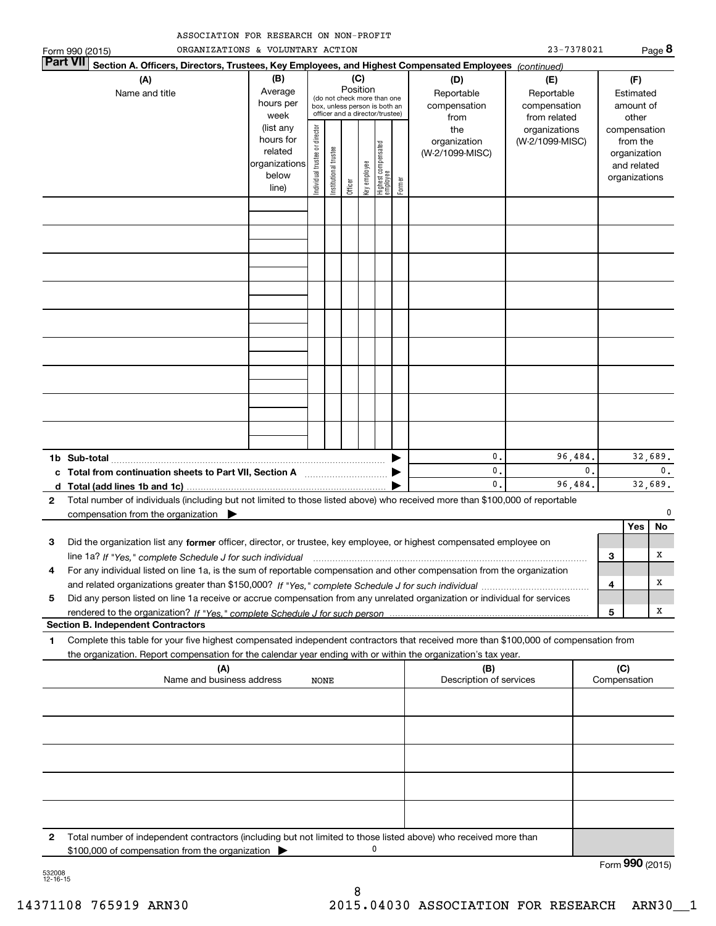|              | ORGANIZATIONS & VOLUNTARY ACTION<br>Form 990 (2015)                                                                                                                                                                                                             |                                                                          |                                |                       |         |                 |                                                                                                 |        |                                                                                     | 23-7378021                                                                            |               |     |                                                                                    | Page 8          |
|--------------|-----------------------------------------------------------------------------------------------------------------------------------------------------------------------------------------------------------------------------------------------------------------|--------------------------------------------------------------------------|--------------------------------|-----------------------|---------|-----------------|-------------------------------------------------------------------------------------------------|--------|-------------------------------------------------------------------------------------|---------------------------------------------------------------------------------------|---------------|-----|------------------------------------------------------------------------------------|-----------------|
|              | <b>Part VII</b><br>Section A. Officers, Directors, Trustees, Key Employees, and Highest Compensated Employees (continued)                                                                                                                                       |                                                                          |                                |                       |         |                 |                                                                                                 |        |                                                                                     |                                                                                       |               |     |                                                                                    |                 |
|              | (A)<br>Name and title                                                                                                                                                                                                                                           | (B)<br>Average<br>hours per<br>week<br>(list any<br>hours for<br>related |                                |                       |         | (C)<br>Position | (do not check more than one<br>box, unless person is both an<br>officer and a director/trustee) |        | (D)<br>Reportable<br>compensation<br>from<br>the<br>organization<br>(W-2/1099-MISC) | (E)<br>Reportable<br>compensation<br>from related<br>organizations<br>(W-2/1099-MISC) |               |     | (F)<br>Estimated<br>amount of<br>other<br>compensation<br>from the<br>organization |                 |
|              |                                                                                                                                                                                                                                                                 | organizations<br>below<br>line)                                          | Individual trustee or director | Institutional trustee | Officer | Key employee    | Highest compensated<br>employee                                                                 | Former |                                                                                     |                                                                                       |               |     | and related<br>organizations                                                       |                 |
|              |                                                                                                                                                                                                                                                                 |                                                                          |                                |                       |         |                 |                                                                                                 |        |                                                                                     |                                                                                       |               |     |                                                                                    |                 |
|              |                                                                                                                                                                                                                                                                 |                                                                          |                                |                       |         |                 |                                                                                                 |        |                                                                                     |                                                                                       |               |     |                                                                                    |                 |
|              | 1b Sub-total                                                                                                                                                                                                                                                    |                                                                          |                                |                       |         |                 |                                                                                                 |        | $\mathbf{0}$ .                                                                      |                                                                                       | 96,484.       |     |                                                                                    | 32,689.         |
| $\mathbf{2}$ | Total number of individuals (including but not limited to those listed above) who received more than \$100,000 of reportable                                                                                                                                    |                                                                          |                                |                       |         |                 |                                                                                                 |        | 0.<br>$\mathbf{0}$                                                                  |                                                                                       | 0.<br>96.484. |     |                                                                                    | 0.<br>32,689.   |
|              | compensation from the organization                                                                                                                                                                                                                              |                                                                          |                                |                       |         |                 |                                                                                                 |        |                                                                                     |                                                                                       |               |     | Yes                                                                                | 0<br>No         |
| 3            | Did the organization list any former officer, director, or trustee, key employee, or highest compensated employee on<br>line 1a? If "Yes," complete Schedule J for such individual manufactured contained and the Yes," complete Schedule J for such individual |                                                                          |                                |                       |         |                 |                                                                                                 |        |                                                                                     |                                                                                       |               | З   |                                                                                    | x               |
| 4            | For any individual listed on line 1a, is the sum of reportable compensation and other compensation from the organization                                                                                                                                        |                                                                          |                                |                       |         |                 |                                                                                                 |        |                                                                                     |                                                                                       |               |     |                                                                                    | х               |
| 5            | Did any person listed on line 1a receive or accrue compensation from any unrelated organization or individual for services                                                                                                                                      |                                                                          |                                |                       |         |                 |                                                                                                 |        |                                                                                     |                                                                                       |               | 4   |                                                                                    |                 |
|              | <b>Section B. Independent Contractors</b>                                                                                                                                                                                                                       |                                                                          |                                |                       |         |                 |                                                                                                 |        |                                                                                     |                                                                                       |               | 5   |                                                                                    | х               |
| 1            | Complete this table for your five highest compensated independent contractors that received more than \$100,000 of compensation from                                                                                                                            |                                                                          |                                |                       |         |                 |                                                                                                 |        |                                                                                     |                                                                                       |               |     |                                                                                    |                 |
|              | the organization. Report compensation for the calendar year ending with or within the organization's tax year.<br>(A)                                                                                                                                           |                                                                          |                                |                       |         |                 |                                                                                                 |        | (B)                                                                                 |                                                                                       |               | (C) |                                                                                    |                 |
|              | Name and business address                                                                                                                                                                                                                                       |                                                                          | <b>NONE</b>                    |                       |         |                 |                                                                                                 |        | Description of services                                                             |                                                                                       |               |     | Compensation                                                                       |                 |
|              |                                                                                                                                                                                                                                                                 |                                                                          |                                |                       |         |                 |                                                                                                 |        |                                                                                     |                                                                                       |               |     |                                                                                    |                 |
|              |                                                                                                                                                                                                                                                                 |                                                                          |                                |                       |         |                 |                                                                                                 |        |                                                                                     |                                                                                       |               |     |                                                                                    |                 |
|              |                                                                                                                                                                                                                                                                 |                                                                          |                                |                       |         |                 |                                                                                                 |        |                                                                                     |                                                                                       |               |     |                                                                                    |                 |
| 2            | Total number of independent contractors (including but not limited to those listed above) who received more than<br>\$100,000 of compensation from the organization                                                                                             |                                                                          |                                |                       |         |                 | 0                                                                                               |        |                                                                                     |                                                                                       |               |     |                                                                                    |                 |
|              |                                                                                                                                                                                                                                                                 |                                                                          |                                |                       |         |                 |                                                                                                 |        |                                                                                     |                                                                                       |               |     |                                                                                    | Form 990 (2015) |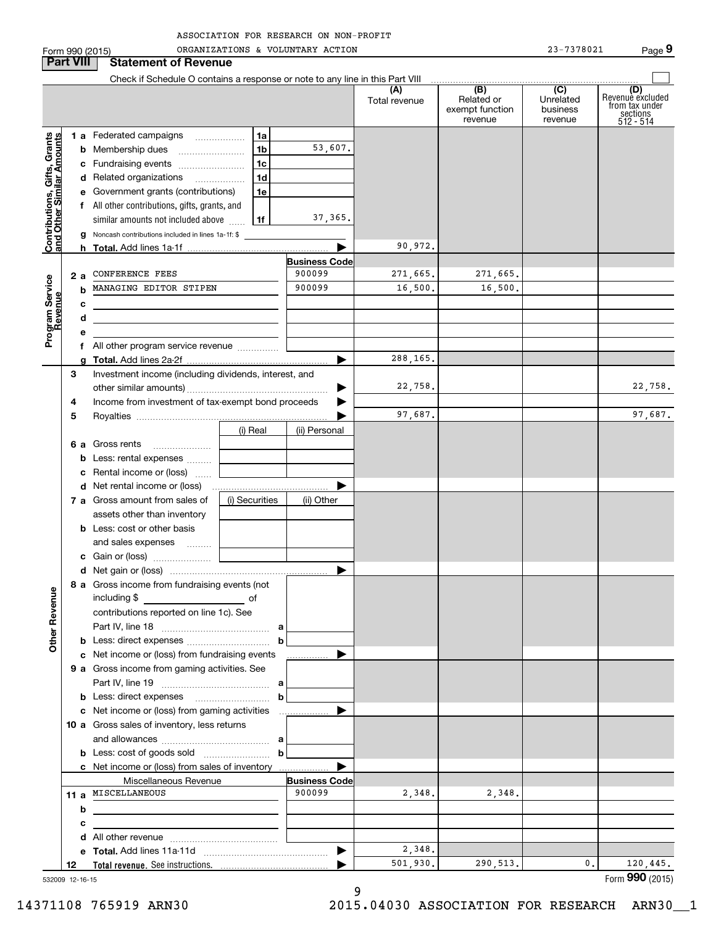| ASSOCIATION FOR RESEARCH ON NON-PROFIT |  |  |
|----------------------------------------|--|--|
|                                        |  |  |

|                                                           |                       | Form 990 (2015)                                                                                                                                 |                                        | ORGANIZATIONS & VOLUNTARY ACTION |                      |                                                 | 23-7378021                              | Page 9                                                               |
|-----------------------------------------------------------|-----------------------|-------------------------------------------------------------------------------------------------------------------------------------------------|----------------------------------------|----------------------------------|----------------------|-------------------------------------------------|-----------------------------------------|----------------------------------------------------------------------|
|                                                           | <b>Part VIII</b>      | <b>Statement of Revenue</b>                                                                                                                     |                                        |                                  |                      |                                                 |                                         |                                                                      |
|                                                           |                       | Check if Schedule O contains a response or note to any line in this Part VIII                                                                   |                                        |                                  | (A)<br>Total revenue | (B)<br>Related or<br>exempt function<br>revenue | (C)<br>Unrelated<br>business<br>revenue | (D)<br>Revenue excluded<br>from tax under<br>sections<br>$512 - 514$ |
|                                                           |                       | <b>1 a</b> Federated campaigns<br>$\overline{\phantom{a}}$<br><b>b</b> Membership dues<br>c Fundraising events                                  | 1a<br>1 <sub>b</sub><br>1 <sub>c</sub> | 53,607.                          |                      |                                                 |                                         |                                                                      |
| Contributions, Gifts, Grants<br>and Other Similar Amounts |                       | d Related organizations<br>$\overline{\phantom{a}}$<br>e Government grants (contributions)<br>f All other contributions, gifts, grants, and     | 1 <sub>d</sub><br>1e                   |                                  |                      |                                                 |                                         |                                                                      |
|                                                           |                       | similar amounts not included above<br>g Noncash contributions included in lines 1a-1f: \$                                                       | 1f                                     | 37,365.                          | 90,972.              |                                                 |                                         |                                                                      |
|                                                           | 2a                    | CONFERENCE FEES                                                                                                                                 |                                        | <b>Business Code</b><br>900099   | 271,665.             | 271,665.                                        |                                         |                                                                      |
| Program Service<br>Revenue                                | b<br>с<br>d           | MANAGING EDITOR STIPEN<br><u> 1989 - Johann Stein, marwolaethau a bhann an t-Amhainn an t-Amhainn an t-Amhainn an t-Amhainn an t-Amhainn an</u> |                                        | 900099                           | 16,500.              | 16,500.                                         |                                         |                                                                      |
|                                                           | е                     | f All other program service revenue                                                                                                             |                                        | ▶                                | 288,165.             |                                                 |                                         |                                                                      |
|                                                           | 3                     | Investment income (including dividends, interest, and                                                                                           |                                        | ▶                                | 22,758.              |                                                 |                                         | 22,758.                                                              |
|                                                           | 4<br>5                | Income from investment of tax-exempt bond proceeds                                                                                              |                                        |                                  | 97,687.              |                                                 |                                         | 97,687.                                                              |
|                                                           |                       | 6 a Gross rents<br><b>b</b> Less: rental expenses                                                                                               | (i) Real                               | (ii) Personal                    |                      |                                                 |                                         |                                                                      |
|                                                           | с                     | Rental income or (loss)<br><b>d</b> Net rental income or (loss)<br>7 a Gross amount from sales of                                               | (i) Securities                         | (ii) Other                       |                      |                                                 |                                         |                                                                      |
|                                                           |                       | assets other than inventory<br><b>b</b> Less: cost or other basis<br>and sales expenses<br>1.1.1.1.1.1.1                                        |                                        |                                  |                      |                                                 |                                         |                                                                      |
|                                                           |                       | c Gain or (loss)                                                                                                                                |                                        |                                  |                      |                                                 |                                         |                                                                      |
| <b>Other Revenue</b>                                      |                       | 8 a Gross income from fundraising events (not<br>contributions reported on line 1c). See                                                        | а                                      |                                  |                      |                                                 |                                         |                                                                      |
|                                                           |                       | <b>b</b> Less: direct expenses <i></i><br>c Net income or (loss) from fundraising events<br>9 a Gross income from gaming activities. See        | b                                      |                                  |                      |                                                 |                                         |                                                                      |
|                                                           |                       | c Net income or (loss) from gaming activities                                                                                                   | a<br>b                                 |                                  |                      |                                                 |                                         |                                                                      |
|                                                           |                       | 10 a Gross sales of inventory, less returns                                                                                                     | а<br>b                                 |                                  |                      |                                                 |                                         |                                                                      |
|                                                           |                       | c Net income or (loss) from sales of inventory<br>Miscellaneous Revenue                                                                         |                                        | <b>Business Code</b>             |                      |                                                 |                                         |                                                                      |
|                                                           | b                     | 11 a MISCELLANEOUS<br><u> 1989 - Johann Barn, fransk politik (d. 1989)</u>                                                                      |                                        | 900099                           | 2,348.               | 2,348.                                          |                                         |                                                                      |
|                                                           | с<br>d                | <u> 1989 - Johann Stein, mars an deutscher Stein und der Stein und der Stein und der Stein und der Stein und der</u>                            |                                        | $\blacktriangleright$            | 2,348.               |                                                 |                                         |                                                                      |
|                                                           | 12<br>532009 12-16-15 |                                                                                                                                                 |                                        |                                  | 501,930.             | 290, 513.                                       | 0.                                      | 120,445.<br>Form 990 (2015)                                          |

532009 12-16-15

**9**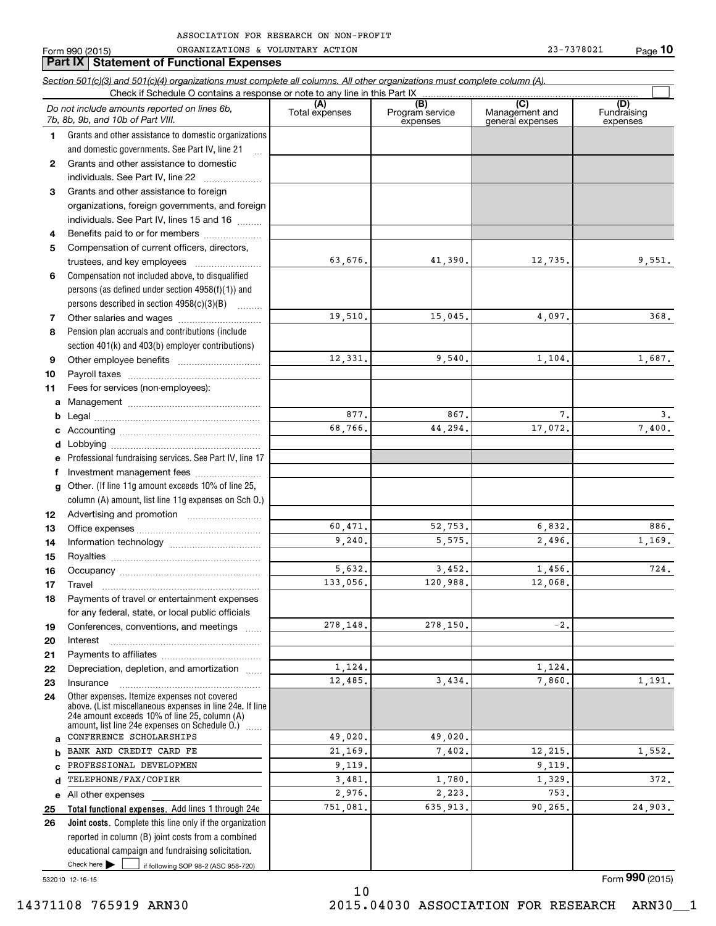| 990 (2015) | ACTION<br>ORGANIZATIONS<br>VOLUNTARY<br>៷ | 78021 |
|------------|-------------------------------------------|-------|
| orm        |                                           | Page  |

**Part IX Statement of Functional Expenses**

|              | Section 501(c)(3) and 501(c)(4) organizations must complete all columns. All other organizations must complete column (A).<br>Check if Schedule O contains a response or note to any line in this Part IX |                |                             |                                    |                         |  |  |
|--------------|-----------------------------------------------------------------------------------------------------------------------------------------------------------------------------------------------------------|----------------|-----------------------------|------------------------------------|-------------------------|--|--|
|              | Do not include amounts reported on lines 6b,                                                                                                                                                              | (A)            | (B)                         | (C)<br>(D)                         |                         |  |  |
|              | 7b, 8b, 9b, and 10b of Part VIII.                                                                                                                                                                         | Total expenses | Program service<br>expenses | Management and<br>general expenses | Fundraising<br>expenses |  |  |
| 1            | Grants and other assistance to domestic organizations                                                                                                                                                     |                |                             |                                    |                         |  |  |
|              | and domestic governments. See Part IV, line 21                                                                                                                                                            |                |                             |                                    |                         |  |  |
| $\mathbf{2}$ | Grants and other assistance to domestic                                                                                                                                                                   |                |                             |                                    |                         |  |  |
|              | individuals. See Part IV, line 22                                                                                                                                                                         |                |                             |                                    |                         |  |  |
| 3            | Grants and other assistance to foreign                                                                                                                                                                    |                |                             |                                    |                         |  |  |
|              | organizations, foreign governments, and foreign                                                                                                                                                           |                |                             |                                    |                         |  |  |
|              | individuals. See Part IV, lines 15 and 16                                                                                                                                                                 |                |                             |                                    |                         |  |  |
| 4            | Benefits paid to or for members                                                                                                                                                                           |                |                             |                                    |                         |  |  |
| 5            | Compensation of current officers, directors,                                                                                                                                                              |                |                             |                                    |                         |  |  |
|              | trustees, and key employees                                                                                                                                                                               | 63,676.        | 41,390.                     | 12,735.                            | 9,551.                  |  |  |
| 6            | Compensation not included above, to disqualified                                                                                                                                                          |                |                             |                                    |                         |  |  |
|              | persons (as defined under section 4958(f)(1)) and                                                                                                                                                         |                |                             |                                    |                         |  |  |
|              | persons described in section 4958(c)(3)(B)                                                                                                                                                                |                |                             |                                    |                         |  |  |
| 7            |                                                                                                                                                                                                           | 19,510.        | 15,045.                     | 4,097.                             | 368.                    |  |  |
| 8            | Pension plan accruals and contributions (include                                                                                                                                                          |                |                             |                                    |                         |  |  |
|              | section 401(k) and 403(b) employer contributions)                                                                                                                                                         |                |                             |                                    |                         |  |  |
| 9            |                                                                                                                                                                                                           | 12,331.        | 9,540.                      | 1,104.                             | 1,687.                  |  |  |
| 10           |                                                                                                                                                                                                           |                |                             |                                    |                         |  |  |
| 11           | Fees for services (non-employees):                                                                                                                                                                        |                |                             |                                    |                         |  |  |
| a            |                                                                                                                                                                                                           |                |                             |                                    |                         |  |  |
| b            |                                                                                                                                                                                                           | 877.           | 867.                        | 7.                                 | З.                      |  |  |
| c            |                                                                                                                                                                                                           | 68,766.        | 44.294.                     | 17,072.                            | 7,400.                  |  |  |
| d            |                                                                                                                                                                                                           |                |                             |                                    |                         |  |  |
| е            | Professional fundraising services. See Part IV, line 17                                                                                                                                                   |                |                             |                                    |                         |  |  |
| f            | Investment management fees                                                                                                                                                                                |                |                             |                                    |                         |  |  |
| g            | Other. (If line 11g amount exceeds 10% of line 25,                                                                                                                                                        |                |                             |                                    |                         |  |  |
|              | column (A) amount, list line 11g expenses on Sch O.)                                                                                                                                                      |                |                             |                                    |                         |  |  |
| 12           |                                                                                                                                                                                                           |                |                             |                                    |                         |  |  |
| 13           |                                                                                                                                                                                                           | 60,471.        | 52.753.                     | 6.832.                             | 886.                    |  |  |
| 14           |                                                                                                                                                                                                           | 9.240.         | 5.575.                      | 2,496.                             | 1,169.                  |  |  |
| 15           |                                                                                                                                                                                                           |                |                             |                                    |                         |  |  |
| 16           |                                                                                                                                                                                                           | 5,632.         | 3,452.                      | 1,456.                             | 724.                    |  |  |
| 17           |                                                                                                                                                                                                           | 133,056.       | 120,988.                    | 12,068.                            |                         |  |  |
| 18           | Payments of travel or entertainment expenses                                                                                                                                                              |                |                             |                                    |                         |  |  |
|              | for any federal, state, or local public officials                                                                                                                                                         |                |                             |                                    |                         |  |  |
| 19           | Conferences, conventions, and meetings                                                                                                                                                                    | 278.148.       | 278,150.                    | $-2.$                              |                         |  |  |
| 20           | Interest                                                                                                                                                                                                  |                |                             |                                    |                         |  |  |
| 21           |                                                                                                                                                                                                           |                |                             |                                    |                         |  |  |
| 22           | Depreciation, depletion, and amortization                                                                                                                                                                 | 1,124.         |                             | 1,124.                             |                         |  |  |
| 23           | Insurance                                                                                                                                                                                                 | 12,485.        | 3,434.                      | 7,860.                             | 1,191.                  |  |  |
| 24           | Other expenses. Itemize expenses not covered                                                                                                                                                              |                |                             |                                    |                         |  |  |
|              | above. (List miscellaneous expenses in line 24e. If line                                                                                                                                                  |                |                             |                                    |                         |  |  |
|              | 24e amount exceeds 10% of line 25, column (A)<br>amount, list line 24e expenses on Schedule O.)                                                                                                           |                |                             |                                    |                         |  |  |
| a            | CONFERENCE SCHOLARSHIPS                                                                                                                                                                                   | 49,020.        | 49,020.                     |                                    |                         |  |  |
| b            | BANK AND CREDIT CARD FE                                                                                                                                                                                   | 21,169.        | 7,402.                      | 12,215.                            | 1,552.                  |  |  |
| C            | PROFESSIONAL DEVELOPMEN                                                                                                                                                                                   | 9,119.         |                             | 9,119.                             |                         |  |  |
| d            | TELEPHONE/FAX/COPIER                                                                                                                                                                                      | 3,481.         | 1,780.                      | 1,329.                             | 372.                    |  |  |
| е            | All other expenses                                                                                                                                                                                        | 2,976.         | 2,223.                      | 753.                               |                         |  |  |
| 25           | Total functional expenses. Add lines 1 through 24e                                                                                                                                                        | 751,081.       | 635,913.                    | 90,265.                            | 24,903.                 |  |  |
| 26           | <b>Joint costs.</b> Complete this line only if the organization                                                                                                                                           |                |                             |                                    |                         |  |  |
|              | reported in column (B) joint costs from a combined                                                                                                                                                        |                |                             |                                    |                         |  |  |
|              | educational campaign and fundraising solicitation.                                                                                                                                                        |                |                             |                                    |                         |  |  |
|              | Check here $\blacktriangleright$<br>if following SOP 98-2 (ASC 958-720)                                                                                                                                   |                |                             |                                    |                         |  |  |

10

532010 12-16-15

Form (2015) **990**

14371108 765919 ARN30 2015.04030 ASSOCIATION FOR RESEARCH ARN30\_\_1

**10**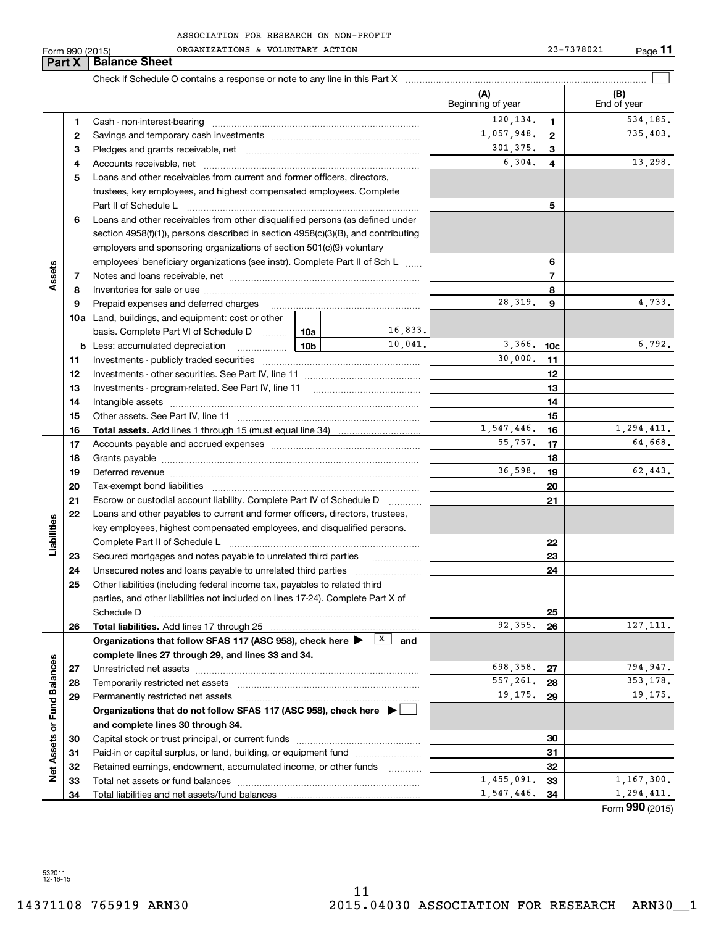| <b>Balance Sheet</b><br><b>Part X</b><br>(A)<br>(B)<br>Beginning of year<br>End of year<br>120,134.<br>534,185.<br>$\mathbf 1$<br>1.<br>1,057,948.<br>735,403.<br>$\mathbf{2}$<br>2<br>301,375.<br>3<br>з<br>6,304.<br>13,298.<br>4<br>4<br>Loans and other receivables from current and former officers, directors,<br>5<br>trustees, key employees, and highest compensated employees. Complete<br>Part II of Schedule Land Communication and Schedule Land Communication and Schedule Land Communication and Schedule L<br>5<br>Loans and other receivables from other disqualified persons (as defined under<br>6<br>section 4958(f)(1)), persons described in section 4958(c)(3)(B), and contributing<br>employers and sponsoring organizations of section 501(c)(9) voluntary<br>employees' beneficiary organizations (see instr). Complete Part II of Sch L<br>6<br>Assets<br>$\overline{7}$<br>7<br>8<br>8<br>28,319.<br>4,733.<br>9<br>Prepaid expenses and deferred charges [11] [11] Prepaid expenses and deferred charges [11] [11] Martin Martin Martin Martin Martin Martin Martin Martin Martin Martin Martin Martin Martin Martin Martin Martin Martin Martin<br>9<br><b>10a</b> Land, buildings, and equipment: cost or other<br>16,833.<br>basis. Complete Part VI of Schedule D  10a<br>10,041.<br>3,366.<br>6,792.<br>10 <sub>c</sub><br>30,000.<br>11<br>11<br>12 <sup>2</sup><br>12<br>13<br>13<br>14<br>14<br>15<br>15<br>1,547,446.<br>1,294,411.<br>16<br>16<br>55,757.<br>64,668.<br>17<br>17<br>18<br>18<br>62,443.<br>36,598.<br>19<br>19<br>Deferred revenue manual contracts and contracts are contracted and contract and contract are contracted and contract are contracted and contract are contracted and contract are contracted and contract are contracted and co<br>20<br>20<br>21<br>Escrow or custodial account liability. Complete Part IV of Schedule D<br>21<br>22<br>Loans and other payables to current and former officers, directors, trustees,<br>Liabilities<br>key employees, highest compensated employees, and disqualified persons.<br>22<br>23<br>Secured mortgages and notes payable to unrelated third parties<br>23<br>24<br>Unsecured notes and loans payable to unrelated third parties<br>24<br>Other liabilities (including federal income tax, payables to related third<br>25<br>parties, and other liabilities not included on lines 17-24). Complete Part X of<br>Schedule D<br>25<br>92,355.<br>127, 111.<br>Total liabilities. Add lines 17 through 25<br>26<br>26<br>Organizations that follow SFAS 117 (ASC 958), check here $\blacktriangleright \begin{array}{ c c } \hline x & \text{and} \end{array}$<br>complete lines 27 through 29, and lines 33 and 34.<br>Net Assets or Fund Balances<br>698,358.<br>794,947.<br>27<br>27<br>557,261.<br>353,178.<br>28<br>28<br>19,175.<br>19,175.<br>29<br>Permanently restricted net assets<br>29<br>Organizations that do not follow SFAS 117 (ASC 958), check here ▶ │<br>and complete lines 30 through 34.<br>30<br>30<br>Paid-in or capital surplus, or land, building, or equipment fund<br>31<br>31<br>32<br>32<br>Retained earnings, endowment, accumulated income, or other funds<br>1,455,091.<br>1, 167, 300.<br>33<br>33<br>1,547,446.<br>1,294,411.<br>34<br>34<br>$000 \, \text{GeV}$ | Form 990 (2015) | ORGANIZATIONS & VOLUNTARY ACTION |  |  |  |  | 23-7378021<br><u>Page</u> 11 |  |  |
|----------------------------------------------------------------------------------------------------------------------------------------------------------------------------------------------------------------------------------------------------------------------------------------------------------------------------------------------------------------------------------------------------------------------------------------------------------------------------------------------------------------------------------------------------------------------------------------------------------------------------------------------------------------------------------------------------------------------------------------------------------------------------------------------------------------------------------------------------------------------------------------------------------------------------------------------------------------------------------------------------------------------------------------------------------------------------------------------------------------------------------------------------------------------------------------------------------------------------------------------------------------------------------------------------------------------------------------------------------------------------------------------------------------------------------------------------------------------------------------------------------------------------------------------------------------------------------------------------------------------------------------------------------------------------------------------------------------------------------------------------------------------------------------------------------------------------------------------------------------------------------------------------------------------------------------------------------------------------------------------------------------------------------------------------------------------------------------------------------------------------------------------------------------------------------------------------------------------------------------------------------------------------------------------------------------------------------------------------------------------------------------------------------------------------------------------------------------------------------------------------------------------------------------------------------------------------------------------------------------------------------------------------------------------------------------------------------------------------------------------------------------------------------------------------------------------------------------------------------------------------------------------------------------------------------------------------------------------------------------------------------------------------------------------------------------------------------------------------------------------------------------------------------------------------------------------------------------------------------------------------------------------------------------------------------------------|-----------------|----------------------------------|--|--|--|--|------------------------------|--|--|
|                                                                                                                                                                                                                                                                                                                                                                                                                                                                                                                                                                                                                                                                                                                                                                                                                                                                                                                                                                                                                                                                                                                                                                                                                                                                                                                                                                                                                                                                                                                                                                                                                                                                                                                                                                                                                                                                                                                                                                                                                                                                                                                                                                                                                                                                                                                                                                                                                                                                                                                                                                                                                                                                                                                                                                                                                                                                                                                                                                                                                                                                                                                                                                                                                                                                                                                      |                 |                                  |  |  |  |  |                              |  |  |
|                                                                                                                                                                                                                                                                                                                                                                                                                                                                                                                                                                                                                                                                                                                                                                                                                                                                                                                                                                                                                                                                                                                                                                                                                                                                                                                                                                                                                                                                                                                                                                                                                                                                                                                                                                                                                                                                                                                                                                                                                                                                                                                                                                                                                                                                                                                                                                                                                                                                                                                                                                                                                                                                                                                                                                                                                                                                                                                                                                                                                                                                                                                                                                                                                                                                                                                      |                 |                                  |  |  |  |  |                              |  |  |
|                                                                                                                                                                                                                                                                                                                                                                                                                                                                                                                                                                                                                                                                                                                                                                                                                                                                                                                                                                                                                                                                                                                                                                                                                                                                                                                                                                                                                                                                                                                                                                                                                                                                                                                                                                                                                                                                                                                                                                                                                                                                                                                                                                                                                                                                                                                                                                                                                                                                                                                                                                                                                                                                                                                                                                                                                                                                                                                                                                                                                                                                                                                                                                                                                                                                                                                      |                 |                                  |  |  |  |  |                              |  |  |
|                                                                                                                                                                                                                                                                                                                                                                                                                                                                                                                                                                                                                                                                                                                                                                                                                                                                                                                                                                                                                                                                                                                                                                                                                                                                                                                                                                                                                                                                                                                                                                                                                                                                                                                                                                                                                                                                                                                                                                                                                                                                                                                                                                                                                                                                                                                                                                                                                                                                                                                                                                                                                                                                                                                                                                                                                                                                                                                                                                                                                                                                                                                                                                                                                                                                                                                      |                 |                                  |  |  |  |  |                              |  |  |
|                                                                                                                                                                                                                                                                                                                                                                                                                                                                                                                                                                                                                                                                                                                                                                                                                                                                                                                                                                                                                                                                                                                                                                                                                                                                                                                                                                                                                                                                                                                                                                                                                                                                                                                                                                                                                                                                                                                                                                                                                                                                                                                                                                                                                                                                                                                                                                                                                                                                                                                                                                                                                                                                                                                                                                                                                                                                                                                                                                                                                                                                                                                                                                                                                                                                                                                      |                 |                                  |  |  |  |  |                              |  |  |
|                                                                                                                                                                                                                                                                                                                                                                                                                                                                                                                                                                                                                                                                                                                                                                                                                                                                                                                                                                                                                                                                                                                                                                                                                                                                                                                                                                                                                                                                                                                                                                                                                                                                                                                                                                                                                                                                                                                                                                                                                                                                                                                                                                                                                                                                                                                                                                                                                                                                                                                                                                                                                                                                                                                                                                                                                                                                                                                                                                                                                                                                                                                                                                                                                                                                                                                      |                 |                                  |  |  |  |  |                              |  |  |
|                                                                                                                                                                                                                                                                                                                                                                                                                                                                                                                                                                                                                                                                                                                                                                                                                                                                                                                                                                                                                                                                                                                                                                                                                                                                                                                                                                                                                                                                                                                                                                                                                                                                                                                                                                                                                                                                                                                                                                                                                                                                                                                                                                                                                                                                                                                                                                                                                                                                                                                                                                                                                                                                                                                                                                                                                                                                                                                                                                                                                                                                                                                                                                                                                                                                                                                      |                 |                                  |  |  |  |  |                              |  |  |
|                                                                                                                                                                                                                                                                                                                                                                                                                                                                                                                                                                                                                                                                                                                                                                                                                                                                                                                                                                                                                                                                                                                                                                                                                                                                                                                                                                                                                                                                                                                                                                                                                                                                                                                                                                                                                                                                                                                                                                                                                                                                                                                                                                                                                                                                                                                                                                                                                                                                                                                                                                                                                                                                                                                                                                                                                                                                                                                                                                                                                                                                                                                                                                                                                                                                                                                      |                 |                                  |  |  |  |  |                              |  |  |
|                                                                                                                                                                                                                                                                                                                                                                                                                                                                                                                                                                                                                                                                                                                                                                                                                                                                                                                                                                                                                                                                                                                                                                                                                                                                                                                                                                                                                                                                                                                                                                                                                                                                                                                                                                                                                                                                                                                                                                                                                                                                                                                                                                                                                                                                                                                                                                                                                                                                                                                                                                                                                                                                                                                                                                                                                                                                                                                                                                                                                                                                                                                                                                                                                                                                                                                      |                 |                                  |  |  |  |  |                              |  |  |
|                                                                                                                                                                                                                                                                                                                                                                                                                                                                                                                                                                                                                                                                                                                                                                                                                                                                                                                                                                                                                                                                                                                                                                                                                                                                                                                                                                                                                                                                                                                                                                                                                                                                                                                                                                                                                                                                                                                                                                                                                                                                                                                                                                                                                                                                                                                                                                                                                                                                                                                                                                                                                                                                                                                                                                                                                                                                                                                                                                                                                                                                                                                                                                                                                                                                                                                      |                 |                                  |  |  |  |  |                              |  |  |
|                                                                                                                                                                                                                                                                                                                                                                                                                                                                                                                                                                                                                                                                                                                                                                                                                                                                                                                                                                                                                                                                                                                                                                                                                                                                                                                                                                                                                                                                                                                                                                                                                                                                                                                                                                                                                                                                                                                                                                                                                                                                                                                                                                                                                                                                                                                                                                                                                                                                                                                                                                                                                                                                                                                                                                                                                                                                                                                                                                                                                                                                                                                                                                                                                                                                                                                      |                 |                                  |  |  |  |  |                              |  |  |
|                                                                                                                                                                                                                                                                                                                                                                                                                                                                                                                                                                                                                                                                                                                                                                                                                                                                                                                                                                                                                                                                                                                                                                                                                                                                                                                                                                                                                                                                                                                                                                                                                                                                                                                                                                                                                                                                                                                                                                                                                                                                                                                                                                                                                                                                                                                                                                                                                                                                                                                                                                                                                                                                                                                                                                                                                                                                                                                                                                                                                                                                                                                                                                                                                                                                                                                      |                 |                                  |  |  |  |  |                              |  |  |
|                                                                                                                                                                                                                                                                                                                                                                                                                                                                                                                                                                                                                                                                                                                                                                                                                                                                                                                                                                                                                                                                                                                                                                                                                                                                                                                                                                                                                                                                                                                                                                                                                                                                                                                                                                                                                                                                                                                                                                                                                                                                                                                                                                                                                                                                                                                                                                                                                                                                                                                                                                                                                                                                                                                                                                                                                                                                                                                                                                                                                                                                                                                                                                                                                                                                                                                      |                 |                                  |  |  |  |  |                              |  |  |
|                                                                                                                                                                                                                                                                                                                                                                                                                                                                                                                                                                                                                                                                                                                                                                                                                                                                                                                                                                                                                                                                                                                                                                                                                                                                                                                                                                                                                                                                                                                                                                                                                                                                                                                                                                                                                                                                                                                                                                                                                                                                                                                                                                                                                                                                                                                                                                                                                                                                                                                                                                                                                                                                                                                                                                                                                                                                                                                                                                                                                                                                                                                                                                                                                                                                                                                      |                 |                                  |  |  |  |  |                              |  |  |
|                                                                                                                                                                                                                                                                                                                                                                                                                                                                                                                                                                                                                                                                                                                                                                                                                                                                                                                                                                                                                                                                                                                                                                                                                                                                                                                                                                                                                                                                                                                                                                                                                                                                                                                                                                                                                                                                                                                                                                                                                                                                                                                                                                                                                                                                                                                                                                                                                                                                                                                                                                                                                                                                                                                                                                                                                                                                                                                                                                                                                                                                                                                                                                                                                                                                                                                      |                 |                                  |  |  |  |  |                              |  |  |
|                                                                                                                                                                                                                                                                                                                                                                                                                                                                                                                                                                                                                                                                                                                                                                                                                                                                                                                                                                                                                                                                                                                                                                                                                                                                                                                                                                                                                                                                                                                                                                                                                                                                                                                                                                                                                                                                                                                                                                                                                                                                                                                                                                                                                                                                                                                                                                                                                                                                                                                                                                                                                                                                                                                                                                                                                                                                                                                                                                                                                                                                                                                                                                                                                                                                                                                      |                 |                                  |  |  |  |  |                              |  |  |
|                                                                                                                                                                                                                                                                                                                                                                                                                                                                                                                                                                                                                                                                                                                                                                                                                                                                                                                                                                                                                                                                                                                                                                                                                                                                                                                                                                                                                                                                                                                                                                                                                                                                                                                                                                                                                                                                                                                                                                                                                                                                                                                                                                                                                                                                                                                                                                                                                                                                                                                                                                                                                                                                                                                                                                                                                                                                                                                                                                                                                                                                                                                                                                                                                                                                                                                      |                 |                                  |  |  |  |  |                              |  |  |
|                                                                                                                                                                                                                                                                                                                                                                                                                                                                                                                                                                                                                                                                                                                                                                                                                                                                                                                                                                                                                                                                                                                                                                                                                                                                                                                                                                                                                                                                                                                                                                                                                                                                                                                                                                                                                                                                                                                                                                                                                                                                                                                                                                                                                                                                                                                                                                                                                                                                                                                                                                                                                                                                                                                                                                                                                                                                                                                                                                                                                                                                                                                                                                                                                                                                                                                      |                 |                                  |  |  |  |  |                              |  |  |
|                                                                                                                                                                                                                                                                                                                                                                                                                                                                                                                                                                                                                                                                                                                                                                                                                                                                                                                                                                                                                                                                                                                                                                                                                                                                                                                                                                                                                                                                                                                                                                                                                                                                                                                                                                                                                                                                                                                                                                                                                                                                                                                                                                                                                                                                                                                                                                                                                                                                                                                                                                                                                                                                                                                                                                                                                                                                                                                                                                                                                                                                                                                                                                                                                                                                                                                      |                 |                                  |  |  |  |  |                              |  |  |
|                                                                                                                                                                                                                                                                                                                                                                                                                                                                                                                                                                                                                                                                                                                                                                                                                                                                                                                                                                                                                                                                                                                                                                                                                                                                                                                                                                                                                                                                                                                                                                                                                                                                                                                                                                                                                                                                                                                                                                                                                                                                                                                                                                                                                                                                                                                                                                                                                                                                                                                                                                                                                                                                                                                                                                                                                                                                                                                                                                                                                                                                                                                                                                                                                                                                                                                      |                 |                                  |  |  |  |  |                              |  |  |
|                                                                                                                                                                                                                                                                                                                                                                                                                                                                                                                                                                                                                                                                                                                                                                                                                                                                                                                                                                                                                                                                                                                                                                                                                                                                                                                                                                                                                                                                                                                                                                                                                                                                                                                                                                                                                                                                                                                                                                                                                                                                                                                                                                                                                                                                                                                                                                                                                                                                                                                                                                                                                                                                                                                                                                                                                                                                                                                                                                                                                                                                                                                                                                                                                                                                                                                      |                 |                                  |  |  |  |  |                              |  |  |
|                                                                                                                                                                                                                                                                                                                                                                                                                                                                                                                                                                                                                                                                                                                                                                                                                                                                                                                                                                                                                                                                                                                                                                                                                                                                                                                                                                                                                                                                                                                                                                                                                                                                                                                                                                                                                                                                                                                                                                                                                                                                                                                                                                                                                                                                                                                                                                                                                                                                                                                                                                                                                                                                                                                                                                                                                                                                                                                                                                                                                                                                                                                                                                                                                                                                                                                      |                 |                                  |  |  |  |  |                              |  |  |
|                                                                                                                                                                                                                                                                                                                                                                                                                                                                                                                                                                                                                                                                                                                                                                                                                                                                                                                                                                                                                                                                                                                                                                                                                                                                                                                                                                                                                                                                                                                                                                                                                                                                                                                                                                                                                                                                                                                                                                                                                                                                                                                                                                                                                                                                                                                                                                                                                                                                                                                                                                                                                                                                                                                                                                                                                                                                                                                                                                                                                                                                                                                                                                                                                                                                                                                      |                 |                                  |  |  |  |  |                              |  |  |
|                                                                                                                                                                                                                                                                                                                                                                                                                                                                                                                                                                                                                                                                                                                                                                                                                                                                                                                                                                                                                                                                                                                                                                                                                                                                                                                                                                                                                                                                                                                                                                                                                                                                                                                                                                                                                                                                                                                                                                                                                                                                                                                                                                                                                                                                                                                                                                                                                                                                                                                                                                                                                                                                                                                                                                                                                                                                                                                                                                                                                                                                                                                                                                                                                                                                                                                      |                 |                                  |  |  |  |  |                              |  |  |
|                                                                                                                                                                                                                                                                                                                                                                                                                                                                                                                                                                                                                                                                                                                                                                                                                                                                                                                                                                                                                                                                                                                                                                                                                                                                                                                                                                                                                                                                                                                                                                                                                                                                                                                                                                                                                                                                                                                                                                                                                                                                                                                                                                                                                                                                                                                                                                                                                                                                                                                                                                                                                                                                                                                                                                                                                                                                                                                                                                                                                                                                                                                                                                                                                                                                                                                      |                 |                                  |  |  |  |  |                              |  |  |
|                                                                                                                                                                                                                                                                                                                                                                                                                                                                                                                                                                                                                                                                                                                                                                                                                                                                                                                                                                                                                                                                                                                                                                                                                                                                                                                                                                                                                                                                                                                                                                                                                                                                                                                                                                                                                                                                                                                                                                                                                                                                                                                                                                                                                                                                                                                                                                                                                                                                                                                                                                                                                                                                                                                                                                                                                                                                                                                                                                                                                                                                                                                                                                                                                                                                                                                      |                 |                                  |  |  |  |  |                              |  |  |
|                                                                                                                                                                                                                                                                                                                                                                                                                                                                                                                                                                                                                                                                                                                                                                                                                                                                                                                                                                                                                                                                                                                                                                                                                                                                                                                                                                                                                                                                                                                                                                                                                                                                                                                                                                                                                                                                                                                                                                                                                                                                                                                                                                                                                                                                                                                                                                                                                                                                                                                                                                                                                                                                                                                                                                                                                                                                                                                                                                                                                                                                                                                                                                                                                                                                                                                      |                 |                                  |  |  |  |  |                              |  |  |
|                                                                                                                                                                                                                                                                                                                                                                                                                                                                                                                                                                                                                                                                                                                                                                                                                                                                                                                                                                                                                                                                                                                                                                                                                                                                                                                                                                                                                                                                                                                                                                                                                                                                                                                                                                                                                                                                                                                                                                                                                                                                                                                                                                                                                                                                                                                                                                                                                                                                                                                                                                                                                                                                                                                                                                                                                                                                                                                                                                                                                                                                                                                                                                                                                                                                                                                      |                 |                                  |  |  |  |  |                              |  |  |
|                                                                                                                                                                                                                                                                                                                                                                                                                                                                                                                                                                                                                                                                                                                                                                                                                                                                                                                                                                                                                                                                                                                                                                                                                                                                                                                                                                                                                                                                                                                                                                                                                                                                                                                                                                                                                                                                                                                                                                                                                                                                                                                                                                                                                                                                                                                                                                                                                                                                                                                                                                                                                                                                                                                                                                                                                                                                                                                                                                                                                                                                                                                                                                                                                                                                                                                      |                 |                                  |  |  |  |  |                              |  |  |
|                                                                                                                                                                                                                                                                                                                                                                                                                                                                                                                                                                                                                                                                                                                                                                                                                                                                                                                                                                                                                                                                                                                                                                                                                                                                                                                                                                                                                                                                                                                                                                                                                                                                                                                                                                                                                                                                                                                                                                                                                                                                                                                                                                                                                                                                                                                                                                                                                                                                                                                                                                                                                                                                                                                                                                                                                                                                                                                                                                                                                                                                                                                                                                                                                                                                                                                      |                 |                                  |  |  |  |  |                              |  |  |
|                                                                                                                                                                                                                                                                                                                                                                                                                                                                                                                                                                                                                                                                                                                                                                                                                                                                                                                                                                                                                                                                                                                                                                                                                                                                                                                                                                                                                                                                                                                                                                                                                                                                                                                                                                                                                                                                                                                                                                                                                                                                                                                                                                                                                                                                                                                                                                                                                                                                                                                                                                                                                                                                                                                                                                                                                                                                                                                                                                                                                                                                                                                                                                                                                                                                                                                      |                 |                                  |  |  |  |  |                              |  |  |
|                                                                                                                                                                                                                                                                                                                                                                                                                                                                                                                                                                                                                                                                                                                                                                                                                                                                                                                                                                                                                                                                                                                                                                                                                                                                                                                                                                                                                                                                                                                                                                                                                                                                                                                                                                                                                                                                                                                                                                                                                                                                                                                                                                                                                                                                                                                                                                                                                                                                                                                                                                                                                                                                                                                                                                                                                                                                                                                                                                                                                                                                                                                                                                                                                                                                                                                      |                 |                                  |  |  |  |  |                              |  |  |
|                                                                                                                                                                                                                                                                                                                                                                                                                                                                                                                                                                                                                                                                                                                                                                                                                                                                                                                                                                                                                                                                                                                                                                                                                                                                                                                                                                                                                                                                                                                                                                                                                                                                                                                                                                                                                                                                                                                                                                                                                                                                                                                                                                                                                                                                                                                                                                                                                                                                                                                                                                                                                                                                                                                                                                                                                                                                                                                                                                                                                                                                                                                                                                                                                                                                                                                      |                 |                                  |  |  |  |  |                              |  |  |
|                                                                                                                                                                                                                                                                                                                                                                                                                                                                                                                                                                                                                                                                                                                                                                                                                                                                                                                                                                                                                                                                                                                                                                                                                                                                                                                                                                                                                                                                                                                                                                                                                                                                                                                                                                                                                                                                                                                                                                                                                                                                                                                                                                                                                                                                                                                                                                                                                                                                                                                                                                                                                                                                                                                                                                                                                                                                                                                                                                                                                                                                                                                                                                                                                                                                                                                      |                 |                                  |  |  |  |  |                              |  |  |
|                                                                                                                                                                                                                                                                                                                                                                                                                                                                                                                                                                                                                                                                                                                                                                                                                                                                                                                                                                                                                                                                                                                                                                                                                                                                                                                                                                                                                                                                                                                                                                                                                                                                                                                                                                                                                                                                                                                                                                                                                                                                                                                                                                                                                                                                                                                                                                                                                                                                                                                                                                                                                                                                                                                                                                                                                                                                                                                                                                                                                                                                                                                                                                                                                                                                                                                      |                 |                                  |  |  |  |  |                              |  |  |
|                                                                                                                                                                                                                                                                                                                                                                                                                                                                                                                                                                                                                                                                                                                                                                                                                                                                                                                                                                                                                                                                                                                                                                                                                                                                                                                                                                                                                                                                                                                                                                                                                                                                                                                                                                                                                                                                                                                                                                                                                                                                                                                                                                                                                                                                                                                                                                                                                                                                                                                                                                                                                                                                                                                                                                                                                                                                                                                                                                                                                                                                                                                                                                                                                                                                                                                      |                 |                                  |  |  |  |  |                              |  |  |
|                                                                                                                                                                                                                                                                                                                                                                                                                                                                                                                                                                                                                                                                                                                                                                                                                                                                                                                                                                                                                                                                                                                                                                                                                                                                                                                                                                                                                                                                                                                                                                                                                                                                                                                                                                                                                                                                                                                                                                                                                                                                                                                                                                                                                                                                                                                                                                                                                                                                                                                                                                                                                                                                                                                                                                                                                                                                                                                                                                                                                                                                                                                                                                                                                                                                                                                      |                 |                                  |  |  |  |  |                              |  |  |
|                                                                                                                                                                                                                                                                                                                                                                                                                                                                                                                                                                                                                                                                                                                                                                                                                                                                                                                                                                                                                                                                                                                                                                                                                                                                                                                                                                                                                                                                                                                                                                                                                                                                                                                                                                                                                                                                                                                                                                                                                                                                                                                                                                                                                                                                                                                                                                                                                                                                                                                                                                                                                                                                                                                                                                                                                                                                                                                                                                                                                                                                                                                                                                                                                                                                                                                      |                 |                                  |  |  |  |  |                              |  |  |
|                                                                                                                                                                                                                                                                                                                                                                                                                                                                                                                                                                                                                                                                                                                                                                                                                                                                                                                                                                                                                                                                                                                                                                                                                                                                                                                                                                                                                                                                                                                                                                                                                                                                                                                                                                                                                                                                                                                                                                                                                                                                                                                                                                                                                                                                                                                                                                                                                                                                                                                                                                                                                                                                                                                                                                                                                                                                                                                                                                                                                                                                                                                                                                                                                                                                                                                      |                 |                                  |  |  |  |  |                              |  |  |
|                                                                                                                                                                                                                                                                                                                                                                                                                                                                                                                                                                                                                                                                                                                                                                                                                                                                                                                                                                                                                                                                                                                                                                                                                                                                                                                                                                                                                                                                                                                                                                                                                                                                                                                                                                                                                                                                                                                                                                                                                                                                                                                                                                                                                                                                                                                                                                                                                                                                                                                                                                                                                                                                                                                                                                                                                                                                                                                                                                                                                                                                                                                                                                                                                                                                                                                      |                 |                                  |  |  |  |  |                              |  |  |
|                                                                                                                                                                                                                                                                                                                                                                                                                                                                                                                                                                                                                                                                                                                                                                                                                                                                                                                                                                                                                                                                                                                                                                                                                                                                                                                                                                                                                                                                                                                                                                                                                                                                                                                                                                                                                                                                                                                                                                                                                                                                                                                                                                                                                                                                                                                                                                                                                                                                                                                                                                                                                                                                                                                                                                                                                                                                                                                                                                                                                                                                                                                                                                                                                                                                                                                      |                 |                                  |  |  |  |  |                              |  |  |
|                                                                                                                                                                                                                                                                                                                                                                                                                                                                                                                                                                                                                                                                                                                                                                                                                                                                                                                                                                                                                                                                                                                                                                                                                                                                                                                                                                                                                                                                                                                                                                                                                                                                                                                                                                                                                                                                                                                                                                                                                                                                                                                                                                                                                                                                                                                                                                                                                                                                                                                                                                                                                                                                                                                                                                                                                                                                                                                                                                                                                                                                                                                                                                                                                                                                                                                      |                 |                                  |  |  |  |  |                              |  |  |
|                                                                                                                                                                                                                                                                                                                                                                                                                                                                                                                                                                                                                                                                                                                                                                                                                                                                                                                                                                                                                                                                                                                                                                                                                                                                                                                                                                                                                                                                                                                                                                                                                                                                                                                                                                                                                                                                                                                                                                                                                                                                                                                                                                                                                                                                                                                                                                                                                                                                                                                                                                                                                                                                                                                                                                                                                                                                                                                                                                                                                                                                                                                                                                                                                                                                                                                      |                 |                                  |  |  |  |  |                              |  |  |
|                                                                                                                                                                                                                                                                                                                                                                                                                                                                                                                                                                                                                                                                                                                                                                                                                                                                                                                                                                                                                                                                                                                                                                                                                                                                                                                                                                                                                                                                                                                                                                                                                                                                                                                                                                                                                                                                                                                                                                                                                                                                                                                                                                                                                                                                                                                                                                                                                                                                                                                                                                                                                                                                                                                                                                                                                                                                                                                                                                                                                                                                                                                                                                                                                                                                                                                      |                 |                                  |  |  |  |  |                              |  |  |
|                                                                                                                                                                                                                                                                                                                                                                                                                                                                                                                                                                                                                                                                                                                                                                                                                                                                                                                                                                                                                                                                                                                                                                                                                                                                                                                                                                                                                                                                                                                                                                                                                                                                                                                                                                                                                                                                                                                                                                                                                                                                                                                                                                                                                                                                                                                                                                                                                                                                                                                                                                                                                                                                                                                                                                                                                                                                                                                                                                                                                                                                                                                                                                                                                                                                                                                      |                 |                                  |  |  |  |  |                              |  |  |
|                                                                                                                                                                                                                                                                                                                                                                                                                                                                                                                                                                                                                                                                                                                                                                                                                                                                                                                                                                                                                                                                                                                                                                                                                                                                                                                                                                                                                                                                                                                                                                                                                                                                                                                                                                                                                                                                                                                                                                                                                                                                                                                                                                                                                                                                                                                                                                                                                                                                                                                                                                                                                                                                                                                                                                                                                                                                                                                                                                                                                                                                                                                                                                                                                                                                                                                      |                 |                                  |  |  |  |  |                              |  |  |
|                                                                                                                                                                                                                                                                                                                                                                                                                                                                                                                                                                                                                                                                                                                                                                                                                                                                                                                                                                                                                                                                                                                                                                                                                                                                                                                                                                                                                                                                                                                                                                                                                                                                                                                                                                                                                                                                                                                                                                                                                                                                                                                                                                                                                                                                                                                                                                                                                                                                                                                                                                                                                                                                                                                                                                                                                                                                                                                                                                                                                                                                                                                                                                                                                                                                                                                      |                 |                                  |  |  |  |  |                              |  |  |
|                                                                                                                                                                                                                                                                                                                                                                                                                                                                                                                                                                                                                                                                                                                                                                                                                                                                                                                                                                                                                                                                                                                                                                                                                                                                                                                                                                                                                                                                                                                                                                                                                                                                                                                                                                                                                                                                                                                                                                                                                                                                                                                                                                                                                                                                                                                                                                                                                                                                                                                                                                                                                                                                                                                                                                                                                                                                                                                                                                                                                                                                                                                                                                                                                                                                                                                      |                 |                                  |  |  |  |  |                              |  |  |
|                                                                                                                                                                                                                                                                                                                                                                                                                                                                                                                                                                                                                                                                                                                                                                                                                                                                                                                                                                                                                                                                                                                                                                                                                                                                                                                                                                                                                                                                                                                                                                                                                                                                                                                                                                                                                                                                                                                                                                                                                                                                                                                                                                                                                                                                                                                                                                                                                                                                                                                                                                                                                                                                                                                                                                                                                                                                                                                                                                                                                                                                                                                                                                                                                                                                                                                      |                 |                                  |  |  |  |  |                              |  |  |
|                                                                                                                                                                                                                                                                                                                                                                                                                                                                                                                                                                                                                                                                                                                                                                                                                                                                                                                                                                                                                                                                                                                                                                                                                                                                                                                                                                                                                                                                                                                                                                                                                                                                                                                                                                                                                                                                                                                                                                                                                                                                                                                                                                                                                                                                                                                                                                                                                                                                                                                                                                                                                                                                                                                                                                                                                                                                                                                                                                                                                                                                                                                                                                                                                                                                                                                      |                 |                                  |  |  |  |  |                              |  |  |
|                                                                                                                                                                                                                                                                                                                                                                                                                                                                                                                                                                                                                                                                                                                                                                                                                                                                                                                                                                                                                                                                                                                                                                                                                                                                                                                                                                                                                                                                                                                                                                                                                                                                                                                                                                                                                                                                                                                                                                                                                                                                                                                                                                                                                                                                                                                                                                                                                                                                                                                                                                                                                                                                                                                                                                                                                                                                                                                                                                                                                                                                                                                                                                                                                                                                                                                      |                 |                                  |  |  |  |  |                              |  |  |

Form (2015) **990**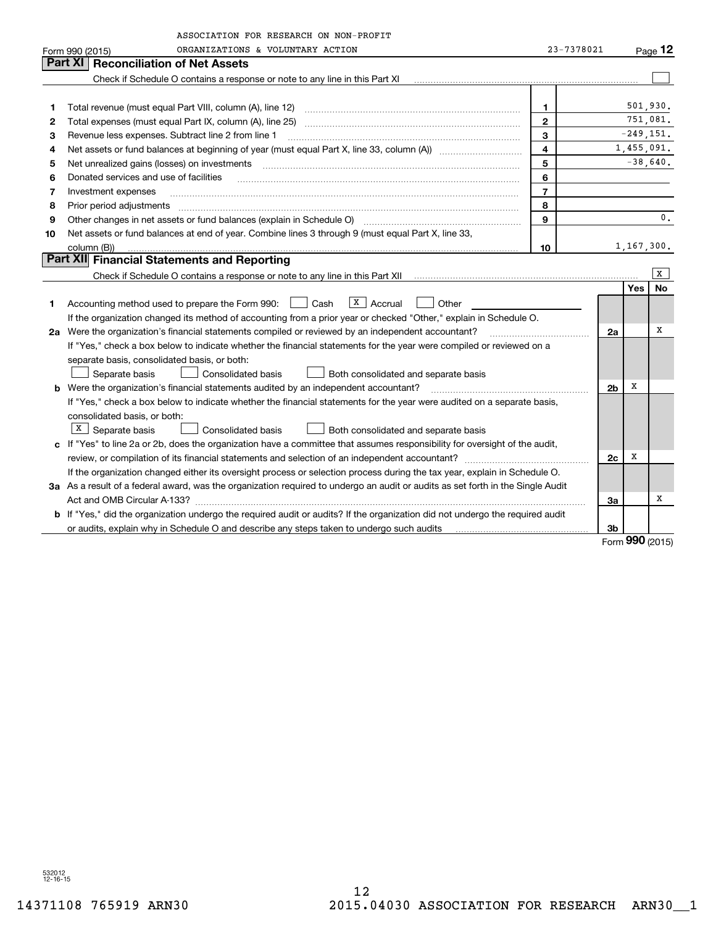|                                                                                                                                 | ASSOCIATION FOR RESEARCH ON NON-PROFIT                                                                                        |                |                |            |            |  |  |  |
|---------------------------------------------------------------------------------------------------------------------------------|-------------------------------------------------------------------------------------------------------------------------------|----------------|----------------|------------|------------|--|--|--|
|                                                                                                                                 | ORGANIZATIONS & VOLUNTARY ACTION<br>Form 990 (2015)                                                                           | 23-7378021     |                |            | Page $12$  |  |  |  |
|                                                                                                                                 | Part XI<br><b>Reconciliation of Net Assets</b>                                                                                |                |                |            |            |  |  |  |
|                                                                                                                                 | Check if Schedule O contains a response or note to any line in this Part XI                                                   |                |                |            |            |  |  |  |
|                                                                                                                                 |                                                                                                                               |                |                |            |            |  |  |  |
| 1                                                                                                                               | Total revenue (must equal Part VIII, column (A), line 12)                                                                     | 1              |                |            | 501,930.   |  |  |  |
| 2                                                                                                                               |                                                                                                                               | $\mathbf{2}$   | 751,081.       |            |            |  |  |  |
| з                                                                                                                               | Revenue less expenses. Subtract line 2 from line 1                                                                            | 3              | $-249,151.$    |            |            |  |  |  |
| 4                                                                                                                               | $\overline{\mathbf{4}}$                                                                                                       |                |                |            |            |  |  |  |
| 5                                                                                                                               | Net unrealized gains (losses) on investments                                                                                  | 5              |                |            | $-38,640.$ |  |  |  |
| 6                                                                                                                               | Donated services and use of facilities                                                                                        | 6              |                |            |            |  |  |  |
| 7                                                                                                                               | Investment expenses                                                                                                           | $\overline{7}$ |                |            |            |  |  |  |
| 8                                                                                                                               | Prior period adjustments                                                                                                      | 8              |                |            |            |  |  |  |
| 9                                                                                                                               | Other changes in net assets or fund balances (explain in Schedule O)                                                          | 9              |                |            | 0.         |  |  |  |
| 10                                                                                                                              | Net assets or fund balances at end of year. Combine lines 3 through 9 (must equal Part X, line 33,                            |                |                |            |            |  |  |  |
|                                                                                                                                 | 10<br>column (B))                                                                                                             |                |                |            |            |  |  |  |
|                                                                                                                                 | Part XII Financial Statements and Reporting                                                                                   |                |                |            |            |  |  |  |
|                                                                                                                                 |                                                                                                                               |                |                |            | X          |  |  |  |
|                                                                                                                                 |                                                                                                                               |                |                | <b>Yes</b> | <b>No</b>  |  |  |  |
| 1                                                                                                                               | X   Accrual<br>Cash<br>Other<br>Accounting method used to prepare the Form 990:                                               |                |                |            |            |  |  |  |
|                                                                                                                                 | If the organization changed its method of accounting from a prior year or checked "Other," explain in Schedule O.             |                |                |            |            |  |  |  |
|                                                                                                                                 | 2a Were the organization's financial statements compiled or reviewed by an independent accountant?                            |                | 2a             |            | x          |  |  |  |
|                                                                                                                                 | If "Yes," check a box below to indicate whether the financial statements for the year were compiled or reviewed on a          |                |                |            |            |  |  |  |
|                                                                                                                                 | separate basis, consolidated basis, or both:                                                                                  |                |                |            |            |  |  |  |
|                                                                                                                                 | <b>Consolidated basis</b><br>Separate basis<br>Both consolidated and separate basis                                           |                |                |            |            |  |  |  |
|                                                                                                                                 | <b>b</b> Were the organization's financial statements audited by an independent accountant?                                   |                | 2 <sub>b</sub> | х          |            |  |  |  |
|                                                                                                                                 | If "Yes," check a box below to indicate whether the financial statements for the year were audited on a separate basis,       |                |                |            |            |  |  |  |
|                                                                                                                                 | consolidated basis, or both:                                                                                                  |                |                |            |            |  |  |  |
|                                                                                                                                 | $\vert$ X $\vert$ Separate basis<br>Consolidated basis<br>Both consolidated and separate basis                                |                |                |            |            |  |  |  |
|                                                                                                                                 | c If "Yes" to line 2a or 2b, does the organization have a committee that assumes responsibility for oversight of the audit,   |                |                |            |            |  |  |  |
|                                                                                                                                 |                                                                                                                               |                | 2c             | х          |            |  |  |  |
|                                                                                                                                 | If the organization changed either its oversight process or selection process during the tax year, explain in Schedule O.     |                |                |            |            |  |  |  |
| 3a As a result of a federal award, was the organization required to undergo an audit or audits as set forth in the Single Audit |                                                                                                                               |                |                |            |            |  |  |  |
|                                                                                                                                 | За                                                                                                                            |                |                |            |            |  |  |  |
|                                                                                                                                 | b If "Yes," did the organization undergo the required audit or audits? If the organization did not undergo the required audit |                |                |            |            |  |  |  |
|                                                                                                                                 | or audits, explain why in Schedule O and describe any steps taken to undergo such audits                                      |                | 3b             |            |            |  |  |  |
|                                                                                                                                 |                                                                                                                               |                |                | $\Omega$   |            |  |  |  |

Form (2015) **990**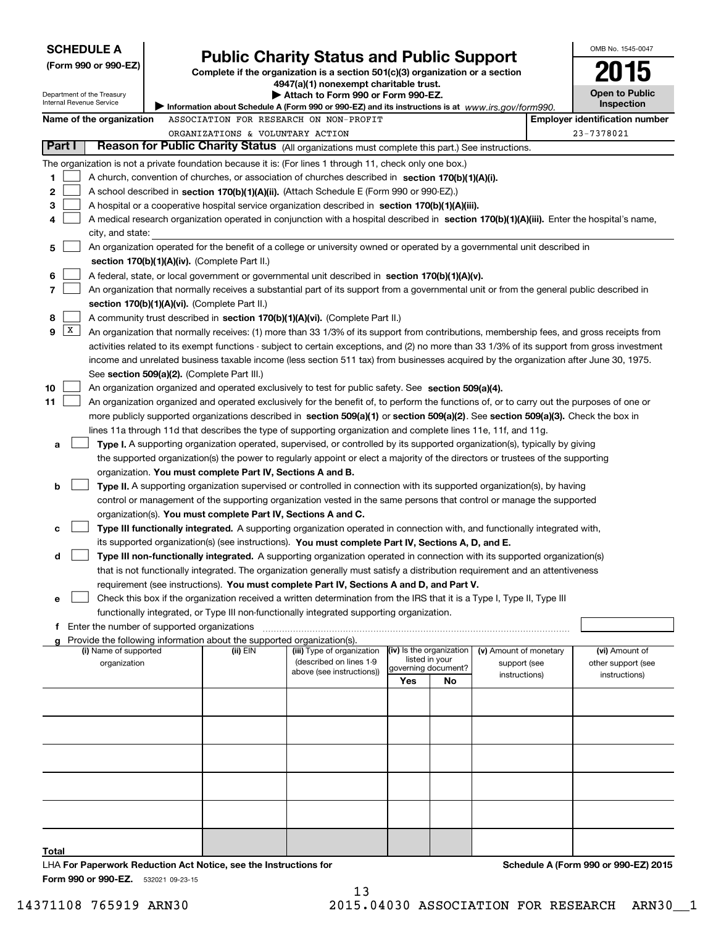| <b>SCHEDULE A</b><br>(Form 990 or 990-EZ)<br>Department of the Treasury<br>Internal Revenue Service |                                             |                                                                        | <b>Public Charity Status and Public Support</b><br>Complete if the organization is a section 501(c)(3) organization or a section<br>4947(a)(1) nonexempt charitable trust.<br>Attach to Form 990 or Form 990-EZ.<br>Information about Schedule A (Form 990 or 990-EZ) and its instructions is at www.irs.gov/form990. |     |                                       |                        | OMB No. 1545-0047<br><b>Open to Public</b><br><b>Inspection</b> |
|-----------------------------------------------------------------------------------------------------|---------------------------------------------|------------------------------------------------------------------------|-----------------------------------------------------------------------------------------------------------------------------------------------------------------------------------------------------------------------------------------------------------------------------------------------------------------------|-----|---------------------------------------|------------------------|-----------------------------------------------------------------|
| Name of the organization                                                                            |                                             |                                                                        | ASSOCIATION FOR RESEARCH ON NON-PROFIT                                                                                                                                                                                                                                                                                |     |                                       |                        | <b>Employer identification number</b>                           |
|                                                                                                     |                                             | ORGANIZATIONS & VOLUNTARY ACTION                                       |                                                                                                                                                                                                                                                                                                                       |     |                                       |                        | 23-7378021                                                      |
| Part I                                                                                              |                                             |                                                                        | Reason for Public Charity Status (All organizations must complete this part.) See instructions.                                                                                                                                                                                                                       |     |                                       |                        |                                                                 |
|                                                                                                     |                                             |                                                                        | The organization is not a private foundation because it is: (For lines 1 through 11, check only one box.)                                                                                                                                                                                                             |     |                                       |                        |                                                                 |
| 1                                                                                                   |                                             |                                                                        | A church, convention of churches, or association of churches described in section 170(b)(1)(A)(i).                                                                                                                                                                                                                    |     |                                       |                        |                                                                 |
| 2                                                                                                   |                                             |                                                                        | A school described in section 170(b)(1)(A)(ii). (Attach Schedule E (Form 990 or 990-EZ).)                                                                                                                                                                                                                             |     |                                       |                        |                                                                 |
| 3                                                                                                   |                                             |                                                                        | A hospital or a cooperative hospital service organization described in section 170(b)(1)(A)(iii).                                                                                                                                                                                                                     |     |                                       |                        |                                                                 |
| 4                                                                                                   |                                             |                                                                        | A medical research organization operated in conjunction with a hospital described in section 170(b)(1)(A)(iii). Enter the hospital's name,                                                                                                                                                                            |     |                                       |                        |                                                                 |
| city, and state:                                                                                    |                                             |                                                                        |                                                                                                                                                                                                                                                                                                                       |     |                                       |                        |                                                                 |
| 5                                                                                                   |                                             |                                                                        | An organization operated for the benefit of a college or university owned or operated by a governmental unit described in                                                                                                                                                                                             |     |                                       |                        |                                                                 |
|                                                                                                     |                                             | section 170(b)(1)(A)(iv). (Complete Part II.)                          |                                                                                                                                                                                                                                                                                                                       |     |                                       |                        |                                                                 |
| 6                                                                                                   |                                             |                                                                        | A federal, state, or local government or governmental unit described in section 170(b)(1)(A)(v).                                                                                                                                                                                                                      |     |                                       |                        |                                                                 |
| 7                                                                                                   |                                             | section 170(b)(1)(A)(vi). (Complete Part II.)                          | An organization that normally receives a substantial part of its support from a governmental unit or from the general public described in                                                                                                                                                                             |     |                                       |                        |                                                                 |
| 8                                                                                                   |                                             |                                                                        | A community trust described in section 170(b)(1)(A)(vi). (Complete Part II.)                                                                                                                                                                                                                                          |     |                                       |                        |                                                                 |
| $\mathbf{x}$<br>9                                                                                   |                                             |                                                                        | An organization that normally receives: (1) more than 33 1/3% of its support from contributions, membership fees, and gross receipts from                                                                                                                                                                             |     |                                       |                        |                                                                 |
|                                                                                                     |                                             |                                                                        | activities related to its exempt functions - subject to certain exceptions, and (2) no more than 33 1/3% of its support from gross investment                                                                                                                                                                         |     |                                       |                        |                                                                 |
|                                                                                                     |                                             |                                                                        | income and unrelated business taxable income (less section 511 tax) from businesses acquired by the organization after June 30, 1975.                                                                                                                                                                                 |     |                                       |                        |                                                                 |
|                                                                                                     | See section 509(a)(2). (Complete Part III.) |                                                                        |                                                                                                                                                                                                                                                                                                                       |     |                                       |                        |                                                                 |
| 10                                                                                                  |                                             |                                                                        | An organization organized and operated exclusively to test for public safety. See section 509(a)(4).                                                                                                                                                                                                                  |     |                                       |                        |                                                                 |
| 11                                                                                                  |                                             |                                                                        | An organization organized and operated exclusively for the benefit of, to perform the functions of, or to carry out the purposes of one or                                                                                                                                                                            |     |                                       |                        |                                                                 |
|                                                                                                     |                                             |                                                                        | more publicly supported organizations described in section 509(a)(1) or section 509(a)(2). See section 509(a)(3). Check the box in                                                                                                                                                                                    |     |                                       |                        |                                                                 |
|                                                                                                     |                                             |                                                                        | lines 11a through 11d that describes the type of supporting organization and complete lines 11e, 11f, and 11g.                                                                                                                                                                                                        |     |                                       |                        |                                                                 |
| а                                                                                                   |                                             |                                                                        | Type I. A supporting organization operated, supervised, or controlled by its supported organization(s), typically by giving                                                                                                                                                                                           |     |                                       |                        |                                                                 |
|                                                                                                     |                                             | organization. You must complete Part IV, Sections A and B.             | the supported organization(s) the power to regularly appoint or elect a majority of the directors or trustees of the supporting                                                                                                                                                                                       |     |                                       |                        |                                                                 |
| b                                                                                                   |                                             |                                                                        | Type II. A supporting organization supervised or controlled in connection with its supported organization(s), by having                                                                                                                                                                                               |     |                                       |                        |                                                                 |
|                                                                                                     |                                             |                                                                        | control or management of the supporting organization vested in the same persons that control or manage the supported                                                                                                                                                                                                  |     |                                       |                        |                                                                 |
|                                                                                                     |                                             | organization(s). You must complete Part IV, Sections A and C.          |                                                                                                                                                                                                                                                                                                                       |     |                                       |                        |                                                                 |
| с                                                                                                   |                                             |                                                                        | <b>Type III functionally integrated.</b> A supporting organization operated in connection with, and functionally integrated with,                                                                                                                                                                                     |     |                                       |                        |                                                                 |
|                                                                                                     |                                             |                                                                        | its supported organization(s) (see instructions). You must complete Part IV, Sections A, D, and E.                                                                                                                                                                                                                    |     |                                       |                        |                                                                 |
| d                                                                                                   |                                             |                                                                        | Type III non-functionally integrated. A supporting organization operated in connection with its supported organization(s)                                                                                                                                                                                             |     |                                       |                        |                                                                 |
|                                                                                                     |                                             |                                                                        | that is not functionally integrated. The organization generally must satisfy a distribution requirement and an attentiveness                                                                                                                                                                                          |     |                                       |                        |                                                                 |
|                                                                                                     |                                             |                                                                        | requirement (see instructions). You must complete Part IV, Sections A and D, and Part V.                                                                                                                                                                                                                              |     |                                       |                        |                                                                 |
| е                                                                                                   |                                             |                                                                        | Check this box if the organization received a written determination from the IRS that it is a Type I, Type II, Type III                                                                                                                                                                                               |     |                                       |                        |                                                                 |
|                                                                                                     |                                             |                                                                        | functionally integrated, or Type III non-functionally integrated supporting organization.                                                                                                                                                                                                                             |     |                                       |                        |                                                                 |
| Enter the number of supported organizations<br>f                                                    |                                             | Provide the following information about the supported organization(s). |                                                                                                                                                                                                                                                                                                                       |     |                                       |                        |                                                                 |
| g<br>(i) Name of supported                                                                          |                                             | (ii) EIN                                                               | (iii) Type of organization                                                                                                                                                                                                                                                                                            |     | (iv) Is the organization              | (v) Amount of monetary | (vi) Amount of                                                  |
| organization                                                                                        |                                             |                                                                        | (described on lines 1-9<br>above (see instructions))                                                                                                                                                                                                                                                                  |     | listed in your<br>governing document? | support (see           | other support (see                                              |
|                                                                                                     |                                             |                                                                        |                                                                                                                                                                                                                                                                                                                       | Yes | No                                    | instructions)          | instructions)                                                   |
|                                                                                                     |                                             |                                                                        |                                                                                                                                                                                                                                                                                                                       |     |                                       |                        |                                                                 |
|                                                                                                     |                                             |                                                                        |                                                                                                                                                                                                                                                                                                                       |     |                                       |                        |                                                                 |
|                                                                                                     |                                             |                                                                        |                                                                                                                                                                                                                                                                                                                       |     |                                       |                        |                                                                 |
|                                                                                                     |                                             |                                                                        |                                                                                                                                                                                                                                                                                                                       |     |                                       |                        |                                                                 |
|                                                                                                     |                                             |                                                                        |                                                                                                                                                                                                                                                                                                                       |     |                                       |                        |                                                                 |
|                                                                                                     |                                             |                                                                        |                                                                                                                                                                                                                                                                                                                       |     |                                       |                        |                                                                 |
|                                                                                                     |                                             |                                                                        |                                                                                                                                                                                                                                                                                                                       |     |                                       |                        |                                                                 |
|                                                                                                     |                                             |                                                                        |                                                                                                                                                                                                                                                                                                                       |     |                                       |                        |                                                                 |
|                                                                                                     |                                             |                                                                        |                                                                                                                                                                                                                                                                                                                       |     |                                       |                        |                                                                 |
|                                                                                                     |                                             |                                                                        |                                                                                                                                                                                                                                                                                                                       |     |                                       |                        |                                                                 |
| Total                                                                                               |                                             |                                                                        |                                                                                                                                                                                                                                                                                                                       |     |                                       |                        |                                                                 |
| LHA For Paperwork Reduction Act Notice, see the Instructions for                                    |                                             |                                                                        |                                                                                                                                                                                                                                                                                                                       |     |                                       |                        | Schedule A (Form 990 or 990-EZ) 2015                            |

**Form 990 or 990-EZ.** 532021 09-23-15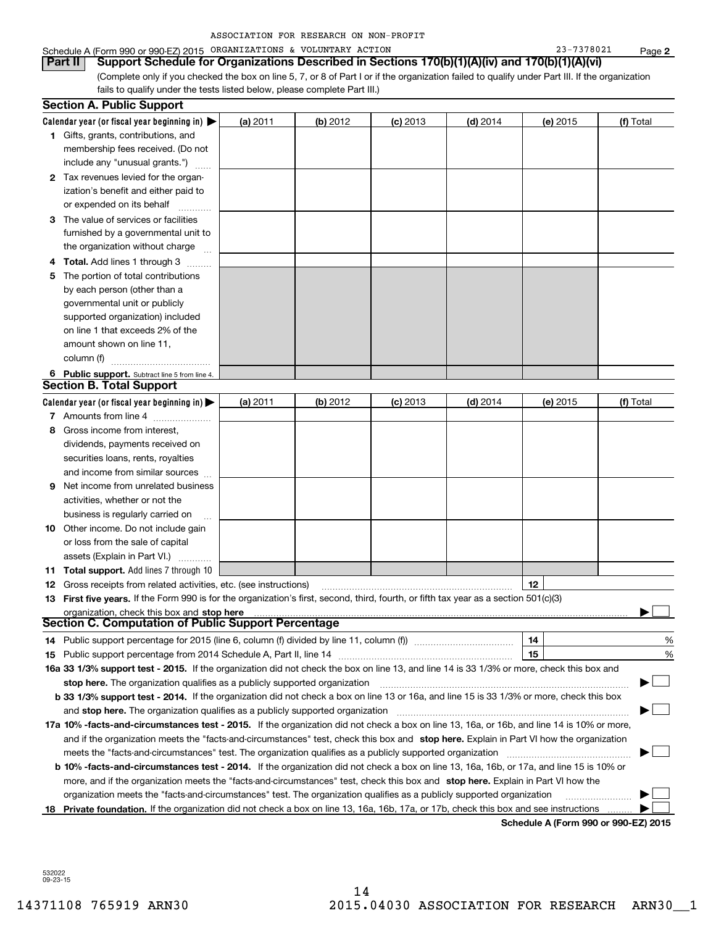| ASSOCIATION FOR RESEARCH ON NON-PROFIT |  |  |  |  |
|----------------------------------------|--|--|--|--|
|----------------------------------------|--|--|--|--|

## Schedule A (Form 990 or 990-EZ) 2015 Page ORGANIZATIONS & VOLUNTARY ACTION 23-7378021

(Complete only if you checked the box on line 5, 7, or 8 of Part I or if the organization failed to qualify under Part III. If the organization fails to qualify under the tests listed below, please complete Part III.) **Part II Support Schedule for Organizations Described in Sections 170(b)(1)(A)(iv) and 170(b)(1)(A)(vi)**

|   | <b>Section A. Public Support</b>                                                                                                               |          |          |            |            |                                             |           |
|---|------------------------------------------------------------------------------------------------------------------------------------------------|----------|----------|------------|------------|---------------------------------------------|-----------|
|   | Calendar year (or fiscal year beginning in) $\blacktriangleright$                                                                              | (a) 2011 | (b) 2012 | $(c)$ 2013 | $(d)$ 2014 | (e) 2015                                    | (f) Total |
|   | 1 Gifts, grants, contributions, and                                                                                                            |          |          |            |            |                                             |           |
|   | membership fees received. (Do not                                                                                                              |          |          |            |            |                                             |           |
|   | include any "unusual grants.")                                                                                                                 |          |          |            |            |                                             |           |
|   | 2 Tax revenues levied for the organ-                                                                                                           |          |          |            |            |                                             |           |
|   | ization's benefit and either paid to                                                                                                           |          |          |            |            |                                             |           |
|   | or expended on its behalf                                                                                                                      |          |          |            |            |                                             |           |
|   | 3 The value of services or facilities                                                                                                          |          |          |            |            |                                             |           |
|   | furnished by a governmental unit to                                                                                                            |          |          |            |            |                                             |           |
|   | the organization without charge                                                                                                                |          |          |            |            |                                             |           |
| 4 | <b>Total.</b> Add lines 1 through 3                                                                                                            |          |          |            |            |                                             |           |
| 5 | The portion of total contributions                                                                                                             |          |          |            |            |                                             |           |
|   | by each person (other than a                                                                                                                   |          |          |            |            |                                             |           |
|   | governmental unit or publicly                                                                                                                  |          |          |            |            |                                             |           |
|   | supported organization) included                                                                                                               |          |          |            |            |                                             |           |
|   | on line 1 that exceeds 2% of the                                                                                                               |          |          |            |            |                                             |           |
|   | amount shown on line 11,                                                                                                                       |          |          |            |            |                                             |           |
|   | column (f)                                                                                                                                     |          |          |            |            |                                             |           |
|   | 6 Public support. Subtract line 5 from line 4.                                                                                                 |          |          |            |            |                                             |           |
|   | <b>Section B. Total Support</b>                                                                                                                |          |          |            |            |                                             |           |
|   | Calendar year (or fiscal year beginning in) $\blacktriangleright$                                                                              | (a) 2011 | (b) 2012 | $(c)$ 2013 | $(d)$ 2014 | (e) 2015                                    | (f) Total |
|   | 7 Amounts from line 4                                                                                                                          |          |          |            |            |                                             |           |
| 8 | Gross income from interest,                                                                                                                    |          |          |            |            |                                             |           |
|   | dividends, payments received on                                                                                                                |          |          |            |            |                                             |           |
|   | securities loans, rents, royalties                                                                                                             |          |          |            |            |                                             |           |
|   | and income from similar sources                                                                                                                |          |          |            |            |                                             |           |
| 9 | Net income from unrelated business                                                                                                             |          |          |            |            |                                             |           |
|   | activities, whether or not the                                                                                                                 |          |          |            |            |                                             |           |
|   | business is regularly carried on                                                                                                               |          |          |            |            |                                             |           |
|   | <b>10</b> Other income. Do not include gain                                                                                                    |          |          |            |            |                                             |           |
|   | or loss from the sale of capital                                                                                                               |          |          |            |            |                                             |           |
|   | assets (Explain in Part VI.)                                                                                                                   |          |          |            |            |                                             |           |
|   | <b>11 Total support.</b> Add lines 7 through 10                                                                                                |          |          |            |            |                                             |           |
|   | <b>12</b> Gross receipts from related activities, etc. (see instructions)                                                                      |          |          |            |            | 12                                          |           |
|   | 13 First five years. If the Form 990 is for the organization's first, second, third, fourth, or fifth tax year as a section 501(c)(3)          |          |          |            |            |                                             |           |
|   | organization, check this box and stop here                                                                                                     |          |          |            |            |                                             |           |
|   | Section C. Computation of Public Support Percentage                                                                                            |          |          |            |            |                                             |           |
|   | 14 Public support percentage for 2015 (line 6, column (f) divided by line 11, column (f) <i>mummention</i>                                     |          |          |            |            | 14                                          | %         |
|   |                                                                                                                                                |          |          |            |            | 15                                          | %         |
|   | 16a 33 1/3% support test - 2015. If the organization did not check the box on line 13, and line 14 is 33 1/3% or more, check this box and      |          |          |            |            |                                             |           |
|   | stop here. The organization qualifies as a publicly supported organization                                                                     |          |          |            |            |                                             |           |
|   | b 33 1/3% support test - 2014. If the organization did not check a box on line 13 or 16a, and line 15 is 33 1/3% or more, check this box       |          |          |            |            |                                             |           |
|   | and stop here. The organization qualifies as a publicly supported organization                                                                 |          |          |            |            |                                             |           |
|   | 17a 10% -facts-and-circumstances test - 2015. If the organization did not check a box on line 13, 16a, or 16b, and line 14 is 10% or more,     |          |          |            |            |                                             |           |
|   | and if the organization meets the "facts-and-circumstances" test, check this box and stop here. Explain in Part VI how the organization        |          |          |            |            |                                             |           |
|   | meets the "facts-and-circumstances" test. The organization qualifies as a publicly supported organization                                      |          |          |            |            |                                             |           |
|   | <b>b 10% -facts-and-circumstances test - 2014.</b> If the organization did not check a box on line 13, 16a, 16b, or 17a, and line 15 is 10% or |          |          |            |            |                                             |           |
|   | more, and if the organization meets the "facts-and-circumstances" test, check this box and stop here. Explain in Part VI how the               |          |          |            |            |                                             |           |
|   | organization meets the "facts-and-circumstances" test. The organization qualifies as a publicly supported organization                         |          |          |            |            |                                             |           |
|   | 18 Private foundation. If the organization did not check a box on line 13, 16a, 16b, 17a, or 17b, check this box and see instructions          |          |          |            |            | <b>Cohodulo A (Form 000 or 000 EZ) 2015</b> |           |

**Schedule A (Form 990 or 990-EZ) 2015**

**2**

532022 09-23-15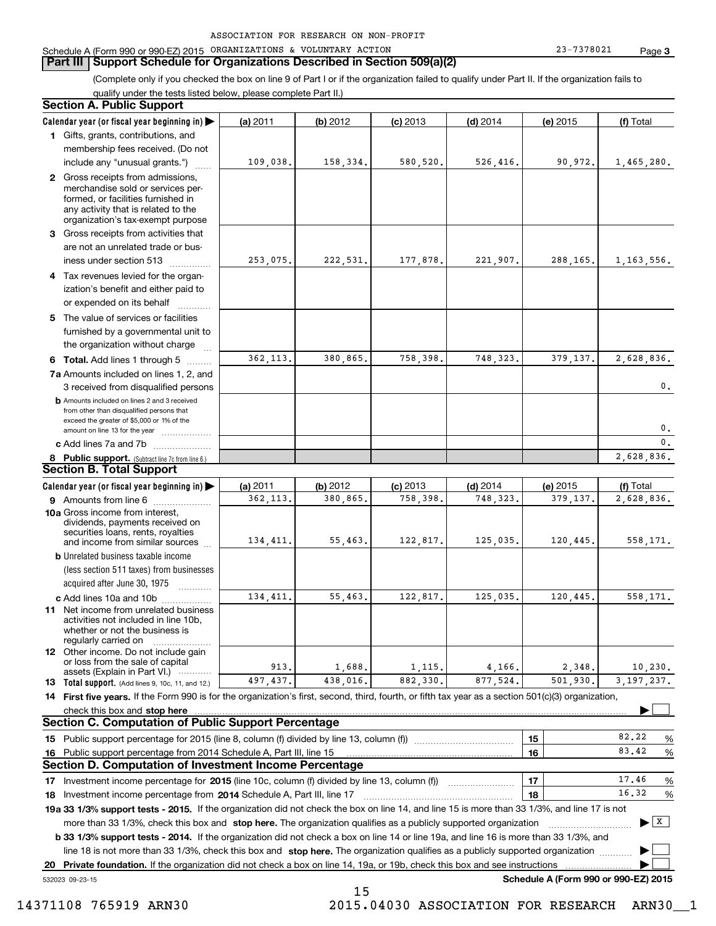## **Part III Support Schedule for Organizations Described in Section 509(a)(2)**

(Complete only if you checked the box on line 9 of Part I or if the organization failed to qualify under Part II. If the organization fails to qualify under the tests listed below, please complete Part II.)

## **8 Public support.** (Subtract line 7c from line 6.) **b** Amounts included on lines 2 and 3 received from other than disqualified persons that exceed the greater of \$5,000 or 1% of the amount on line 13 for the year  $\ldots$ ............... **13 Total support.** (Add lines 9, 10c, 11, and 12.) 532023 09-23-15 **Calendar year (or fiscal year beginning in) | Calendar year (or fiscal year beginning in) | (a)** 2011 **| (b)** 2012 **| (c)** 2013 **| (d)** 2014 **| (e)** 2015 **| (f) 1**Gifts, grants, contributions, and **2** Gross receipts from admissions, **3** Gross receipts from activities that **4**Tax revenues levied for the organ-**5** The value of services or facilities **6 Total.** Add lines 1 through 5  $\ldots$ ... **7a**Amounts included on lines 1, 2, and **c** Add lines 7a and 7b  $\ldots$   $\ldots$   $\ldots$  ... **(a)** 2011 **| (b)** 2012 **| (c)** 2013 **| (d)** 2014 **| (e)** 2015 **| (f) 9** Amounts from line 6  $^{10}$ **10a**Gross income from interest, **b** Unrelated business taxable income **c** Add lines 10a and 10b  $^{100}$ **11** Net income from unrelated business **12** Other income. Do not include gain **14 First five years.** If the Form 990 is for the organization's first, second, third, fourth, or fifth tax year as a section 501(c)(3) organization, **stop here** check this box and | **151615161718 2014** Investment income percentage from Schedule A, Part III, line 17 ~~~~~~~~~~~~~~~~~~**19a 33 1/3% support tests - 2015.** If the organization did not check the box on line 14, and line 15 is more than 33 1/3%, and line 17 is not **20Private foundation.**  If the organization did not check a box on line 14, 19a, or 19b, check this box and see instructions | Investment income percentage for 2015 (line 10c, column (f) divided by line 13, column (f)) **1718b 33 1/3% support tests - 2014.** If the organization did not check a box on line 14 or line 19a, and line 16 is more than 33 1/3%, and more than 33 1/3%, check this box and stop here. The organization qualifies as a publicly supported organization *www.www.www.* line 18 is not more than 33 1/3%, check this box and stop here. The organization qualifies as a publicly supported organization  $\Box$ **Schedule A (Form 990 or 990-EZ) 2015** (less section 511 taxes) from businesses acquired after June 30, 1975 (a) 2011 11 | **(b)** 2012 | **(c)** 2013 | **(d)** 2014 | **(e)** 2015 | **(f)** Total membership fees received. (Do not include any "unusual grants.") merchandise sold or services performed, or facilities furnished in any activity that is related to the organization's tax-exempt purpose are not an unrelated trade or business under section 513  $\quad$ ization's benefit and either paid to or expended on its behalf  $^{+}_{-}\,$   $^{+}\,$   $^{+}\,$ furnished by a governmental unit to the organization without charge 3 received from disqualified persons (a) 2011 11 | **(b)** 2012 | **(c)** 2013 | **(d)** 2014 | **(e)** 2015 | **(f)** Total dividends, payments received on securities loans, rents, royalties and income from similar sources activities not included in line 10b, whether or not the business is regularly carried on or loss from the sale of capital assets (Explain in Part VI.) ............ Public support percentage for 2015 (line 8, column (f) divided by line 13, column (f)) ~~~~~~~~~~~~Public support percentage from 2014 Schedule A, Part III, line 15 % 82.22 %  $\ldots$  | 17 |  $\ldots$  | 17 |  $\ldots$  | 17 |  $\ldots$  | 17 |  $\ldots$  | 17 |  $\ldots$  | 17 |  $\ldots$  |  $\ldots$  | 17 |  $\ldots$  |  $\ldots$  |  $\ldots$  |  $\ldots$  |  $\ldots$  |  $\ldots$  |  $\ldots$  |  $\ldots$  |  $\ldots$  |  $\ldots$  |  $\ldots$  |  $\ldots$  |  $\ldots$  |  $\ldots$  |  $\ldots$  |  $\$  $\ldots$  | 18 |  $\ldots$  | 18 | **Section A. Public Support Section B. Total Support Section C. Computation of Public Support Percentage Section D. Computation of Investment Income Percentage**  $\mathcal{L}^{\text{max}}$  $\boxed{\mathbf{X}}$  $\mathcal{L}^{\text{max}}$  $\mathcal{L}^{\text{max}}$ 109,038. 158,334. 580,520. 526,416. 90,972. 1,465,280. 253,075. 222,531. 177,878. 221,907. 288,165. 1,163,556. 362,113. 380,865. 758,398. 748,323. 379,137. 2,628,836. 362,113. 380,865. 758,398. 748,323. 379,137. 2,628,836. 0.0. $\overline{\mathbf{0}}$ . 2,628,836. 134,411. 55,463. 122,817. 125,035. 120,445. 558,171. 134,411. 55,463. 122,817. 125,035. 120,445. 558,171. 913.3.| 1,688.| 1,115.| 4,166.| 2,348.| 10,230. 3,197,237. 83.4217.4616.32497,437. 438,016. 882,330. 877,524. 501,930. 15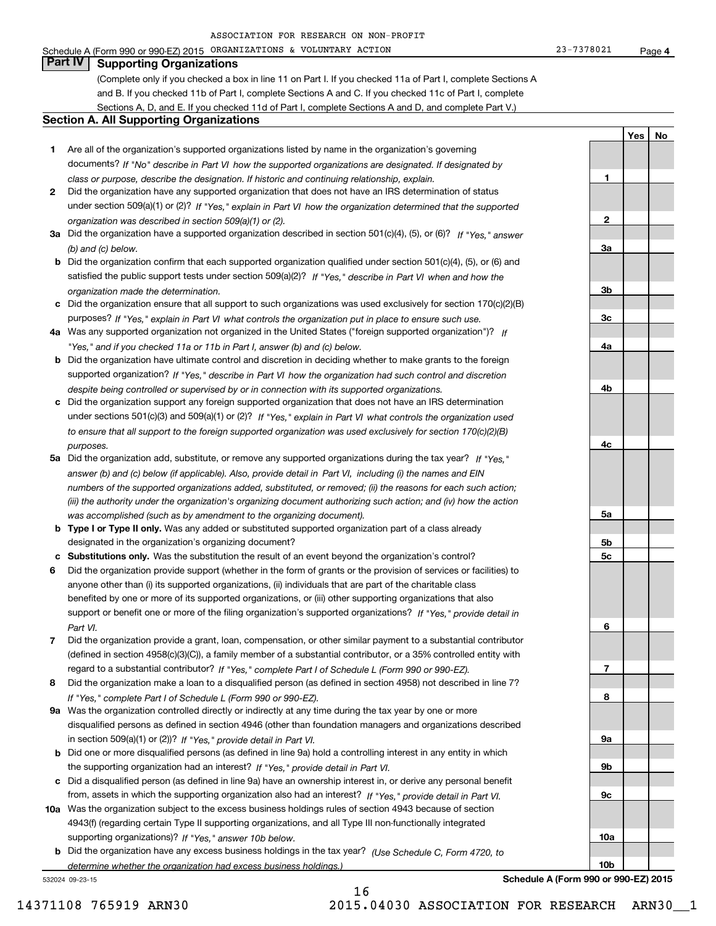Schedule A (Form 990 or 990-EZ) 2015 Page ORGANIZATIONS & VOLUNTARY ACTION 23-7378021

**1**

**2**

**3a**

**3b**

**3c**

**4a**

**4b**

**4c**

**5a**

**5b5c**

**6**

**7**

**8**

**9a**

**9b**

**9c**

**10a**

**10b**

**YesNo**

## **Part IV Supporting Organizations**

(Complete only if you checked a box in line 11 on Part I. If you checked 11a of Part I, complete Sections A and B. If you checked 11b of Part I, complete Sections A and C. If you checked 11c of Part I, complete Sections A, D, and E. If you checked 11d of Part I, complete Sections A and D, and complete Part V.)

## **Section A. All Supporting Organizations**

- **1** Are all of the organization's supported organizations listed by name in the organization's governing *If "No" describe in how the supported organizations are designated. If designated by* documents? *Part VI class or purpose, describe the designation. If historic and continuing relationship, explain.*
- **2** Did the organization have any supported organization that does not have an IRS determination of status under section 509(a)(1) or (2)? If "Yes," explain in Part VI how the organization determined that the supported *organization was described in section 509(a)(1) or (2).*
- **3a** Did the organization have a supported organization described in section 501(c)(4), (5), or (6)? If "Yes," answer *(b) and (c) below.*
- **b** Did the organization confirm that each supported organization qualified under section 501(c)(4), (5), or (6) and satisfied the public support tests under section 509(a)(2)? If "Yes," describe in Part VI when and how the *organization made the determination.*
- **c**Did the organization ensure that all support to such organizations was used exclusively for section 170(c)(2)(B) purposes? If "Yes," explain in Part VI what controls the organization put in place to ensure such use.
- **4a***If* Was any supported organization not organized in the United States ("foreign supported organization")? *"Yes," and if you checked 11a or 11b in Part I, answer (b) and (c) below.*
- **b** Did the organization have ultimate control and discretion in deciding whether to make grants to the foreign supported organization? If "Yes," describe in Part VI how the organization had such control and discretion *despite being controlled or supervised by or in connection with its supported organizations.*
- **c** Did the organization support any foreign supported organization that does not have an IRS determination under sections 501(c)(3) and 509(a)(1) or (2)? If "Yes," explain in Part VI what controls the organization used *to ensure that all support to the foreign supported organization was used exclusively for section 170(c)(2)(B) purposes.*
- **5a** Did the organization add, substitute, or remove any supported organizations during the tax year? If "Yes," answer (b) and (c) below (if applicable). Also, provide detail in Part VI, including (i) the names and EIN *numbers of the supported organizations added, substituted, or removed; (ii) the reasons for each such action; (iii) the authority under the organization's organizing document authorizing such action; and (iv) how the action was accomplished (such as by amendment to the organizing document).*
- **b** Type I or Type II only. Was any added or substituted supported organization part of a class already designated in the organization's organizing document?
- **cSubstitutions only.**  Was the substitution the result of an event beyond the organization's control?
- **6** Did the organization provide support (whether in the form of grants or the provision of services or facilities) to *If "Yes," provide detail in* support or benefit one or more of the filing organization's supported organizations? anyone other than (i) its supported organizations, (ii) individuals that are part of the charitable class benefited by one or more of its supported organizations, or (iii) other supporting organizations that also *Part VI.*
- **7**Did the organization provide a grant, loan, compensation, or other similar payment to a substantial contributor *If "Yes," complete Part I of Schedule L (Form 990 or 990-EZ).* regard to a substantial contributor? (defined in section 4958(c)(3)(C)), a family member of a substantial contributor, or a 35% controlled entity with
- **8** Did the organization make a loan to a disqualified person (as defined in section 4958) not described in line 7? *If "Yes," complete Part I of Schedule L (Form 990 or 990-EZ).*
- **9a** Was the organization controlled directly or indirectly at any time during the tax year by one or more in section 509(a)(1) or (2))? If "Yes," *provide detail in Part VI.* disqualified persons as defined in section 4946 (other than foundation managers and organizations described
- **b** Did one or more disqualified persons (as defined in line 9a) hold a controlling interest in any entity in which the supporting organization had an interest? If "Yes," provide detail in Part VI.
- **c**Did a disqualified person (as defined in line 9a) have an ownership interest in, or derive any personal benefit from, assets in which the supporting organization also had an interest? If "Yes," provide detail in Part VI.
- **10a** Was the organization subject to the excess business holdings rules of section 4943 because of section supporting organizations)? If "Yes," answer 10b below. 4943(f) (regarding certain Type II supporting organizations, and all Type III non-functionally integrated
- **b** Did the organization have any excess business holdings in the tax year? (Use Schedule C, Form 4720, to *determine whether the organization had excess business holdings.)*

16

532024 09-23-15

**Schedule A (Form 990 or 990-EZ) 2015**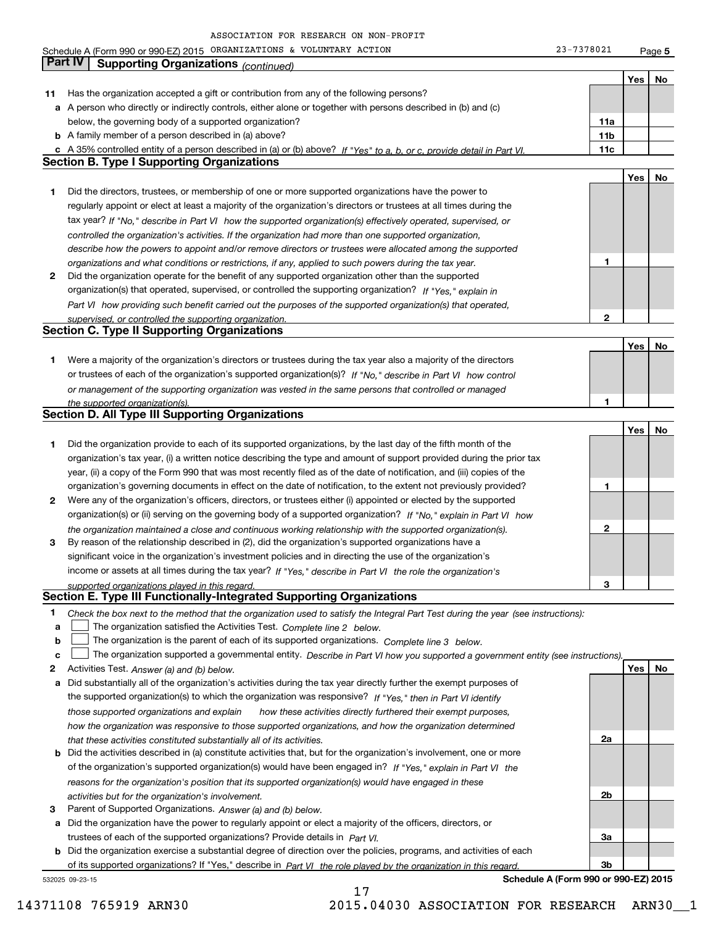Schedule A (Form 990 or 990-EZ) 2015 Page ORGANIZATIONS & VOLUNTARY ACTION 23-7378021

**5**

|        | Part IV<br><b>Supporting Organizations (continued)</b>                                                                                                                        |     |     |    |
|--------|-------------------------------------------------------------------------------------------------------------------------------------------------------------------------------|-----|-----|----|
|        |                                                                                                                                                                               |     | Yes | No |
| 11     | Has the organization accepted a gift or contribution from any of the following persons?                                                                                       |     |     |    |
|        | a A person who directly or indirectly controls, either alone or together with persons described in (b) and (c)                                                                |     |     |    |
|        | below, the governing body of a supported organization?                                                                                                                        | 11a |     |    |
|        | <b>b</b> A family member of a person described in (a) above?                                                                                                                  | 11b |     |    |
|        | c A 35% controlled entity of a person described in (a) or (b) above? If "Yes" to a, b, or c, provide detail in Part VI.                                                       | 11c |     |    |
|        | <b>Section B. Type I Supporting Organizations</b>                                                                                                                             |     |     |    |
|        |                                                                                                                                                                               |     | Yes | No |
| 1      | Did the directors, trustees, or membership of one or more supported organizations have the power to                                                                           |     |     |    |
|        |                                                                                                                                                                               |     |     |    |
|        | regularly appoint or elect at least a majority of the organization's directors or trustees at all times during the                                                            |     |     |    |
|        | tax year? If "No," describe in Part VI how the supported organization(s) effectively operated, supervised, or                                                                 |     |     |    |
|        | controlled the organization's activities. If the organization had more than one supported organization,                                                                       |     |     |    |
|        | describe how the powers to appoint and/or remove directors or trustees were allocated among the supported                                                                     |     |     |    |
|        | organizations and what conditions or restrictions, if any, applied to such powers during the tax year.                                                                        | 1   |     |    |
| 2      | Did the organization operate for the benefit of any supported organization other than the supported                                                                           |     |     |    |
|        | organization(s) that operated, supervised, or controlled the supporting organization? If "Yes," explain in                                                                    |     |     |    |
|        | Part VI how providing such benefit carried out the purposes of the supported organization(s) that operated,                                                                   |     |     |    |
|        | supervised, or controlled the supporting organization.                                                                                                                        | 2   |     |    |
|        | <b>Section C. Type II Supporting Organizations</b>                                                                                                                            |     |     |    |
|        |                                                                                                                                                                               |     | Yes | No |
| 1      | Were a majority of the organization's directors or trustees during the tax year also a majority of the directors                                                              |     |     |    |
|        | or trustees of each of the organization's supported organization(s)? If "No," describe in Part VI how control                                                                 |     |     |    |
|        | or management of the supporting organization was vested in the same persons that controlled or managed                                                                        |     |     |    |
|        | the supported organization(s).                                                                                                                                                |     |     |    |
|        | <b>Section D. All Type III Supporting Organizations</b>                                                                                                                       |     |     |    |
|        |                                                                                                                                                                               |     | Yes | No |
| 1      | Did the organization provide to each of its supported organizations, by the last day of the fifth month of the                                                                |     |     |    |
|        | organization's tax year, (i) a written notice describing the type and amount of support provided during the prior tax                                                         |     |     |    |
|        | year, (ii) a copy of the Form 990 that was most recently filed as of the date of notification, and (iii) copies of the                                                        |     |     |    |
|        | organization's governing documents in effect on the date of notification, to the extent not previously provided?                                                              | 1   |     |    |
| 2      | Were any of the organization's officers, directors, or trustees either (i) appointed or elected by the supported                                                              |     |     |    |
|        | organization(s) or (ii) serving on the governing body of a supported organization? If "No," explain in Part VI how                                                            |     |     |    |
|        | the organization maintained a close and continuous working relationship with the supported organization(s).                                                                   | 2   |     |    |
| з      | By reason of the relationship described in (2), did the organization's supported organizations have a                                                                         |     |     |    |
|        | significant voice in the organization's investment policies and in directing the use of the organization's                                                                    |     |     |    |
|        | income or assets at all times during the tax year? If "Yes," describe in Part VI the role the organization's                                                                  |     |     |    |
|        | supported organizations played in this regard.                                                                                                                                | 3   |     |    |
|        | Section E. Type III Functionally-Integrated Supporting Organizations                                                                                                          |     |     |    |
| 1      | Check the box next to the method that the organization used to satisfy the Integral Part Test during the year (see instructions):                                             |     |     |    |
| a      | The organization satisfied the Activities Test. Complete line 2 below.                                                                                                        |     |     |    |
| b      | The organization is the parent of each of its supported organizations. Complete line 3 below.                                                                                 |     |     |    |
|        |                                                                                                                                                                               |     |     |    |
| C<br>2 | The organization supported a governmental entity. Describe in Part VI how you supported a government entity (see instructions).<br>Activities Test. Answer (a) and (b) below. |     | Yes | No |
|        | Did substantially all of the organization's activities during the tax year directly further the exempt purposes of                                                            |     |     |    |
| a      |                                                                                                                                                                               |     |     |    |
|        | the supported organization(s) to which the organization was responsive? If "Yes," then in Part VI identify                                                                    |     |     |    |
|        | those supported organizations and explain<br>how these activities directly furthered their exempt purposes,                                                                   |     |     |    |
|        | how the organization was responsive to those supported organizations, and how the organization determined                                                                     |     |     |    |
|        | that these activities constituted substantially all of its activities.                                                                                                        | 2a  |     |    |
|        | <b>b</b> Did the activities described in (a) constitute activities that, but for the organization's involvement, one or more                                                  |     |     |    |
|        | of the organization's supported organization(s) would have been engaged in? If "Yes," explain in Part VI the                                                                  |     |     |    |
|        | reasons for the organization's position that its supported organization(s) would have engaged in these                                                                        |     |     |    |
|        | activities but for the organization's involvement.                                                                                                                            | 2b  |     |    |
| з      | Parent of Supported Organizations. Answer (a) and (b) below.                                                                                                                  |     |     |    |
| а      | Did the organization have the power to regularly appoint or elect a majority of the officers, directors, or                                                                   |     |     |    |
|        | trustees of each of the supported organizations? Provide details in Part VI.                                                                                                  | За  |     |    |
|        | <b>b</b> Did the organization exercise a substantial degree of direction over the policies, programs, and activities of each                                                  |     |     |    |
|        | of its supported organizations? If "Yes," describe in Part VI the role played by the organization in this regard.                                                             | Зb  |     |    |
|        | Schedule A (Form 990 or 990-EZ) 2015<br>532025 09-23-15                                                                                                                       |     |     |    |

17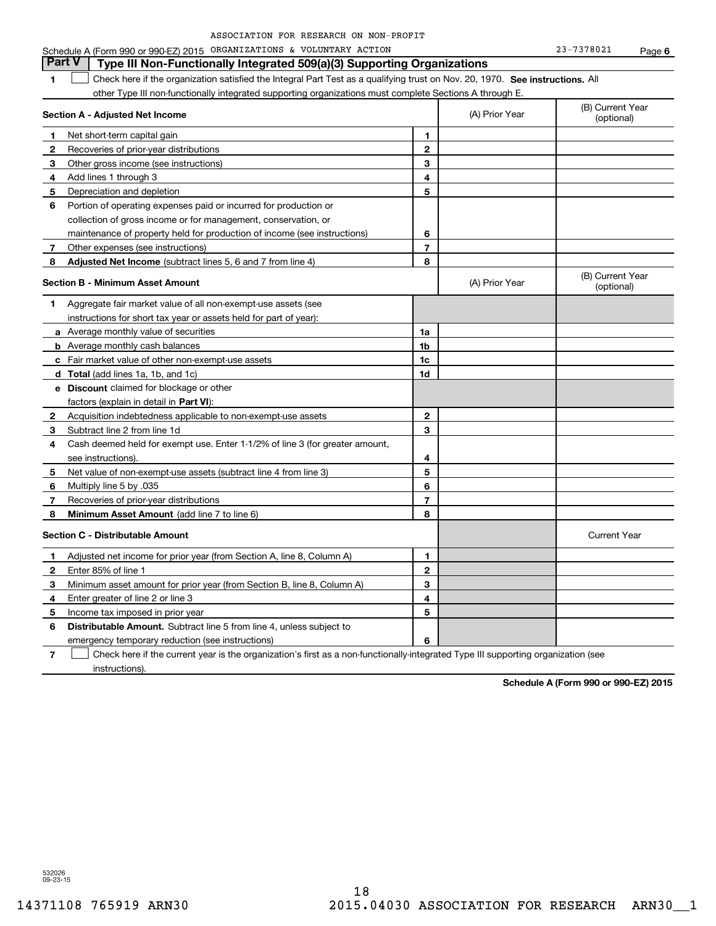| ASSOCIATION FOR RESEARCH ON NON-PROFIT |
|----------------------------------------|
|----------------------------------------|

## **1See 11** Check here if the organization satisfied the Integral Part Test as a qualifying trust on Nov. 20, 1970. See instructions. All **Section A - Adjusted Net Income 12** Recoveries of prior-year distributions **3** Other gross income (see instructions) **4**Add lines 1 through 3 **56** Portion of operating expenses paid or incurred for production or **7** Other expenses (see instructions) **8** Adjusted Net Income (subtract lines 5, 6 and 7 from line 4) **8 8 1234567Section B - Minimum Asset Amount 1**Aggregate fair market value of all non-exempt-use assets (see **2**Acquisition indebtedness applicable to non-exempt-use assets **3** Subtract line 2 from line 1d **4**Cash deemed held for exempt use. Enter 1-1/2% of line 3 (for greater amount, **5** Net value of non-exempt-use assets (subtract line 4 from line 3) **678a** Average monthly value of securities **b** Average monthly cash balances **c**Fair market value of other non-exempt-use assets **dTotal**  (add lines 1a, 1b, and 1c) **eDiscount** claimed for blockage or other **1a1b1c1d2345678**factors (explain in detail in **Part VI**): **Minimum Asset Amount**  (add line 7 to line 6) **Section C - Distributable Amount 1**Adjusted net income for prior year (from Section A, line 8, Column A) **2**Enter 85% of line 1 **3456** Distributable Amount. Subtract line 5 from line 4, unless subject to **123456**other Type III non-functionally integrated supporting organizations must complete Sections A through E. (B) Current Year (optional)(A) Prior Year Net short-term capital gain Depreciation and depletion collection of gross income or for management, conservation, or maintenance of property held for production of income (see instructions) (B) Current Year (optional)(A) Prior Year instructions for short tax year or assets held for part of year): see instructions). Multiply line 5 by .035 Recoveries of prior-year distributions Current Year Minimum asset amount for prior year (from Section B, line 8, Column A) Enter greater of line 2 or line 3 Income tax imposed in prior year emergency temporary reduction (see instructions) **Part V** Type III Non-Functionally Integrated 509(a)(3) Supporting Organizations  $\mathcal{L}^{\text{max}}$

**7**Check here if the current year is the organization's first as a non-functionally-integrated Type III supporting organization (see instructions). $\mathcal{L}^{\text{max}}$ 

**Schedule A (Form 990 or 990-EZ) 2015**

532026 09-23-15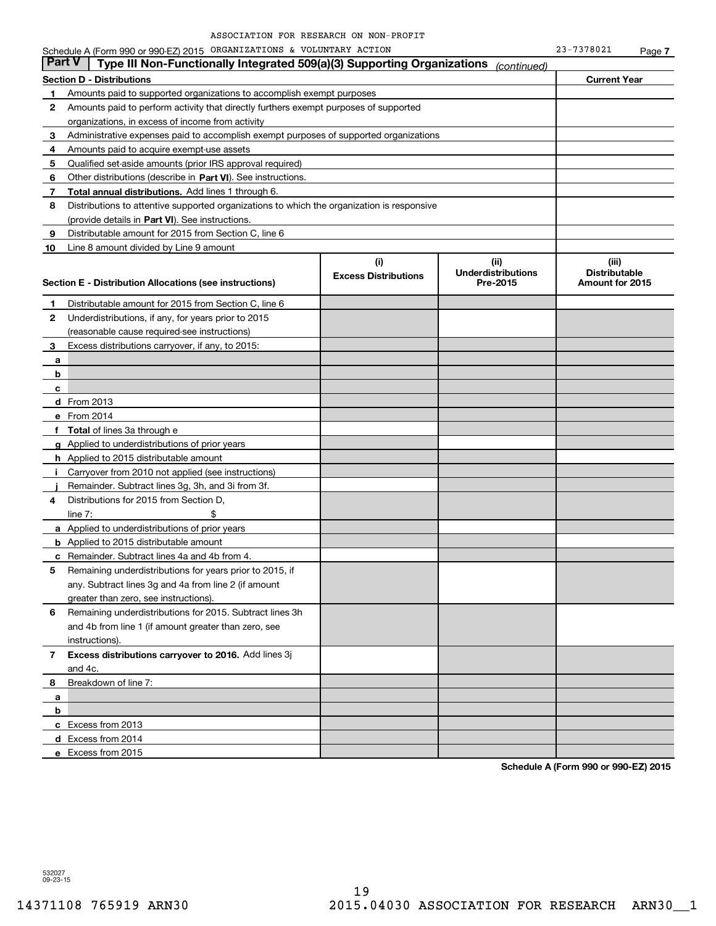|              | Schedule A (Form 990 or 990-EZ) 2015 ORGANIZATIONS & VOLUNTARY ACTION                      |                                    |                                               | 23-7378021                                              | Page 7 |
|--------------|--------------------------------------------------------------------------------------------|------------------------------------|-----------------------------------------------|---------------------------------------------------------|--------|
| Part V       | Type III Non-Functionally Integrated 509(a)(3) Supporting Organizations                    |                                    | (continued)                                   |                                                         |        |
|              | <b>Section D - Distributions</b>                                                           |                                    |                                               | <b>Current Year</b>                                     |        |
| 1            | Amounts paid to supported organizations to accomplish exempt purposes                      |                                    |                                               |                                                         |        |
| 2            | Amounts paid to perform activity that directly furthers exempt purposes of supported       |                                    |                                               |                                                         |        |
|              | organizations, in excess of income from activity                                           |                                    |                                               |                                                         |        |
| 3            | Administrative expenses paid to accomplish exempt purposes of supported organizations      |                                    |                                               |                                                         |        |
| 4            | Amounts paid to acquire exempt-use assets                                                  |                                    |                                               |                                                         |        |
| 5            | Qualified set-aside amounts (prior IRS approval required)                                  |                                    |                                               |                                                         |        |
| 6            | Other distributions (describe in Part VI). See instructions.                               |                                    |                                               |                                                         |        |
| 7            | <b>Total annual distributions.</b> Add lines 1 through 6.                                  |                                    |                                               |                                                         |        |
| 8            | Distributions to attentive supported organizations to which the organization is responsive |                                    |                                               |                                                         |        |
|              | (provide details in Part VI). See instructions.                                            |                                    |                                               |                                                         |        |
| 9            | Distributable amount for 2015 from Section C, line 6                                       |                                    |                                               |                                                         |        |
| 10           | Line 8 amount divided by Line 9 amount                                                     |                                    |                                               |                                                         |        |
|              | Section E - Distribution Allocations (see instructions)                                    | (i)<br><b>Excess Distributions</b> | (ii)<br><b>Underdistributions</b><br>Pre-2015 | (iii)<br><b>Distributable</b><br><b>Amount for 2015</b> |        |
| 1.           | Distributable amount for 2015 from Section C, line 6                                       |                                    |                                               |                                                         |        |
| 2            | Underdistributions, if any, for years prior to 2015                                        |                                    |                                               |                                                         |        |
|              | (reasonable cause required-see instructions)                                               |                                    |                                               |                                                         |        |
| 3            | Excess distributions carryover, if any, to 2015:                                           |                                    |                                               |                                                         |        |
| а            |                                                                                            |                                    |                                               |                                                         |        |
| b            |                                                                                            |                                    |                                               |                                                         |        |
| c            |                                                                                            |                                    |                                               |                                                         |        |
|              | d From 2013                                                                                |                                    |                                               |                                                         |        |
|              | e From 2014                                                                                |                                    |                                               |                                                         |        |
|              | f Total of lines 3a through e                                                              |                                    |                                               |                                                         |        |
|              | g Applied to underdistributions of prior years                                             |                                    |                                               |                                                         |        |
|              | <b>h</b> Applied to 2015 distributable amount                                              |                                    |                                               |                                                         |        |
| Ť.           | Carryover from 2010 not applied (see instructions)                                         |                                    |                                               |                                                         |        |
|              | Remainder. Subtract lines 3g, 3h, and 3i from 3f.                                          |                                    |                                               |                                                         |        |
| 4            | Distributions for 2015 from Section D,                                                     |                                    |                                               |                                                         |        |
|              | \$<br>line $7:$                                                                            |                                    |                                               |                                                         |        |
|              | <b>a</b> Applied to underdistributions of prior years                                      |                                    |                                               |                                                         |        |
|              | <b>b</b> Applied to 2015 distributable amount                                              |                                    |                                               |                                                         |        |
|              | c Remainder. Subtract lines 4a and 4b from 4.                                              |                                    |                                               |                                                         |        |
|              | Remaining underdistributions for years prior to 2015, if                                   |                                    |                                               |                                                         |        |
|              | any. Subtract lines 3g and 4a from line 2 (if amount                                       |                                    |                                               |                                                         |        |
|              | greater than zero, see instructions).                                                      |                                    |                                               |                                                         |        |
| 6            | Remaining underdistributions for 2015. Subtract lines 3h                                   |                                    |                                               |                                                         |        |
|              | and 4b from line 1 (if amount greater than zero, see                                       |                                    |                                               |                                                         |        |
|              | instructions).                                                                             |                                    |                                               |                                                         |        |
| $\mathbf{7}$ | Excess distributions carryover to 2016. Add lines 3j                                       |                                    |                                               |                                                         |        |
|              | and 4c.                                                                                    |                                    |                                               |                                                         |        |
| 8            | Breakdown of line 7:                                                                       |                                    |                                               |                                                         |        |
| а            |                                                                                            |                                    |                                               |                                                         |        |
| b            |                                                                                            |                                    |                                               |                                                         |        |
|              | c Excess from 2013                                                                         |                                    |                                               |                                                         |        |
|              | d Excess from 2014                                                                         |                                    |                                               |                                                         |        |
|              | e Excess from 2015                                                                         |                                    |                                               |                                                         |        |

**Schedule A (Form 990 or 990-EZ) 2015**

532027 09-23-15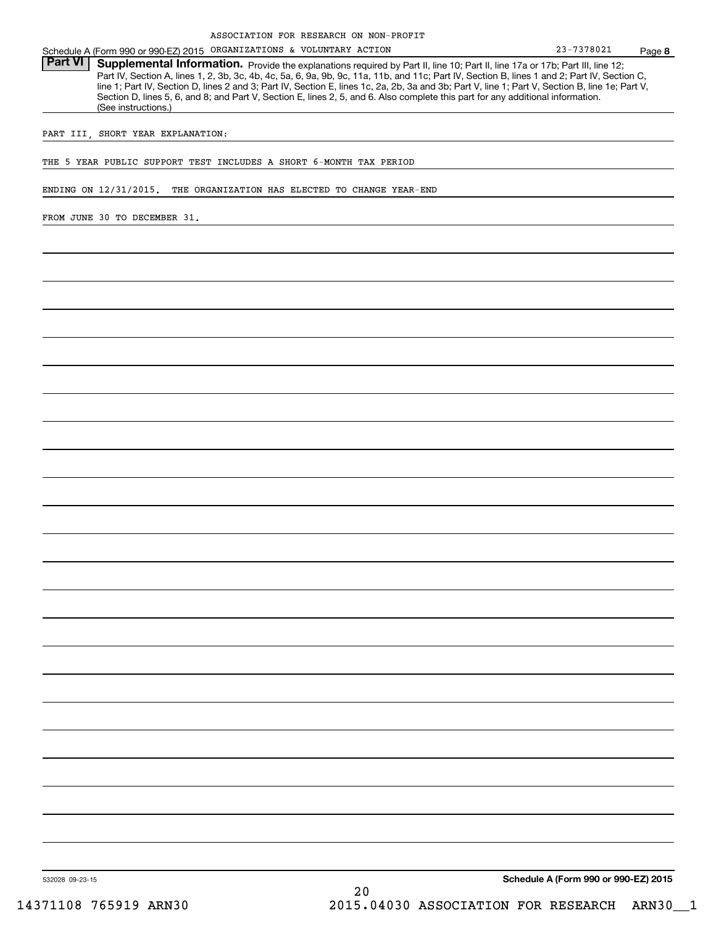Schedule A (Form 990 or 990-EZ) 2015 Page ORGANIZATIONS & VOLUNTARY ACTION

Part VI | Supplemental Information. Provide the explanations required by Part II, line 10; Part II, line 17a or 17b; Part III, line 12; Part IV, Section A, lines 1, 2, 3b, 3c, 4b, 4c, 5a, 6, 9a, 9b, 9c, 11a, 11b, and 11c; Part IV, Section B, lines 1 and 2; Part IV, Section C, line 1; Part IV, Section D, lines 2 and 3; Part IV, Section E, lines 1c, 2a, 2b, 3a and 3b; Part V, line 1; Part V, Section B, line 1e; Part V, Section D, lines 5, 6, and 8; and Part V, Section E, lines 2, 5, and 6. Also complete this part for any additional information. (See instructions.)

PART III, SHORT YEAR EXPLANATION:

THE 5 YEAR PUBLIC SUPPORT TEST INCLUDES A SHORT 6-MONTH TAX PERIOD

ENDING ON 12/31/2015. THE ORGANIZATION HAS ELECTED TO CHANGE YEAR-END

FROM JUNE 30 TO DECEMBER 31.

**Schedule A (Form 990 or 990-EZ) 2015**

**8**

23-7378021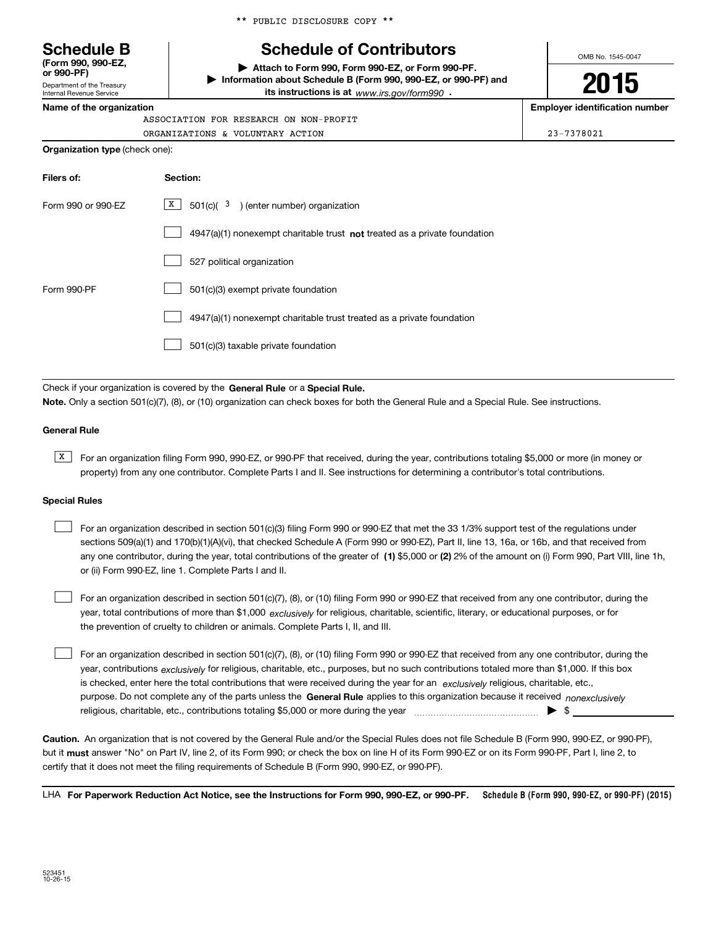\*\* PUBLIC DISCLOSURE COPY \*\*

# **Schedule B Schedule of Contributors**

**| Attach to Form 990, Form 990-EZ, or Form 990-PF. | Information about Schedule B (Form 990, 990-EZ, or 990-PF) and its instructions is at** www.irs.gov/form990  $\cdot$ 

OMB No. 1545-0047

# **2015**

**Name of the organization Employer identification number**

ORGANIZATIONS & VOLUNTARY ACTION 23-7378021-002121-002121-002121-002121-002121-002121-002121-002121-002121-002 ASSOCIATION FOR RESEARCH ON NON-PROFIT

|  | 7802 |  |  |
|--|------|--|--|

| <b>Organization type (check one):</b> |                                                                           |  |  |  |  |  |  |
|---------------------------------------|---------------------------------------------------------------------------|--|--|--|--|--|--|
| Filers of:                            | Section:                                                                  |  |  |  |  |  |  |
| Form 990 or 990-EZ                    | $X \mid$<br>$501(c)$ $3$ ) (enter number) organization                    |  |  |  |  |  |  |
|                                       | 4947(a)(1) nonexempt charitable trust not treated as a private foundation |  |  |  |  |  |  |
|                                       | 527 political organization                                                |  |  |  |  |  |  |
| Form 990-PF                           | 501(c)(3) exempt private foundation                                       |  |  |  |  |  |  |
|                                       | 4947(a)(1) nonexempt charitable trust treated as a private foundation     |  |  |  |  |  |  |

501(c)(3) taxable private foundation  $\mathcal{L}^{\text{max}}$ 

Check if your organization is covered by the **General Rule** or a **Special Rule. Note.**  Only a section 501(c)(7), (8), or (10) organization can check boxes for both the General Rule and a Special Rule. See instructions.

## **General Rule**

Department of the Treasury Internal Revenue Service

**(Form 990, 990-EZ, or 990-PF)**

> $\overline{X}$  For an organization filing Form 990, 990-EZ, or 990-PF that received, during the year, contributions totaling \$5,000 or more (in money or property) from any one contributor. Complete Parts I and II. See instructions for determining a contributor's total contributions.

## **Special Rules**

 $\mathcal{L}^{\text{max}}$ 

any one contributor, during the year, total contributions of the greater of  $\,$  (1) \$5,000 or (2) 2% of the amount on (i) Form 990, Part VIII, line 1h, For an organization described in section 501(c)(3) filing Form 990 or 990-EZ that met the 33 1/3% support test of the regulations under sections 509(a)(1) and 170(b)(1)(A)(vi), that checked Schedule A (Form 990 or 990-EZ), Part II, line 13, 16a, or 16b, and that received from or (ii) Form 990-EZ, line 1. Complete Parts I and II.  $\mathcal{L}^{\text{max}}$ 

year, total contributions of more than \$1,000 *exclusively* for religious, charitable, scientific, literary, or educational purposes, or for For an organization described in section 501(c)(7), (8), or (10) filing Form 990 or 990-EZ that received from any one contributor, during the the prevention of cruelty to children or animals. Complete Parts I, II, and III.  $\mathcal{L}^{\text{max}}$ 

purpose. Do not complete any of the parts unless the **General Rule** applies to this organization because it received *nonexclusively* year, contributions <sub>exclusively</sub> for religious, charitable, etc., purposes, but no such contributions totaled more than \$1,000. If this box is checked, enter here the total contributions that were received during the year for an  $\;$ exclusively religious, charitable, etc., For an organization described in section 501(c)(7), (8), or (10) filing Form 990 or 990-EZ that received from any one contributor, during the religious, charitable, etc., contributions totaling \$5,000 or more during the year  $\Box$ — $\Box$ — $\Box$ 

**Caution.**An organization that is not covered by the General Rule and/or the Special Rules does not file Schedule B (Form 990, 990-EZ, or 990-PF),  **must** but it answer "No" on Part IV, line 2, of its Form 990; or check the box on line H of its Form 990-EZ or on its Form 990-PF, Part I, line 2, to certify that it does not meet the filing requirements of Schedule B (Form 990, 990-EZ, or 990-PF).

**Schedule B (Form 990, 990-EZ, or 990-PF) (2015) For Paperwork Reduction Act Notice, see the Instructions for Form 990, 990-EZ, or 990-PF.** LHA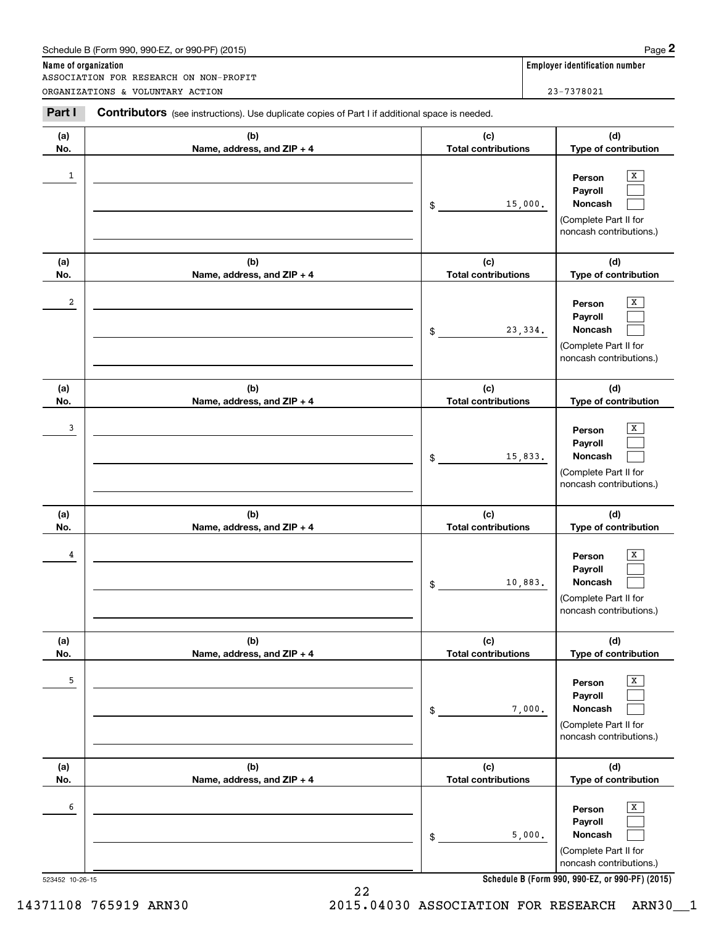| Schedule B (Form 990, 990-EZ, or 990-PF) (2015) | Page |
|-------------------------------------------------|------|
|-------------------------------------------------|------|

|                      | Schedule B (Form 990, 990-EZ, or 990-PF) (2015)                                                       |                                   |          | Page 2                                                                                |
|----------------------|-------------------------------------------------------------------------------------------------------|-----------------------------------|----------|---------------------------------------------------------------------------------------|
| Name of organization | ASSOCIATION FOR RESEARCH ON NON-PROFIT<br>ORGANIZATIONS & VOLUNTARY ACTION                            |                                   |          | <b>Employer identification number</b><br>23-7378021                                   |
| Part I               | <b>Contributors</b> (see instructions). Use duplicate copies of Part I if additional space is needed. |                                   |          |                                                                                       |
| (a)<br>No.           | (b)<br>Name, address, and ZIP + 4                                                                     | (c)<br><b>Total contributions</b> |          | (d)<br>Type of contribution                                                           |
| $\mathbf{1}$         |                                                                                                       | \$                                | 15,000.  | x<br>Person<br>Payroll<br>Noncash<br>(Complete Part II for<br>noncash contributions.) |
| (a)<br>No.           | (b)<br>Name, address, and ZIP + 4                                                                     | (c)<br><b>Total contributions</b> |          | (d)<br>Type of contribution                                                           |
| 2                    |                                                                                                       | \$                                | 23, 334. | х<br>Person<br>Payroll<br>Noncash<br>(Complete Part II for<br>noncash contributions.) |
| (a)<br>No.           | (b)<br>Name, address, and ZIP + 4                                                                     | (c)<br><b>Total contributions</b> |          | (d)<br>Type of contribution                                                           |
| 3                    |                                                                                                       | \$                                | 15,833.  | х<br>Person<br>Payroll<br>Noncash<br>(Complete Part II for<br>noncash contributions.) |
| (a)<br>No.           | (b)<br>Name, address, and ZIP + 4                                                                     | (c)<br><b>Total contributions</b> |          | (d)<br>Type of contribution                                                           |
| 4                    |                                                                                                       | \$                                | 10,883.  | х<br>Person<br>Payroll<br>Noncash<br>(Complete Part II for<br>noncash contributions.) |
| (a)<br>No.           | (b)<br>Name, address, and ZIP + 4                                                                     | (c)<br><b>Total contributions</b> |          | (d)<br>Type of contribution                                                           |
| 5                    |                                                                                                       | \$                                | 7,000.   | X<br>Person<br>Payroll<br>Noncash<br>(Complete Part II for<br>noncash contributions.) |
| (a)<br>No.           | (b)<br>Name, address, and ZIP + 4                                                                     | (c)<br><b>Total contributions</b> |          | (d)<br>Type of contribution                                                           |
| 6                    |                                                                                                       | \$                                | 5,000.   | X<br>Person<br>Payroll<br>Noncash<br>(Complete Part II for<br>noncash contributions.) |

**Schedule B (Form 990, 990-EZ, or 990-PF) (2015)**

22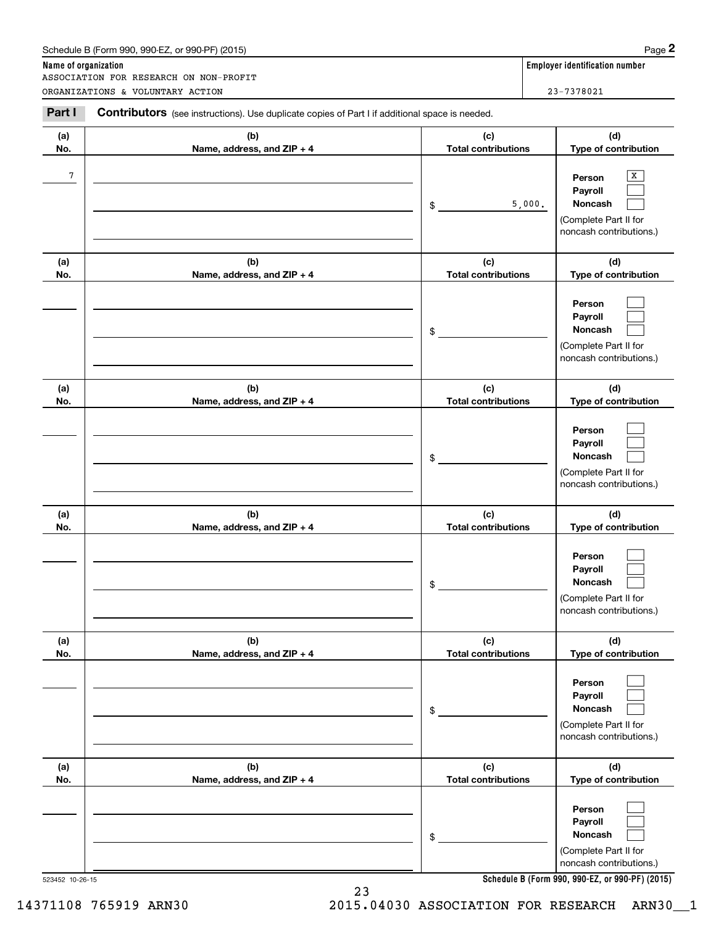## Schedule B (Form 990, 990-EZ, or 990-PF) (2015) **Page 2**

|                      | Schedule B (Form 990, 990-EZ, or 990-PF) (2015)                                                       |                                   | Page 2                                                                                          |
|----------------------|-------------------------------------------------------------------------------------------------------|-----------------------------------|-------------------------------------------------------------------------------------------------|
| Name of organization |                                                                                                       |                                   | <b>Employer identification number</b>                                                           |
|                      | ASSOCIATION FOR RESEARCH ON NON-PROFIT<br>ORGANIZATIONS & VOLUNTARY ACTION                            |                                   | 23-7378021                                                                                      |
| Part I               | <b>Contributors</b> (see instructions). Use duplicate copies of Part I if additional space is needed. |                                   |                                                                                                 |
| (a)<br>No.           | (b)<br>Name, address, and ZIP + 4                                                                     | (c)<br><b>Total contributions</b> | (d)<br>Type of contribution                                                                     |
| $\sqrt{7}$           |                                                                                                       | \$                                | X<br>Person<br>Payroll<br>5,000.<br>Noncash<br>(Complete Part II for<br>noncash contributions.) |
| (a)<br>No.           | (b)<br>Name, address, and ZIP + 4                                                                     | (c)<br><b>Total contributions</b> | (d)<br>Type of contribution                                                                     |
|                      |                                                                                                       | \$                                | Person<br>Payroll<br>Noncash<br>(Complete Part II for<br>noncash contributions.)                |
| (a)<br>No.           | (b)<br>Name, address, and ZIP + 4                                                                     | (c)<br><b>Total contributions</b> | (d)<br>Type of contribution                                                                     |
|                      |                                                                                                       | \$                                | Person<br>Payroll<br>Noncash<br>(Complete Part II for<br>noncash contributions.)                |
| (a)<br>No.           | (b)<br>Name, address, and ZIP + 4                                                                     | (c)<br><b>Total contributions</b> | (d)<br>Type of contribution                                                                     |
|                      |                                                                                                       | \$                                | Person<br>Payroll<br>Noncash<br>(Complete Part II for<br>noncash contributions.)                |
| (a)<br>No.           | (b)<br>Name, address, and ZIP + 4                                                                     | (c)<br><b>Total contributions</b> | (d)<br>Type of contribution                                                                     |
|                      |                                                                                                       | \$                                | Person<br>Payroll<br>Noncash<br>(Complete Part II for<br>noncash contributions.)                |
| (a)<br>No.           | (b)<br>Name, address, and ZIP + 4                                                                     | (c)<br><b>Total contributions</b> | (d)<br>Type of contribution                                                                     |
|                      |                                                                                                       | \$                                | Person<br>Payroll<br>Noncash<br>(Complete Part II for<br>noncash contributions.)                |

**Schedule B (Form 990, 990-EZ, or 990-PF) (2015)**

23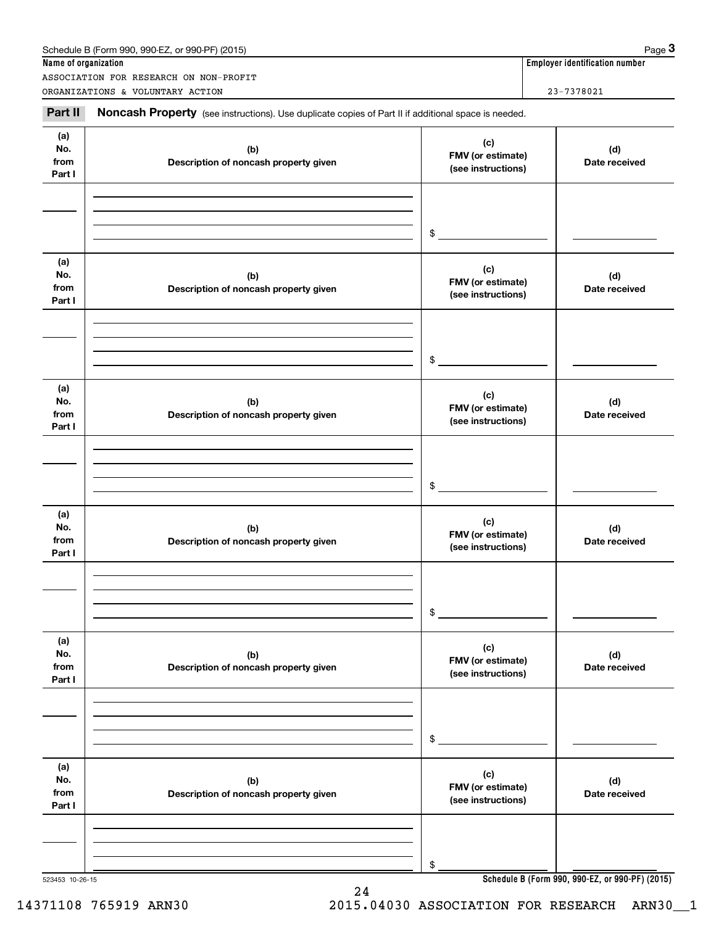| Name of organization         | ASSOCIATION FOR RESEARCH ON NON-PROFIT                                                              |                                                | Employer identification number |
|------------------------------|-----------------------------------------------------------------------------------------------------|------------------------------------------------|--------------------------------|
|                              | ORGANIZATIONS & VOLUNTARY ACTION                                                                    |                                                | 23-7378021                     |
| Part II                      | Noncash Property (see instructions). Use duplicate copies of Part II if additional space is needed. |                                                |                                |
| (a)<br>No.<br>from<br>Part I | (b)<br>FMV (or estimate)<br>Description of noncash property given<br>(see instructions)             |                                                | (d)<br>Date received           |
|                              |                                                                                                     | \$                                             |                                |
| (a)<br>No.<br>from<br>Part I | (b)<br>Description of noncash property given                                                        | (c)<br>FMV (or estimate)<br>(see instructions) | (d)<br>Date received           |
|                              |                                                                                                     | \$                                             |                                |
| (a)<br>No.<br>from<br>Part I | (b)<br>Description of noncash property given                                                        | (c)<br>FMV (or estimate)<br>(see instructions) | (d)<br>Date received           |
|                              |                                                                                                     | \$                                             |                                |
| (a)<br>No.<br>from<br>Part I | (b)<br>Description of noncash property given                                                        | (c)<br>FMV (or estimate)<br>(see instructions) | (d)<br>Date received           |
|                              |                                                                                                     | \$                                             |                                |
| (a)<br>No.<br>from<br>Part I | (b)<br>Description of noncash property given                                                        | (c)<br>FMV (or estimate)<br>(see instructions) | (d)<br>Date received           |
|                              |                                                                                                     | \$                                             |                                |
| (a)<br>No.<br>from<br>Part I | (b)<br>Description of noncash property given                                                        | (c)<br>FMV (or estimate)<br>(see instructions) | (d)<br>Date received           |
|                              |                                                                                                     |                                                |                                |

24

523453 10-26-15

**Schedule B (Form 990, 990-EZ, or 990-PF) (2015)**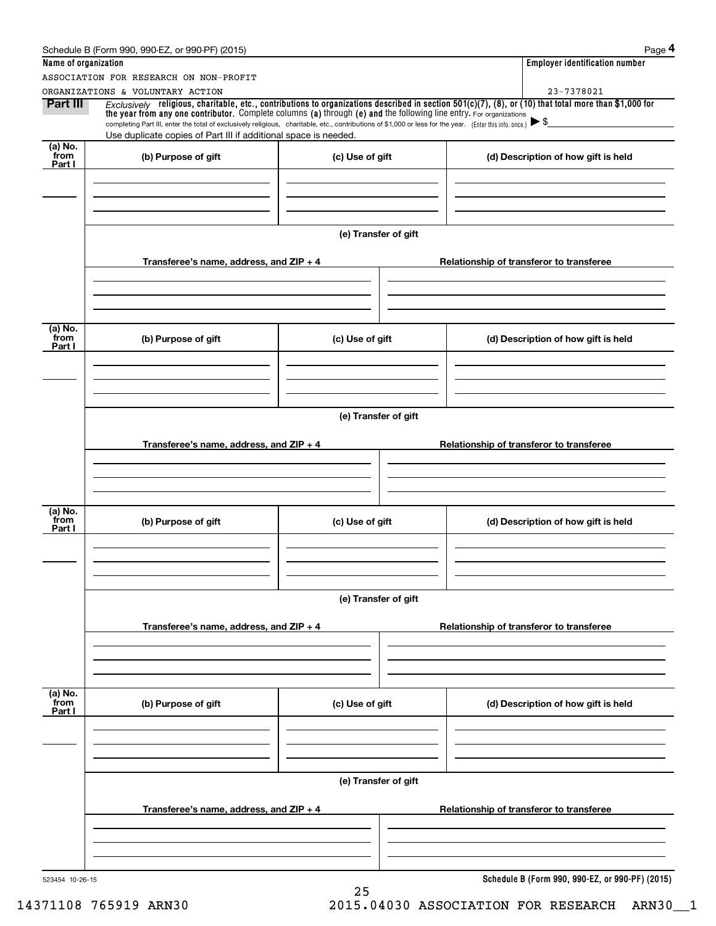|                             | Schedule B (Form 990, 990-EZ, or 990-PF) (2015)                                                                                                                                                                                                                                                                                                                                                                                                                      |                      |                                          | Page 4                                          |  |  |
|-----------------------------|----------------------------------------------------------------------------------------------------------------------------------------------------------------------------------------------------------------------------------------------------------------------------------------------------------------------------------------------------------------------------------------------------------------------------------------------------------------------|----------------------|------------------------------------------|-------------------------------------------------|--|--|
| Name of organization        |                                                                                                                                                                                                                                                                                                                                                                                                                                                                      |                      |                                          | <b>Employer identification number</b>           |  |  |
|                             | ASSOCIATION FOR RESEARCH ON NON-PROFIT                                                                                                                                                                                                                                                                                                                                                                                                                               |                      |                                          |                                                 |  |  |
|                             | ORGANIZATIONS & VOLUNTARY ACTION                                                                                                                                                                                                                                                                                                                                                                                                                                     |                      |                                          | 23-7378021                                      |  |  |
| Part III                    | Exclusively religious, charitable, etc., contributions to organizations described in section $501(c)(7)$ , (8), or (10) that total more than \$1,000 for<br>the year from any one contributor. Complete columns (a) through (e) and the following line entry. For organizations<br>completing Part III, enter the total of exclusively religious, charitable, etc., contributions of \$1,000 or less for the year. (Enter this info. once.) $\blacktriangleright$ \$ |                      |                                          |                                                 |  |  |
|                             | Use duplicate copies of Part III if additional space is needed.                                                                                                                                                                                                                                                                                                                                                                                                      |                      |                                          |                                                 |  |  |
| $(a)$ No.<br>from<br>Part I | (b) Purpose of gift                                                                                                                                                                                                                                                                                                                                                                                                                                                  | (c) Use of gift      |                                          | (d) Description of how gift is held             |  |  |
|                             |                                                                                                                                                                                                                                                                                                                                                                                                                                                                      |                      |                                          |                                                 |  |  |
|                             |                                                                                                                                                                                                                                                                                                                                                                                                                                                                      | (e) Transfer of gift |                                          |                                                 |  |  |
|                             | Transferee's name, address, and ZIP + 4                                                                                                                                                                                                                                                                                                                                                                                                                              |                      | Relationship of transferor to transferee |                                                 |  |  |
|                             |                                                                                                                                                                                                                                                                                                                                                                                                                                                                      |                      |                                          |                                                 |  |  |
| (a) No.                     |                                                                                                                                                                                                                                                                                                                                                                                                                                                                      |                      |                                          |                                                 |  |  |
| from<br>Part I              | (b) Purpose of gift                                                                                                                                                                                                                                                                                                                                                                                                                                                  | (c) Use of gift      |                                          | (d) Description of how gift is held             |  |  |
|                             |                                                                                                                                                                                                                                                                                                                                                                                                                                                                      |                      |                                          |                                                 |  |  |
|                             |                                                                                                                                                                                                                                                                                                                                                                                                                                                                      | (e) Transfer of gift |                                          |                                                 |  |  |
|                             | Transferee's name, address, and ZIP + 4                                                                                                                                                                                                                                                                                                                                                                                                                              |                      |                                          | Relationship of transferor to transferee        |  |  |
|                             |                                                                                                                                                                                                                                                                                                                                                                                                                                                                      |                      |                                          |                                                 |  |  |
|                             |                                                                                                                                                                                                                                                                                                                                                                                                                                                                      |                      |                                          |                                                 |  |  |
| (a) No.<br>from<br>Part I   | (b) Purpose of gift                                                                                                                                                                                                                                                                                                                                                                                                                                                  | (c) Use of gift      |                                          | (d) Description of how gift is held             |  |  |
|                             |                                                                                                                                                                                                                                                                                                                                                                                                                                                                      |                      |                                          |                                                 |  |  |
|                             |                                                                                                                                                                                                                                                                                                                                                                                                                                                                      |                      |                                          |                                                 |  |  |
|                             | Transferee's name, address, and $ZIP + 4$                                                                                                                                                                                                                                                                                                                                                                                                                            | (e) Transfer of gift |                                          | Relationship of transferor to transferee        |  |  |
|                             |                                                                                                                                                                                                                                                                                                                                                                                                                                                                      |                      |                                          |                                                 |  |  |
|                             |                                                                                                                                                                                                                                                                                                                                                                                                                                                                      |                      |                                          |                                                 |  |  |
| (a) No.<br>from<br>Part I   | (b) Purpose of gift                                                                                                                                                                                                                                                                                                                                                                                                                                                  | (c) Use of gift      |                                          | (d) Description of how gift is held             |  |  |
|                             |                                                                                                                                                                                                                                                                                                                                                                                                                                                                      |                      |                                          |                                                 |  |  |
|                             |                                                                                                                                                                                                                                                                                                                                                                                                                                                                      |                      |                                          |                                                 |  |  |
|                             | (e) Transfer of gift<br>Transferee's name, address, and ZIP + 4<br>Relationship of transferor to transferee                                                                                                                                                                                                                                                                                                                                                          |                      |                                          |                                                 |  |  |
|                             |                                                                                                                                                                                                                                                                                                                                                                                                                                                                      |                      |                                          |                                                 |  |  |
|                             |                                                                                                                                                                                                                                                                                                                                                                                                                                                                      |                      |                                          |                                                 |  |  |
| 523454 10-26-15             |                                                                                                                                                                                                                                                                                                                                                                                                                                                                      | 25                   |                                          | Schedule B (Form 990, 990-EZ, or 990-PF) (2015) |  |  |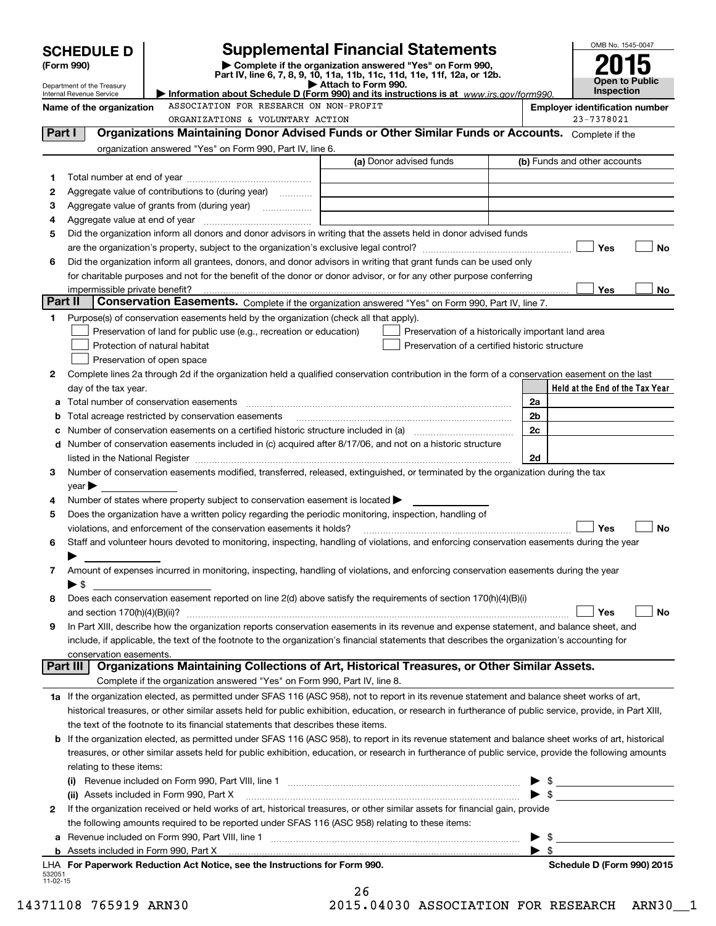|                    | <b>SCHEDULE D</b>              |                                                                                                                                                            | <b>Supplemental Financial Statements</b>                                                        |                | OMB No. 1545-0047                                                                                                                                                                                                                                                                                                                          |     |  |
|--------------------|--------------------------------|------------------------------------------------------------------------------------------------------------------------------------------------------------|-------------------------------------------------------------------------------------------------|----------------|--------------------------------------------------------------------------------------------------------------------------------------------------------------------------------------------------------------------------------------------------------------------------------------------------------------------------------------------|-----|--|
|                    | (Form 990)                     |                                                                                                                                                            | Complete if the organization answered "Yes" on Form 990,                                        |                |                                                                                                                                                                                                                                                                                                                                            |     |  |
|                    | Department of the Treasury     |                                                                                                                                                            | Part IV, line 6, 7, 8, 9, 10, 11a, 11b, 11c, 11d, 11e, 11f, 12a, or 12b.<br>Attach to Form 990. |                | Open to Public                                                                                                                                                                                                                                                                                                                             |     |  |
|                    | Internal Revenue Service       |                                                                                                                                                            | Information about Schedule D (Form 990) and its instructions is at www.irs.gov/form990.         |                | <b>Inspection</b>                                                                                                                                                                                                                                                                                                                          |     |  |
|                    | Name of the organization       | ASSOCIATION FOR RESEARCH ON NON-PROFIT<br>ORGANIZATIONS & VOLUNTARY ACTION                                                                                 |                                                                                                 |                | <b>Employer identification number</b><br>23-7378021                                                                                                                                                                                                                                                                                        |     |  |
| Part I             |                                | Organizations Maintaining Donor Advised Funds or Other Similar Funds or Accounts. Complete if the                                                          |                                                                                                 |                |                                                                                                                                                                                                                                                                                                                                            |     |  |
|                    |                                | organization answered "Yes" on Form 990, Part IV, line 6.                                                                                                  |                                                                                                 |                |                                                                                                                                                                                                                                                                                                                                            |     |  |
|                    |                                |                                                                                                                                                            | (a) Donor advised funds                                                                         |                | (b) Funds and other accounts                                                                                                                                                                                                                                                                                                               |     |  |
| 1                  |                                |                                                                                                                                                            |                                                                                                 |                |                                                                                                                                                                                                                                                                                                                                            |     |  |
| 2                  |                                | Aggregate value of contributions to (during year)                                                                                                          |                                                                                                 |                |                                                                                                                                                                                                                                                                                                                                            |     |  |
| з                  |                                |                                                                                                                                                            |                                                                                                 |                |                                                                                                                                                                                                                                                                                                                                            |     |  |
| 4                  |                                |                                                                                                                                                            |                                                                                                 |                |                                                                                                                                                                                                                                                                                                                                            |     |  |
| 5                  |                                | Did the organization inform all donors and donor advisors in writing that the assets held in donor advised funds                                           |                                                                                                 |                |                                                                                                                                                                                                                                                                                                                                            |     |  |
|                    |                                |                                                                                                                                                            |                                                                                                 |                | Yes                                                                                                                                                                                                                                                                                                                                        | No  |  |
| 6                  |                                | Did the organization inform all grantees, donors, and donor advisors in writing that grant funds can be used only                                          |                                                                                                 |                |                                                                                                                                                                                                                                                                                                                                            |     |  |
|                    |                                | for charitable purposes and not for the benefit of the donor or donor advisor, or for any other purpose conferring                                         |                                                                                                 |                |                                                                                                                                                                                                                                                                                                                                            |     |  |
| Part II            | impermissible private benefit? | Conservation Easements. Complete if the organization answered "Yes" on Form 990, Part IV, line 7.                                                          |                                                                                                 |                | Yes                                                                                                                                                                                                                                                                                                                                        | No. |  |
| 1                  |                                | Purpose(s) of conservation easements held by the organization (check all that apply).                                                                      |                                                                                                 |                |                                                                                                                                                                                                                                                                                                                                            |     |  |
|                    |                                | Preservation of land for public use (e.g., recreation or education)                                                                                        | Preservation of a historically important land area                                              |                |                                                                                                                                                                                                                                                                                                                                            |     |  |
|                    |                                | Protection of natural habitat                                                                                                                              | Preservation of a certified historic structure                                                  |                |                                                                                                                                                                                                                                                                                                                                            |     |  |
|                    |                                | Preservation of open space                                                                                                                                 |                                                                                                 |                |                                                                                                                                                                                                                                                                                                                                            |     |  |
| 2                  |                                | Complete lines 2a through 2d if the organization held a qualified conservation contribution in the form of a conservation easement on the last             |                                                                                                 |                |                                                                                                                                                                                                                                                                                                                                            |     |  |
|                    | day of the tax year.           |                                                                                                                                                            |                                                                                                 |                | Held at the End of the Tax Year                                                                                                                                                                                                                                                                                                            |     |  |
|                    |                                |                                                                                                                                                            |                                                                                                 | 2a             |                                                                                                                                                                                                                                                                                                                                            |     |  |
|                    |                                | Total acreage restricted by conservation easements                                                                                                         |                                                                                                 | 2 <sub>b</sub> |                                                                                                                                                                                                                                                                                                                                            |     |  |
|                    |                                | Number of conservation easements on a certified historic structure included in (a) manufacture included in (a)                                             |                                                                                                 | 2c             |                                                                                                                                                                                                                                                                                                                                            |     |  |
| d                  |                                | Number of conservation easements included in (c) acquired after 8/17/06, and not on a historic structure                                                   |                                                                                                 |                |                                                                                                                                                                                                                                                                                                                                            |     |  |
|                    |                                |                                                                                                                                                            |                                                                                                 | 2d             |                                                                                                                                                                                                                                                                                                                                            |     |  |
| 3                  |                                | Number of conservation easements modified, transferred, released, extinguished, or terminated by the organization during the tax                           |                                                                                                 |                |                                                                                                                                                                                                                                                                                                                                            |     |  |
|                    | $\vee$ ear                     |                                                                                                                                                            |                                                                                                 |                |                                                                                                                                                                                                                                                                                                                                            |     |  |
| 4                  |                                | Number of states where property subject to conservation easement is located >                                                                              |                                                                                                 |                |                                                                                                                                                                                                                                                                                                                                            |     |  |
| 5                  |                                | Does the organization have a written policy regarding the periodic monitoring, inspection, handling of                                                     |                                                                                                 |                |                                                                                                                                                                                                                                                                                                                                            |     |  |
|                    |                                | violations, and enforcement of the conservation easements it holds?                                                                                        |                                                                                                 |                | Yes                                                                                                                                                                                                                                                                                                                                        | No  |  |
| 6                  |                                | Staff and volunteer hours devoted to monitoring, inspecting, handling of violations, and enforcing conservation easements during the year                  |                                                                                                 |                |                                                                                                                                                                                                                                                                                                                                            |     |  |
| 7                  |                                | Amount of expenses incurred in monitoring, inspecting, handling of violations, and enforcing conservation easements during the year                        |                                                                                                 |                |                                                                                                                                                                                                                                                                                                                                            |     |  |
|                    | $\blacktriangleright$ \$       |                                                                                                                                                            |                                                                                                 |                |                                                                                                                                                                                                                                                                                                                                            |     |  |
| 8                  |                                | Does each conservation easement reported on line 2(d) above satisfy the requirements of section 170(h)(4)(B)(i)                                            |                                                                                                 |                |                                                                                                                                                                                                                                                                                                                                            |     |  |
|                    |                                |                                                                                                                                                            |                                                                                                 |                | Yes                                                                                                                                                                                                                                                                                                                                        | No  |  |
| 9                  |                                | In Part XIII, describe how the organization reports conservation easements in its revenue and expense statement, and balance sheet, and                    |                                                                                                 |                |                                                                                                                                                                                                                                                                                                                                            |     |  |
|                    |                                | include, if applicable, the text of the footnote to the organization's financial statements that describes the organization's accounting for               |                                                                                                 |                |                                                                                                                                                                                                                                                                                                                                            |     |  |
|                    | conservation easements.        |                                                                                                                                                            |                                                                                                 |                |                                                                                                                                                                                                                                                                                                                                            |     |  |
|                    | Part III                       | Organizations Maintaining Collections of Art, Historical Treasures, or Other Similar Assets.                                                               |                                                                                                 |                |                                                                                                                                                                                                                                                                                                                                            |     |  |
|                    |                                | Complete if the organization answered "Yes" on Form 990, Part IV, line 8.                                                                                  |                                                                                                 |                |                                                                                                                                                                                                                                                                                                                                            |     |  |
|                    |                                | 1a If the organization elected, as permitted under SFAS 116 (ASC 958), not to report in its revenue statement and balance sheet works of art,              |                                                                                                 |                |                                                                                                                                                                                                                                                                                                                                            |     |  |
|                    |                                | historical treasures, or other similar assets held for public exhibition, education, or research in furtherance of public service, provide, in Part XIII,  |                                                                                                 |                |                                                                                                                                                                                                                                                                                                                                            |     |  |
|                    |                                | the text of the footnote to its financial statements that describes these items.                                                                           |                                                                                                 |                |                                                                                                                                                                                                                                                                                                                                            |     |  |
|                    |                                | <b>b</b> If the organization elected, as permitted under SFAS 116 (ASC 958), to report in its revenue statement and balance sheet works of art, historical |                                                                                                 |                |                                                                                                                                                                                                                                                                                                                                            |     |  |
|                    |                                | treasures, or other similar assets held for public exhibition, education, or research in furtherance of public service, provide the following amounts      |                                                                                                 |                |                                                                                                                                                                                                                                                                                                                                            |     |  |
|                    | relating to these items:       |                                                                                                                                                            |                                                                                                 |                |                                                                                                                                                                                                                                                                                                                                            |     |  |
|                    |                                | (ii) Assets included in Form 990, Part X                                                                                                                   |                                                                                                 |                | $\frac{1}{2}$ $\frac{1}{2}$ $\frac{1}{2}$ $\frac{1}{2}$ $\frac{1}{2}$ $\frac{1}{2}$ $\frac{1}{2}$ $\frac{1}{2}$ $\frac{1}{2}$ $\frac{1}{2}$ $\frac{1}{2}$ $\frac{1}{2}$ $\frac{1}{2}$ $\frac{1}{2}$ $\frac{1}{2}$ $\frac{1}{2}$ $\frac{1}{2}$ $\frac{1}{2}$ $\frac{1}{2}$ $\frac{1}{2}$ $\frac{1}{2}$ $\frac{1}{2}$<br>$\triangleright$ \$ |     |  |
| 2                  |                                | If the organization received or held works of art, historical treasures, or other similar assets for financial gain, provide                               |                                                                                                 |                |                                                                                                                                                                                                                                                                                                                                            |     |  |
|                    |                                | the following amounts required to be reported under SFAS 116 (ASC 958) relating to these items:                                                            |                                                                                                 |                |                                                                                                                                                                                                                                                                                                                                            |     |  |
| а                  |                                |                                                                                                                                                            |                                                                                                 |                |                                                                                                                                                                                                                                                                                                                                            |     |  |
|                    |                                |                                                                                                                                                            |                                                                                                 | - \$           |                                                                                                                                                                                                                                                                                                                                            |     |  |
|                    |                                | LHA For Paperwork Reduction Act Notice, see the Instructions for Form 990.                                                                                 |                                                                                                 |                | Schedule D (Form 990) 2015                                                                                                                                                                                                                                                                                                                 |     |  |
| 532051<br>11-02-15 |                                |                                                                                                                                                            |                                                                                                 |                |                                                                                                                                                                                                                                                                                                                                            |     |  |
|                    |                                |                                                                                                                                                            | 26                                                                                              |                |                                                                                                                                                                                                                                                                                                                                            |     |  |

| . . |                    |  |  |  |  |  |
|-----|--------------------|--|--|--|--|--|
|     | .04030 ASSOCTATTON |  |  |  |  |  |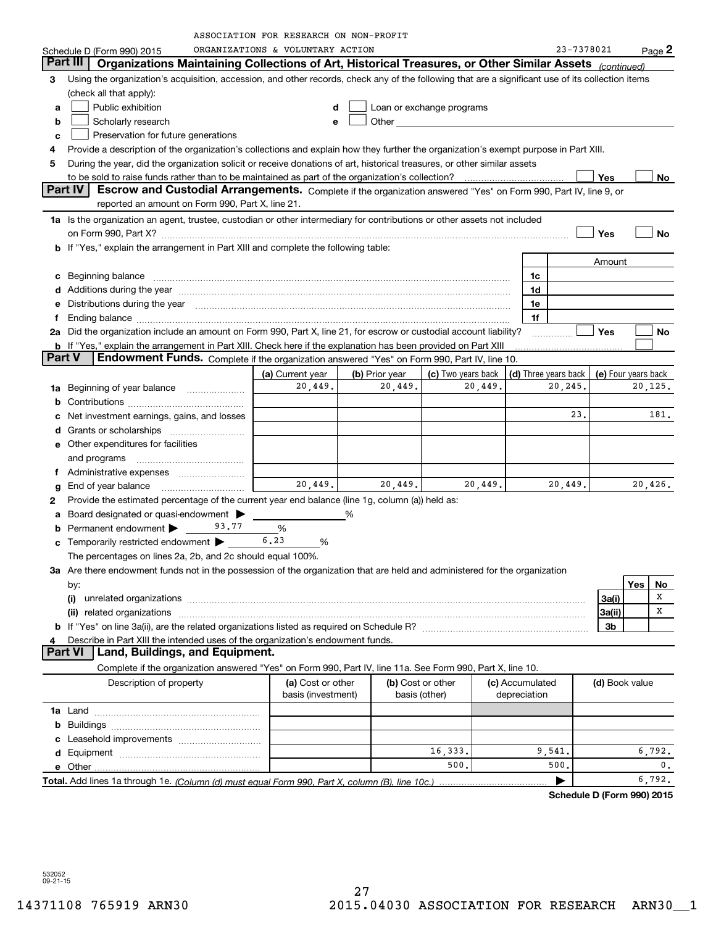|               |                                                                                                                                                                                                                                      | ASSOCIATION FOR RESEARCH ON NON-PROFIT |                           |                                                                                                                                                                                                                                |         |                      |                 |                     |          |                |
|---------------|--------------------------------------------------------------------------------------------------------------------------------------------------------------------------------------------------------------------------------------|----------------------------------------|---------------------------|--------------------------------------------------------------------------------------------------------------------------------------------------------------------------------------------------------------------------------|---------|----------------------|-----------------|---------------------|----------|----------------|
|               | Schedule D (Form 990) 2015                                                                                                                                                                                                           | ORGANIZATIONS & VOLUNTARY ACTION       |                           |                                                                                                                                                                                                                                |         |                      | 23-7378021      |                     |          | Page 2         |
|               | Part III<br>Organizations Maintaining Collections of Art, Historical Treasures, or Other Similar Assets (continued)                                                                                                                  |                                        |                           |                                                                                                                                                                                                                                |         |                      |                 |                     |          |                |
| 3             | Using the organization's acquisition, accession, and other records, check any of the following that are a significant use of its collection items                                                                                    |                                        |                           |                                                                                                                                                                                                                                |         |                      |                 |                     |          |                |
|               | (check all that apply):                                                                                                                                                                                                              |                                        |                           |                                                                                                                                                                                                                                |         |                      |                 |                     |          |                |
| a             | Public exhibition                                                                                                                                                                                                                    | d                                      |                           | Loan or exchange programs                                                                                                                                                                                                      |         |                      |                 |                     |          |                |
| b             | Scholarly research                                                                                                                                                                                                                   | e                                      |                           | Other and the control of the control of the control of the control of the control of the control of the control of the control of the control of the control of the control of the control of the control of the control of th |         |                      |                 |                     |          |                |
| с             | Preservation for future generations                                                                                                                                                                                                  |                                        |                           |                                                                                                                                                                                                                                |         |                      |                 |                     |          |                |
| 4             | Provide a description of the organization's collections and explain how they further the organization's exempt purpose in Part XIII.                                                                                                 |                                        |                           |                                                                                                                                                                                                                                |         |                      |                 |                     |          |                |
| 5             | During the year, did the organization solicit or receive donations of art, historical treasures, or other similar assets                                                                                                             |                                        |                           |                                                                                                                                                                                                                                |         |                      |                 |                     |          |                |
|               | to be sold to raise funds rather than to be maintained as part of the organization's collection?                                                                                                                                     |                                        |                           |                                                                                                                                                                                                                                |         |                      |                 | Yes                 |          | No             |
|               | Part IV<br>Escrow and Custodial Arrangements. Complete if the organization answered "Yes" on Form 990, Part IV, line 9, or                                                                                                           |                                        |                           |                                                                                                                                                                                                                                |         |                      |                 |                     |          |                |
|               | reported an amount on Form 990, Part X, line 21.                                                                                                                                                                                     |                                        |                           |                                                                                                                                                                                                                                |         |                      |                 |                     |          |                |
|               | 1a Is the organization an agent, trustee, custodian or other intermediary for contributions or other assets not included                                                                                                             |                                        |                           |                                                                                                                                                                                                                                |         |                      |                 |                     |          |                |
|               |                                                                                                                                                                                                                                      |                                        |                           |                                                                                                                                                                                                                                |         |                      |                 | Yes                 |          | No             |
|               | b If "Yes," explain the arrangement in Part XIII and complete the following table:                                                                                                                                                   |                                        |                           |                                                                                                                                                                                                                                |         |                      |                 |                     |          |                |
|               |                                                                                                                                                                                                                                      |                                        |                           |                                                                                                                                                                                                                                |         |                      |                 | Amount              |          |                |
| с             | Beginning balance <b>contract to the contract of the contract of the contract of the contract of the contract of the contract of the contract of the contract of the contract of the contract of the contract of the contract of</b> |                                        |                           |                                                                                                                                                                                                                                |         | 1c                   |                 |                     |          |                |
| d             |                                                                                                                                                                                                                                      |                                        |                           |                                                                                                                                                                                                                                |         | 1d                   |                 |                     |          |                |
| е             | Additions during the year manufactured and an account of the state of the state of the state of the state of the state of the state of the state of the state of the state of the state of the state of the state of the state       |                                        |                           |                                                                                                                                                                                                                                |         | 1e                   |                 |                     |          |                |
| f             | Distributions during the year manufactured and continuum control of the year manufactured and control of the year manufactured and control of the year manufactured and control of the year manufactured and control of the ye       |                                        |                           |                                                                                                                                                                                                                                |         | 1f                   |                 |                     |          |                |
|               | 2a Did the organization include an amount on Form 990, Part X, line 21, for escrow or custodial account liability?                                                                                                                   |                                        |                           |                                                                                                                                                                                                                                |         |                      |                 | Yes                 |          | No             |
|               | <b>b</b> If "Yes," explain the arrangement in Part XIII. Check here if the explanation has been provided on Part XIII                                                                                                                |                                        |                           |                                                                                                                                                                                                                                |         |                      |                 |                     |          |                |
| <b>Part V</b> | Endowment Funds. Complete if the organization answered "Yes" on Form 990, Part IV, line 10.                                                                                                                                          |                                        |                           |                                                                                                                                                                                                                                |         |                      |                 |                     |          |                |
|               |                                                                                                                                                                                                                                      |                                        |                           |                                                                                                                                                                                                                                |         |                      |                 |                     |          |                |
|               |                                                                                                                                                                                                                                      | (a) Current year<br>20,449.            | (b) Prior year<br>20,449. | (c) Two years back                                                                                                                                                                                                             | 20,449. | (d) Three years back | 20,245.         | (e) Four years back | 20, 125. |                |
| 1a            | Beginning of year balance                                                                                                                                                                                                            |                                        |                           |                                                                                                                                                                                                                                |         |                      |                 |                     |          |                |
| b             |                                                                                                                                                                                                                                      |                                        |                           |                                                                                                                                                                                                                                |         |                      | 23 <sub>1</sub> |                     |          | 181.           |
| c             | Net investment earnings, gains, and losses                                                                                                                                                                                           |                                        |                           |                                                                                                                                                                                                                                |         |                      |                 |                     |          |                |
| d             |                                                                                                                                                                                                                                      |                                        |                           |                                                                                                                                                                                                                                |         |                      |                 |                     |          |                |
|               | <b>e</b> Other expenditures for facilities                                                                                                                                                                                           |                                        |                           |                                                                                                                                                                                                                                |         |                      |                 |                     |          |                |
|               | and programs                                                                                                                                                                                                                         |                                        |                           |                                                                                                                                                                                                                                |         |                      |                 |                     |          |                |
|               |                                                                                                                                                                                                                                      |                                        |                           |                                                                                                                                                                                                                                |         |                      |                 |                     |          |                |
| g             | End of year balance                                                                                                                                                                                                                  | 20,449.                                | 20,449.                   |                                                                                                                                                                                                                                | 20,449. |                      | 20,449.         |                     | 20,426.  |                |
| 2             | Provide the estimated percentage of the current year end balance (line 1g, column (a)) held as:                                                                                                                                      |                                        |                           |                                                                                                                                                                                                                                |         |                      |                 |                     |          |                |
| a             | Board designated or quasi-endowment                                                                                                                                                                                                  |                                        | ℅                         |                                                                                                                                                                                                                                |         |                      |                 |                     |          |                |
| b             | 93.77<br>Permanent endowment >                                                                                                                                                                                                       | %                                      |                           |                                                                                                                                                                                                                                |         |                      |                 |                     |          |                |
|               | Temporarily restricted endowment                                                                                                                                                                                                     | 6,23<br>℅                              |                           |                                                                                                                                                                                                                                |         |                      |                 |                     |          |                |
|               | The percentages on lines 2a, 2b, and 2c should equal 100%.                                                                                                                                                                           |                                        |                           |                                                                                                                                                                                                                                |         |                      |                 |                     |          |                |
|               | 3a Are there endowment funds not in the possession of the organization that are held and administered for the organization                                                                                                           |                                        |                           |                                                                                                                                                                                                                                |         |                      |                 |                     |          |                |
|               | by:                                                                                                                                                                                                                                  |                                        |                           |                                                                                                                                                                                                                                |         |                      |                 |                     | Yes      | No             |
|               | (i)                                                                                                                                                                                                                                  |                                        |                           |                                                                                                                                                                                                                                |         |                      |                 | 3a(i)               |          | х              |
|               |                                                                                                                                                                                                                                      |                                        |                           |                                                                                                                                                                                                                                |         |                      |                 | 3a(ii)              |          | Χ              |
|               |                                                                                                                                                                                                                                      |                                        |                           |                                                                                                                                                                                                                                |         |                      |                 | 3b                  |          |                |
| 4             | Describe in Part XIII the intended uses of the organization's endowment funds.                                                                                                                                                       |                                        |                           |                                                                                                                                                                                                                                |         |                      |                 |                     |          |                |
|               | Land, Buildings, and Equipment.<br><b>Part VI</b>                                                                                                                                                                                    |                                        |                           |                                                                                                                                                                                                                                |         |                      |                 |                     |          |                |
|               | Complete if the organization answered "Yes" on Form 990, Part IV, line 11a. See Form 990, Part X, line 10.                                                                                                                           |                                        |                           |                                                                                                                                                                                                                                |         |                      |                 |                     |          |                |
|               | Description of property                                                                                                                                                                                                              | (a) Cost or other                      |                           | (b) Cost or other                                                                                                                                                                                                              |         | (c) Accumulated      |                 | (d) Book value      |          |                |
|               |                                                                                                                                                                                                                                      | basis (investment)                     |                           | basis (other)                                                                                                                                                                                                                  |         | depreciation         |                 |                     |          |                |
|               |                                                                                                                                                                                                                                      |                                        |                           |                                                                                                                                                                                                                                |         |                      |                 |                     |          |                |
|               |                                                                                                                                                                                                                                      |                                        |                           |                                                                                                                                                                                                                                |         |                      |                 |                     |          |                |
|               |                                                                                                                                                                                                                                      |                                        |                           |                                                                                                                                                                                                                                |         |                      |                 |                     |          |                |
|               |                                                                                                                                                                                                                                      |                                        |                           | 16,333.                                                                                                                                                                                                                        |         | 9,541.               |                 |                     |          | 6,792.         |
|               |                                                                                                                                                                                                                                      |                                        |                           | 500.                                                                                                                                                                                                                           |         |                      | 500.            |                     |          | $\mathbf{0}$ . |
|               |                                                                                                                                                                                                                                      |                                        |                           |                                                                                                                                                                                                                                |         |                      | ▶               |                     |          | 6,792.         |
|               |                                                                                                                                                                                                                                      |                                        |                           |                                                                                                                                                                                                                                |         |                      |                 |                     |          |                |

**Schedule D (Form 990) 2015**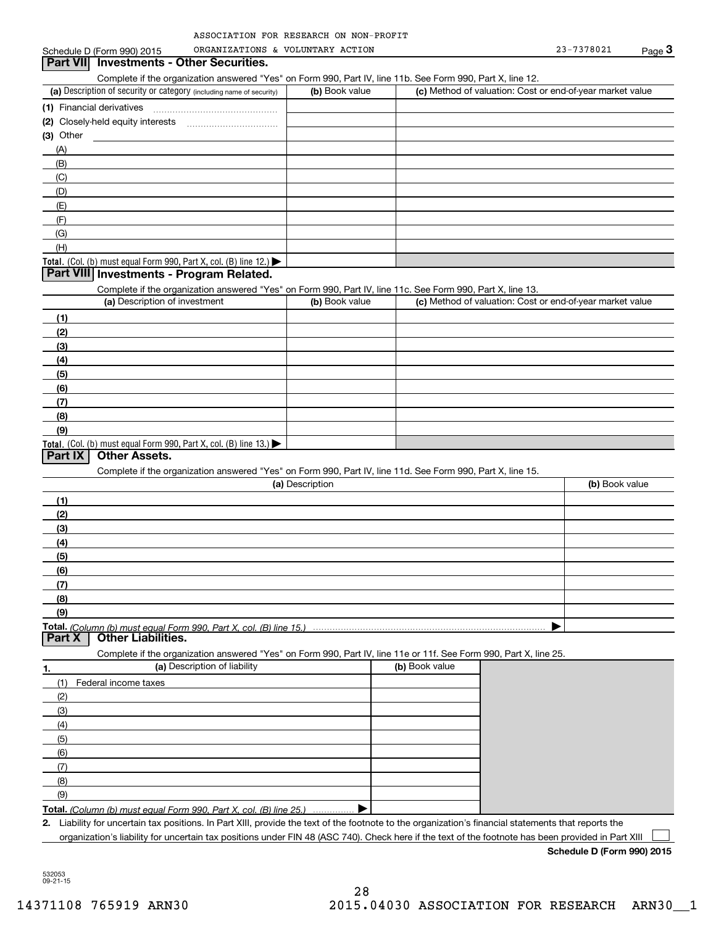| ASSOCIATION FOR RESEARCH ON NON-PROFIT |  |  |
|----------------------------------------|--|--|
|                                        |  |  |

| Schedule D (Form 990) 2015                                                                                                                           | ORGANIZATIONS & VOLUNTARY ACTION |                | 23-7378021<br>Page 3                                      |
|------------------------------------------------------------------------------------------------------------------------------------------------------|----------------------------------|----------------|-----------------------------------------------------------|
| <b>Investments - Other Securities.</b><br><b>Part VIII</b>                                                                                           |                                  |                |                                                           |
| Complete if the organization answered "Yes" on Form 990, Part IV, line 11b. See Form 990, Part X, line 12.                                           |                                  |                |                                                           |
| (a) Description of security or category (including name of security)                                                                                 | (b) Book value                   |                | (c) Method of valuation: Cost or end-of-year market value |
| (1) Financial derivatives                                                                                                                            |                                  |                |                                                           |
| (2) Closely-held equity interests                                                                                                                    |                                  |                |                                                           |
| (3) Other                                                                                                                                            |                                  |                |                                                           |
| (A)                                                                                                                                                  |                                  |                |                                                           |
| (B)                                                                                                                                                  |                                  |                |                                                           |
| (C)                                                                                                                                                  |                                  |                |                                                           |
| (D)                                                                                                                                                  |                                  |                |                                                           |
| (E)                                                                                                                                                  |                                  |                |                                                           |
| (F)                                                                                                                                                  |                                  |                |                                                           |
| (G)                                                                                                                                                  |                                  |                |                                                           |
| (H)                                                                                                                                                  |                                  |                |                                                           |
| Total. (Col. (b) must equal Form 990, Part X, col. (B) line 12.)                                                                                     |                                  |                |                                                           |
| Part VIII Investments - Program Related.                                                                                                             |                                  |                |                                                           |
| Complete if the organization answered "Yes" on Form 990, Part IV, line 11c. See Form 990, Part X, line 13.                                           |                                  |                |                                                           |
| (a) Description of investment                                                                                                                        | (b) Book value                   |                | (c) Method of valuation: Cost or end-of-year market value |
| (1)                                                                                                                                                  |                                  |                |                                                           |
| (2)                                                                                                                                                  |                                  |                |                                                           |
| (3)                                                                                                                                                  |                                  |                |                                                           |
| (4)                                                                                                                                                  |                                  |                |                                                           |
| (5)                                                                                                                                                  |                                  |                |                                                           |
| (6)                                                                                                                                                  |                                  |                |                                                           |
| (7)                                                                                                                                                  |                                  |                |                                                           |
| (8)                                                                                                                                                  |                                  |                |                                                           |
| (9)                                                                                                                                                  |                                  |                |                                                           |
| Total. (Col. (b) must equal Form 990, Part X, col. (B) line 13.)                                                                                     |                                  |                |                                                           |
| <b>Other Assets.</b><br>Part IX                                                                                                                      |                                  |                |                                                           |
| Complete if the organization answered "Yes" on Form 990, Part IV, line 11d. See Form 990, Part X, line 15.                                           |                                  |                |                                                           |
|                                                                                                                                                      | (a) Description                  |                | (b) Book value                                            |
| (1)                                                                                                                                                  |                                  |                |                                                           |
| (2)                                                                                                                                                  |                                  |                |                                                           |
| (3)                                                                                                                                                  |                                  |                |                                                           |
| (4)                                                                                                                                                  |                                  |                |                                                           |
| (5)                                                                                                                                                  |                                  |                |                                                           |
| (6)                                                                                                                                                  |                                  |                |                                                           |
| (7)                                                                                                                                                  |                                  |                |                                                           |
| (8)                                                                                                                                                  |                                  |                |                                                           |
| (9)                                                                                                                                                  |                                  |                |                                                           |
|                                                                                                                                                      |                                  |                |                                                           |
| <b>Other Liabilities.</b><br>Part X                                                                                                                  |                                  |                |                                                           |
| Complete if the organization answered "Yes" on Form 990, Part IV, line 11e or 11f. See Form 990, Part X, line 25.                                    |                                  |                |                                                           |
| (a) Description of liability<br>1.                                                                                                                   |                                  | (b) Book value |                                                           |
| Federal income taxes<br>(1)                                                                                                                          |                                  |                |                                                           |
| (2)                                                                                                                                                  |                                  |                |                                                           |
| (3)                                                                                                                                                  |                                  |                |                                                           |
| (4)                                                                                                                                                  |                                  |                |                                                           |
| (5)                                                                                                                                                  |                                  |                |                                                           |
| (6)                                                                                                                                                  |                                  |                |                                                           |
| (7)                                                                                                                                                  |                                  |                |                                                           |
| (8)                                                                                                                                                  |                                  |                |                                                           |
| (9)                                                                                                                                                  |                                  |                |                                                           |
| Total. (Column (b) must equal Form 990, Part X, col. (B) line 25.)                                                                                   |                                  |                |                                                           |
| 2. Liability for uncertain tax positions. In Part XIII, provide the text of the footnote to the organization's financial statements that reports the |                                  |                |                                                           |
| organization's liability for uncertain tax positions under FIN 48 (ASC 740). Check here if the text of the footnote has been provided in Part XIII   |                                  |                |                                                           |

**Schedule D (Form 990) 2015**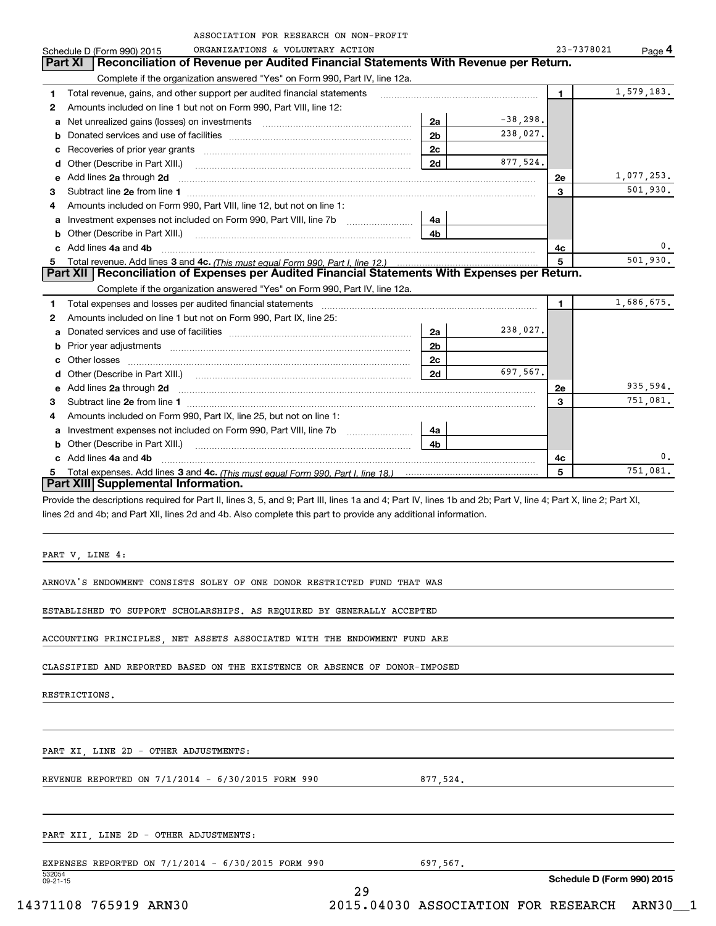|                    | ORGANIZATIONS & VOLUNTARY ACTION<br>Schedule D (Form 990) 2015                                                                                                                                                                 |                |            | 23-7378021                 | Page 4     |
|--------------------|--------------------------------------------------------------------------------------------------------------------------------------------------------------------------------------------------------------------------------|----------------|------------|----------------------------|------------|
|                    | Reconciliation of Revenue per Audited Financial Statements With Revenue per Return.<br>Part XI                                                                                                                                 |                |            |                            |            |
|                    | Complete if the organization answered "Yes" on Form 990, Part IV, line 12a.                                                                                                                                                    |                |            |                            |            |
| 1                  | Total revenue, gains, and other support per audited financial statements                                                                                                                                                       |                |            | $\blacksquare$             | 1,579,183. |
| 2                  | Amounts included on line 1 but not on Form 990, Part VIII, line 12:                                                                                                                                                            |                |            |                            |            |
| а                  |                                                                                                                                                                                                                                | 2a             | $-38,298.$ |                            |            |
| b                  |                                                                                                                                                                                                                                | 2 <sub>b</sub> | 238,027.   |                            |            |
| c                  | Recoveries of prior year grants [111] Martin Marcoveries of prior year grants [11] Martin Marcoveries of prior                                                                                                                 | 2c             |            |                            |            |
|                    |                                                                                                                                                                                                                                | 2d             | 877,524.   |                            |            |
|                    | e Add lines 2a through 2d                                                                                                                                                                                                      |                |            | 2e                         | 1,077,253. |
| з                  |                                                                                                                                                                                                                                |                |            | 3                          | 501,930.   |
| 4                  | Amounts included on Form 990, Part VIII, line 12, but not on line 1:                                                                                                                                                           |                |            |                            |            |
| a                  | Investment expenses not included on Form 990, Part VIII, line 7b                                                                                                                                                               | 4a             |            |                            |            |
|                    |                                                                                                                                                                                                                                | 4b             |            |                            |            |
|                    | c Add lines 4a and 4b                                                                                                                                                                                                          |                |            | 4c                         | 0.         |
| 5                  |                                                                                                                                                                                                                                |                |            | 5                          | 501,930.   |
|                    | Part XII   Reconciliation of Expenses per Audited Financial Statements With Expenses per Return.                                                                                                                               |                |            |                            |            |
|                    | Complete if the organization answered "Yes" on Form 990, Part IV, line 12a.                                                                                                                                                    |                |            |                            |            |
| 1                  | Total expenses and losses per audited financial statements [11] [12] manuscription control expenses and losses per audited financial statements [12] manuscription of the statements [12] manuscription of the statements [12] |                |            | $\mathbf{1}$               | 1,686,675. |
| 2                  | Amounts included on line 1 but not on Form 990, Part IX, line 25:                                                                                                                                                              |                |            |                            |            |
| а                  |                                                                                                                                                                                                                                | 2a             | 238,027.   |                            |            |
| b                  |                                                                                                                                                                                                                                | 2 <sub>b</sub> |            |                            |            |
|                    |                                                                                                                                                                                                                                | 2c             |            |                            |            |
|                    |                                                                                                                                                                                                                                | 2d             | 697,567.   |                            |            |
|                    |                                                                                                                                                                                                                                |                |            | <b>2e</b>                  | 935,594.   |
| з                  |                                                                                                                                                                                                                                |                |            | 3                          | 751,081.   |
| 4                  | Amounts included on Form 990, Part IX, line 25, but not on line 1:                                                                                                                                                             |                |            |                            |            |
| a                  | Investment expenses not included on Form 990, Part VIII, line 7b [ <i>[[[[[[[[[[[[]]]]</i>                                                                                                                                     | 4a             |            |                            |            |
|                    |                                                                                                                                                                                                                                | 4b             |            |                            |            |
|                    | c Add lines 4a and 4b                                                                                                                                                                                                          |                |            | 4c                         | 0.         |
|                    |                                                                                                                                                                                                                                |                |            | 5                          | 751,081.   |
|                    | <b>Part XIII</b> Supplemental Information.                                                                                                                                                                                     |                |            |                            |            |
|                    | Provide the descriptions required for Part II, lines 3, 5, and 9; Part III, lines 1a and 4; Part IV, lines 1b and 2b; Part V, line 4; Part X, line 2; Part XI,                                                                 |                |            |                            |            |
|                    | lines 2d and 4b; and Part XII, lines 2d and 4b. Also complete this part to provide any additional information.                                                                                                                 |                |            |                            |            |
|                    |                                                                                                                                                                                                                                |                |            |                            |            |
|                    |                                                                                                                                                                                                                                |                |            |                            |            |
|                    | PART V, LINE 4:                                                                                                                                                                                                                |                |            |                            |            |
|                    | ARNOVA'S ENDOWMENT CONSISTS SOLEY OF ONE DONOR RESTRICTED FUND THAT WAS                                                                                                                                                        |                |            |                            |            |
|                    |                                                                                                                                                                                                                                |                |            |                            |            |
|                    | ESTABLISHED TO SUPPORT SCHOLARSHIPS. AS REQUIRED BY GENERALLY ACCEPTED                                                                                                                                                         |                |            |                            |            |
|                    |                                                                                                                                                                                                                                |                |            |                            |            |
|                    | ACCOUNTING PRINCIPLES, NET ASSETS ASSOCIATED WITH THE ENDOWMENT FUND ARE                                                                                                                                                       |                |            |                            |            |
|                    |                                                                                                                                                                                                                                |                |            |                            |            |
|                    | CLASSIFIED AND REPORTED BASED ON THE EXISTENCE OR ABSENCE OF DONOR-IMPOSED                                                                                                                                                     |                |            |                            |            |
|                    |                                                                                                                                                                                                                                |                |            |                            |            |
|                    | RESTRICTIONS.                                                                                                                                                                                                                  |                |            |                            |            |
|                    |                                                                                                                                                                                                                                |                |            |                            |            |
|                    |                                                                                                                                                                                                                                |                |            |                            |            |
|                    |                                                                                                                                                                                                                                |                |            |                            |            |
|                    | PART XI, LINE 2D - OTHER ADJUSTMENTS:                                                                                                                                                                                          |                |            |                            |            |
|                    |                                                                                                                                                                                                                                |                |            |                            |            |
|                    | REVENUE REPORTED ON 7/1/2014 - 6/30/2015 FORM 990                                                                                                                                                                              | 877,524.       |            |                            |            |
|                    |                                                                                                                                                                                                                                |                |            |                            |            |
|                    |                                                                                                                                                                                                                                |                |            |                            |            |
|                    |                                                                                                                                                                                                                                |                |            |                            |            |
|                    | PART XII, LINE 2D - OTHER ADJUSTMENTS:                                                                                                                                                                                         |                |            |                            |            |
|                    |                                                                                                                                                                                                                                |                |            |                            |            |
|                    | EXPENSES REPORTED ON 7/1/2014 - 6/30/2015 FORM 990                                                                                                                                                                             | 697,567.       |            |                            |            |
| 532054<br>09-21-15 |                                                                                                                                                                                                                                |                |            | Schedule D (Form 990) 2015 |            |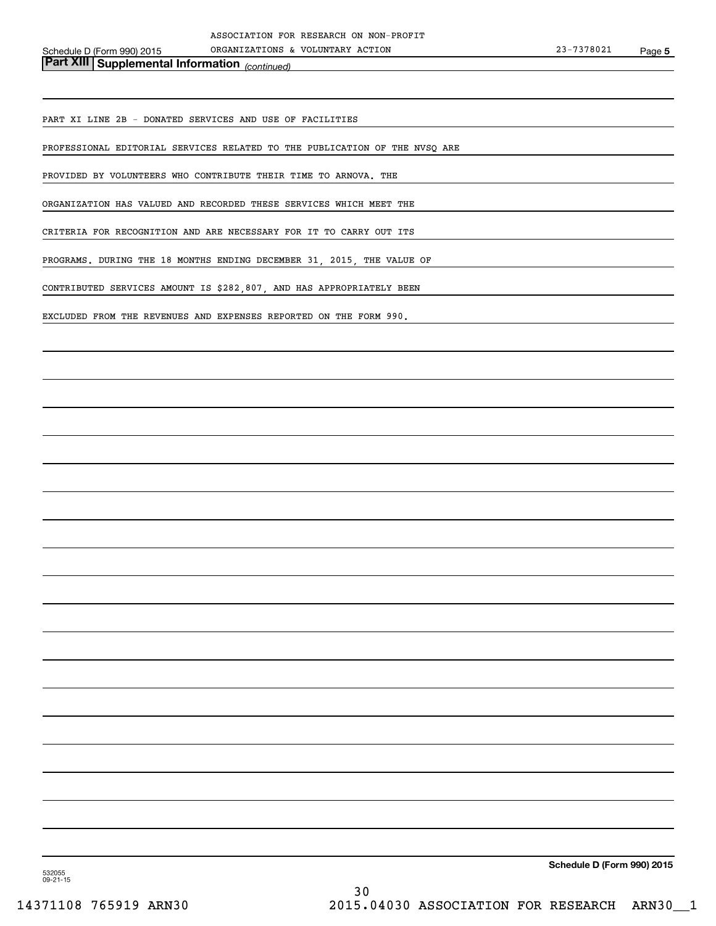*(continued)* **Part XIII Supplemental Information** 

PART XI LINE 2B - DONATED SERVICES AND USE OF FACILITIES

PROFESSIONAL EDITORIAL SERVICES RELATED TO THE PUBLICATION OF THE NVSQ ARE

PROVIDED BY VOLUNTEERS WHO CONTRIBUTE THEIR TIME TO ARNOVA. THE

ORGANIZATION HAS VALUED AND RECORDED THESE SERVICES WHICH MEET THE

CRITERIA FOR RECOGNITION AND ARE NECESSARY FOR IT TO CARRY OUT ITS

PROGRAMS. DURING THE 18 MONTHS ENDING DECEMBER 31, 2015, THE VALUE OF

CONTRIBUTED SERVICES AMOUNT IS \$282,807, AND HAS APPROPRIATELY BEEN

EXCLUDED FROM THE REVENUES AND EXPENSES REPORTED ON THE FORM 990.

**Schedule D (Form 990) 2015**

532055 09-21-15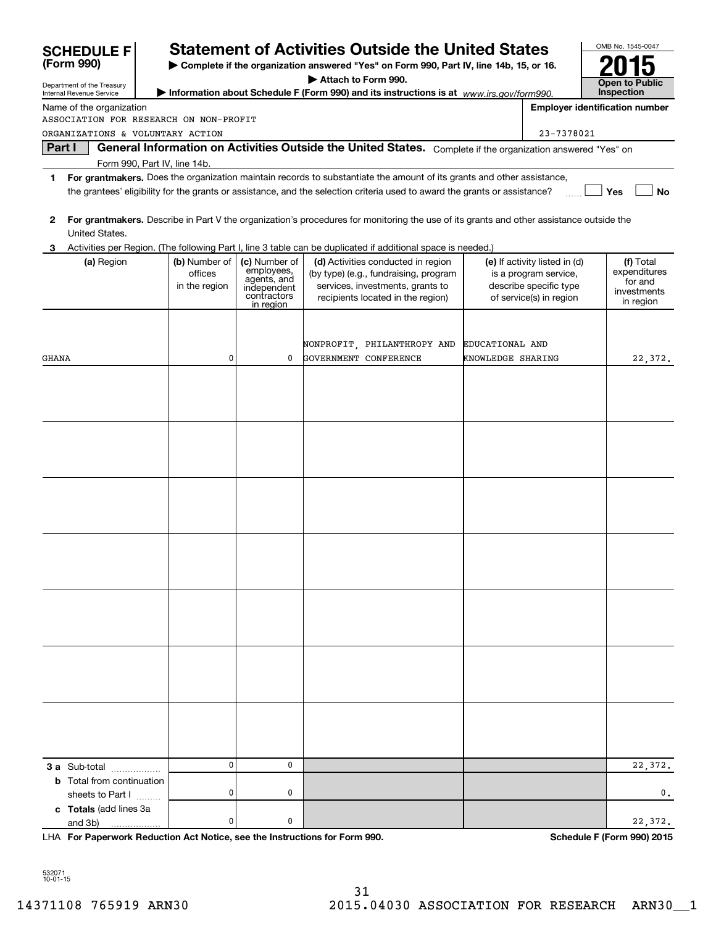|        | <b>SCHEDULE F</b><br>(Form 990)                        |                                           |                                                                                       | <b>Statement of Activities Outside the United States</b><br>Complete if the organization answered "Yes" on Form 990, Part IV, line 14b, 15, or 16.   |                   |                                                                                                             | OMB No. 1545-0047                                                |
|--------|--------------------------------------------------------|-------------------------------------------|---------------------------------------------------------------------------------------|------------------------------------------------------------------------------------------------------------------------------------------------------|-------------------|-------------------------------------------------------------------------------------------------------------|------------------------------------------------------------------|
|        |                                                        |                                           |                                                                                       | Attach to Form 990.                                                                                                                                  |                   |                                                                                                             |                                                                  |
|        | Department of the Treasury<br>Internal Revenue Service |                                           |                                                                                       | Information about Schedule F (Form 990) and its instructions is at www.irs.gov/form990.                                                              |                   |                                                                                                             | Open to Public<br><b>Inspection</b>                              |
|        | Name of the organization                               |                                           |                                                                                       |                                                                                                                                                      |                   |                                                                                                             | <b>Employer identification number</b>                            |
|        | ASSOCIATION FOR RESEARCH ON NON-PROFIT                 |                                           |                                                                                       |                                                                                                                                                      |                   |                                                                                                             |                                                                  |
| Part I | ORGANIZATIONS & VOLUNTARY ACTION                       |                                           |                                                                                       | General Information on Activities Outside the United States. Complete if the organization answered "Yes" on                                          |                   | 23-7378021                                                                                                  |                                                                  |
|        | Form 990, Part IV, line 14b.                           |                                           |                                                                                       |                                                                                                                                                      |                   |                                                                                                             |                                                                  |
| 1      |                                                        |                                           |                                                                                       | For grantmakers. Does the organization maintain records to substantiate the amount of its grants and other assistance,                               |                   |                                                                                                             |                                                                  |
|        |                                                        |                                           |                                                                                       | the grantees' eligibility for the grants or assistance, and the selection criteria used to award the grants or assistance?                           |                   |                                                                                                             | Yes<br><b>No</b>                                                 |
| 2      | United States.                                         |                                           |                                                                                       | For grantmakers. Describe in Part V the organization's procedures for monitoring the use of its grants and other assistance outside the              |                   |                                                                                                             |                                                                  |
| 3      |                                                        |                                           |                                                                                       | Activities per Region. (The following Part I, line 3 table can be duplicated if additional space is needed.)                                         |                   |                                                                                                             |                                                                  |
|        | (a) Region                                             | (b) Number of<br>offices<br>in the region | (c) Number of<br>employees,<br>agents, and<br>independent<br>contractors<br>in region | (d) Activities conducted in region<br>(by type) (e.g., fundraising, program<br>services, investments, grants to<br>recipients located in the region) |                   | (e) If activity listed in (d)<br>is a program service,<br>describe specific type<br>of service(s) in region | (f) Total<br>expenditures<br>for and<br>investments<br>in region |
|        |                                                        |                                           |                                                                                       | NONPROFIT, PHILANTHROPY AND                                                                                                                          | EDUCATIONAL AND   |                                                                                                             |                                                                  |
| GHANA  |                                                        | 0                                         | 0                                                                                     | GOVERNMENT CONFERENCE                                                                                                                                | KNOWLEDGE SHARING |                                                                                                             | 22,372.                                                          |
|        |                                                        |                                           |                                                                                       |                                                                                                                                                      |                   |                                                                                                             |                                                                  |
|        |                                                        |                                           |                                                                                       |                                                                                                                                                      |                   |                                                                                                             |                                                                  |
|        |                                                        |                                           |                                                                                       |                                                                                                                                                      |                   |                                                                                                             |                                                                  |
|        |                                                        |                                           |                                                                                       |                                                                                                                                                      |                   |                                                                                                             |                                                                  |
|        |                                                        |                                           |                                                                                       |                                                                                                                                                      |                   |                                                                                                             |                                                                  |
|        |                                                        |                                           |                                                                                       |                                                                                                                                                      |                   |                                                                                                             |                                                                  |
|        |                                                        |                                           |                                                                                       |                                                                                                                                                      |                   |                                                                                                             |                                                                  |
|        | 3 a Sub-total                                          | 0                                         | 0                                                                                     |                                                                                                                                                      |                   |                                                                                                             | 22,372.                                                          |
|        | <b>b</b> Total from continuation<br>sheets to Part I   | 0                                         | 0                                                                                     |                                                                                                                                                      |                   |                                                                                                             | 0.                                                               |
|        | c Totals (add lines 3a<br>and 3b)                      | 0                                         | 0                                                                                     |                                                                                                                                                      |                   |                                                                                                             | 22,372.                                                          |

**For Paperwork Reduction Act Notice, see the Instructions for Form 990. Schedule F (Form 990) 2015** LHA

532071 10-01-15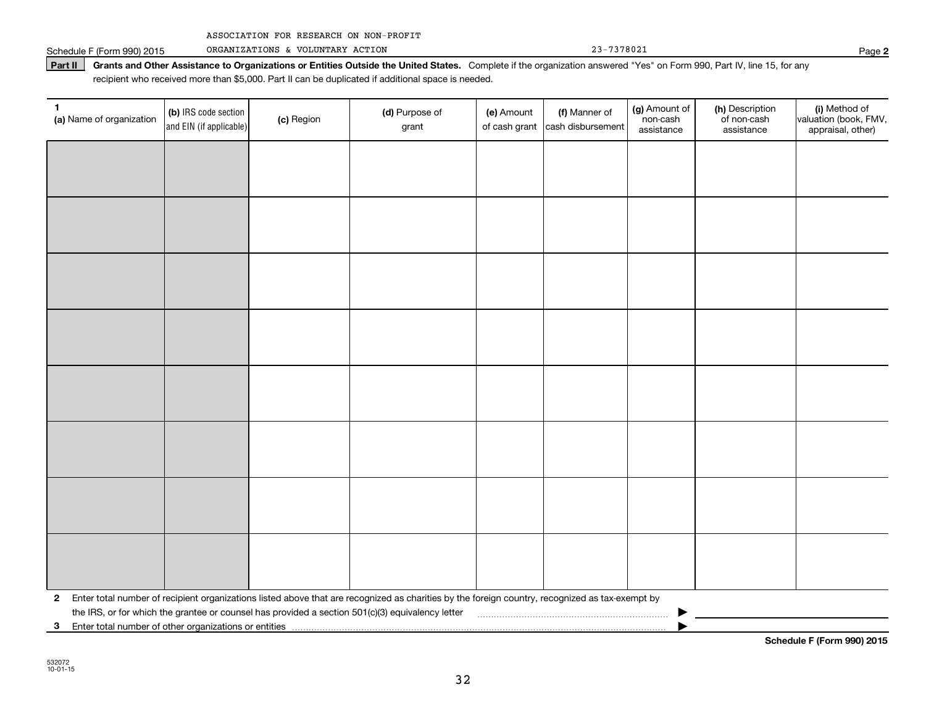Schedule F (Form 990) 2015 Page ORGANIZATIONS & VOLUNTARY ACTION 23-7378021

Part II | Grants and Other Assistance to Organizations or Entities Outside the United States. Complete if the organization answered "Yes" on Form 990, Part IV, line 15, for any recipient who received more than \$5,000. Part II can be duplicated if additional space is needed.

| 1<br>(a) Name of organization                                                                                                                                                                                                                                       | (b) IRS code section<br>and EIN (if applicable) | (c) Region | (d) Purpose of<br>grant | (e) Amount<br>of cash grant | (f) Manner of<br>cash disbursement | (g) Amount of<br>non-cash<br>assistance | (h) Description<br>of non-cash<br>assistance | (i) Method of<br>valuation (book, FMV,<br>appraisal, other) |
|---------------------------------------------------------------------------------------------------------------------------------------------------------------------------------------------------------------------------------------------------------------------|-------------------------------------------------|------------|-------------------------|-----------------------------|------------------------------------|-----------------------------------------|----------------------------------------------|-------------------------------------------------------------|
|                                                                                                                                                                                                                                                                     |                                                 |            |                         |                             |                                    |                                         |                                              |                                                             |
|                                                                                                                                                                                                                                                                     |                                                 |            |                         |                             |                                    |                                         |                                              |                                                             |
|                                                                                                                                                                                                                                                                     |                                                 |            |                         |                             |                                    |                                         |                                              |                                                             |
|                                                                                                                                                                                                                                                                     |                                                 |            |                         |                             |                                    |                                         |                                              |                                                             |
|                                                                                                                                                                                                                                                                     |                                                 |            |                         |                             |                                    |                                         |                                              |                                                             |
|                                                                                                                                                                                                                                                                     |                                                 |            |                         |                             |                                    |                                         |                                              |                                                             |
|                                                                                                                                                                                                                                                                     |                                                 |            |                         |                             |                                    |                                         |                                              |                                                             |
|                                                                                                                                                                                                                                                                     |                                                 |            |                         |                             |                                    |                                         |                                              |                                                             |
|                                                                                                                                                                                                                                                                     |                                                 |            |                         |                             |                                    |                                         |                                              |                                                             |
|                                                                                                                                                                                                                                                                     |                                                 |            |                         |                             |                                    |                                         |                                              |                                                             |
|                                                                                                                                                                                                                                                                     |                                                 |            |                         |                             |                                    |                                         |                                              |                                                             |
|                                                                                                                                                                                                                                                                     |                                                 |            |                         |                             |                                    |                                         |                                              |                                                             |
|                                                                                                                                                                                                                                                                     |                                                 |            |                         |                             |                                    |                                         |                                              |                                                             |
|                                                                                                                                                                                                                                                                     |                                                 |            |                         |                             |                                    |                                         |                                              |                                                             |
|                                                                                                                                                                                                                                                                     |                                                 |            |                         |                             |                                    |                                         |                                              |                                                             |
|                                                                                                                                                                                                                                                                     |                                                 |            |                         |                             |                                    |                                         |                                              |                                                             |
| Enter total number of recipient organizations listed above that are recognized as charities by the foreign country, recognized as tax-exempt by<br>$\mathbf{2}$<br>the IRS, or for which the grantee or counsel has provided a section 501(c)(3) equivalency letter |                                                 |            |                         |                             |                                    |                                         |                                              |                                                             |
| 3 Enter total number of other organizations or entities                                                                                                                                                                                                             |                                                 |            |                         |                             |                                    |                                         |                                              |                                                             |

**2**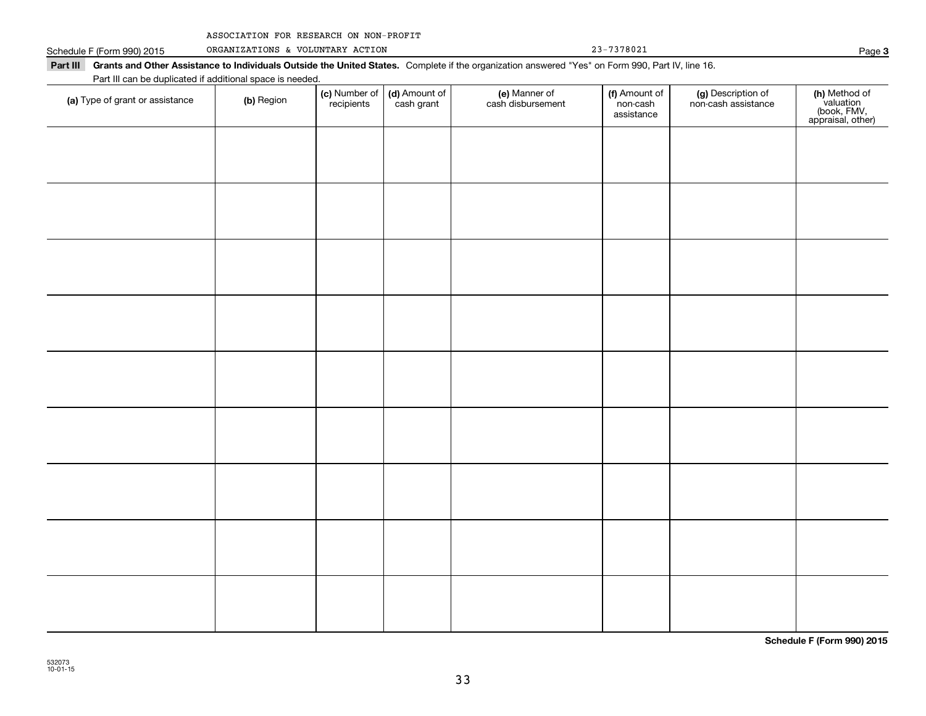| ASSOCIATION FOR RESEARCH ON NON-PROFIT |  |  |  |  |
|----------------------------------------|--|--|--|--|
|----------------------------------------|--|--|--|--|

Schedule F (Form 990) 2015 Page ORGANIZATIONS & VOLUNTARY ACTION 23-7378021

| Part III Grants and Other Assistance to Individuals Outside the United States. Complete if the organization answered "Yes" on Form 990, Part IV, line 16.<br>Part III can be duplicated if additional space is needed. |            |                             |                             |                                    |                                         |                                           |                                                                |
|------------------------------------------------------------------------------------------------------------------------------------------------------------------------------------------------------------------------|------------|-----------------------------|-----------------------------|------------------------------------|-----------------------------------------|-------------------------------------------|----------------------------------------------------------------|
| (a) Type of grant or assistance                                                                                                                                                                                        | (b) Region | (c) Number of<br>recipients | (d) Amount of<br>cash grant | (e) Manner of<br>cash disbursement | (f) Amount of<br>non-cash<br>assistance | (g) Description of<br>non-cash assistance | (h) Method of<br>valuation<br>(book, FMV,<br>appraisal, other) |
|                                                                                                                                                                                                                        |            |                             |                             |                                    |                                         |                                           |                                                                |
|                                                                                                                                                                                                                        |            |                             |                             |                                    |                                         |                                           |                                                                |
|                                                                                                                                                                                                                        |            |                             |                             |                                    |                                         |                                           |                                                                |
|                                                                                                                                                                                                                        |            |                             |                             |                                    |                                         |                                           |                                                                |
|                                                                                                                                                                                                                        |            |                             |                             |                                    |                                         |                                           |                                                                |
|                                                                                                                                                                                                                        |            |                             |                             |                                    |                                         |                                           |                                                                |
|                                                                                                                                                                                                                        |            |                             |                             |                                    |                                         |                                           |                                                                |
|                                                                                                                                                                                                                        |            |                             |                             |                                    |                                         |                                           |                                                                |
|                                                                                                                                                                                                                        |            |                             |                             |                                    |                                         |                                           |                                                                |
|                                                                                                                                                                                                                        |            |                             |                             |                                    |                                         |                                           |                                                                |

**Schedule F (Form 990) 2015**

**3**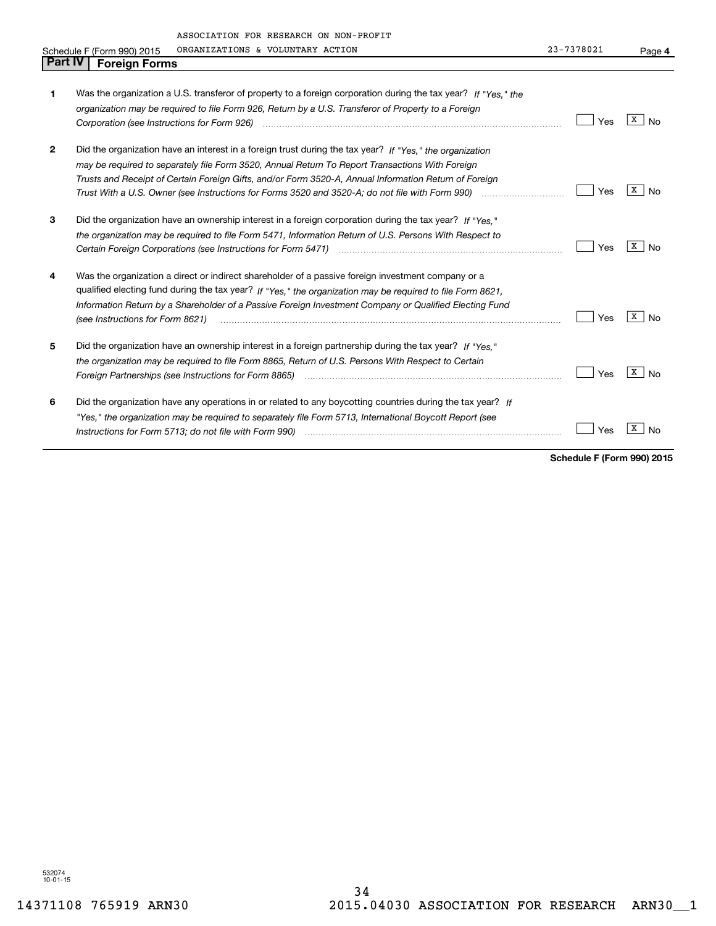|              | ASSOCIATION FOR RESEARCH ON NON-PROFIT                                                                          |            |                    |
|--------------|-----------------------------------------------------------------------------------------------------------------|------------|--------------------|
|              | ORGANIZATIONS & VOLUNTARY ACTION<br>Schedule F (Form 990) 2015                                                  | 23-7378021 | Page 4             |
|              | Part IV<br><b>Foreign Forms</b>                                                                                 |            |                    |
|              |                                                                                                                 |            |                    |
| 1            | Was the organization a U.S. transferor of property to a foreign corporation during the tax year? If "Yes," the  |            |                    |
|              | organization may be required to file Form 926, Return by a U.S. Transferor of Property to a Foreign             |            |                    |
|              | Corporation (see Instructions for Form 926) manufactured contract the control of the control of the control of  | Yes        | X<br>No            |
|              |                                                                                                                 |            |                    |
| $\mathbf{2}$ | Did the organization have an interest in a foreign trust during the tax year? If "Yes," the organization        |            |                    |
|              | may be required to separately file Form 3520, Annual Return To Report Transactions With Foreign                 |            |                    |
|              | Trusts and Receipt of Certain Foreign Gifts, and/or Form 3520-A, Annual Information Return of Foreign           |            |                    |
|              | Trust With a U.S. Owner (see Instructions for Forms 3520 and 3520-A; do not file with Form 990) manual manual   | Yes        | X<br><b>No</b>     |
|              |                                                                                                                 |            |                    |
| 3            | Did the organization have an ownership interest in a foreign corporation during the tax year? If "Yes."         |            |                    |
|              | the organization may be required to file Form 5471, Information Return of U.S. Persons With Respect to          |            |                    |
|              | Certain Foreign Corporations (see Instructions for Form 5471) manufactured controller controller controller to  | Yes        | X<br>No            |
|              |                                                                                                                 |            |                    |
| 4            | Was the organization a direct or indirect shareholder of a passive foreign investment company or a              |            |                    |
|              | qualified electing fund during the tax year? If "Yes," the organization may be required to file Form 8621,      |            |                    |
|              | Information Return by a Shareholder of a Passive Foreign Investment Company or Qualified Electing Fund          |            |                    |
|              | (see Instructions for Form 8621)                                                                                | Yes        | x  <br><b>No</b>   |
| 5            | Did the organization have an ownership interest in a foreign partnership during the tax year? If "Yes."         |            |                    |
|              |                                                                                                                 |            |                    |
|              | the organization may be required to file Form 8865, Return of U.S. Persons With Respect to Certain              | Yes        | $\mathbf{x}$<br>No |
|              |                                                                                                                 |            |                    |
| 6            | Did the organization have any operations in or related to any boycotting countries during the tax year? If      |            |                    |
|              | "Yes," the organization may be required to separately file Form 5713, International Boycott Report (see         |            |                    |
|              | Instructions for Form 5713; do not file with Form 990) manufactured contains an according to the control of the | Yes        | X<br>No            |

**Schedule F (Form 990) 2015**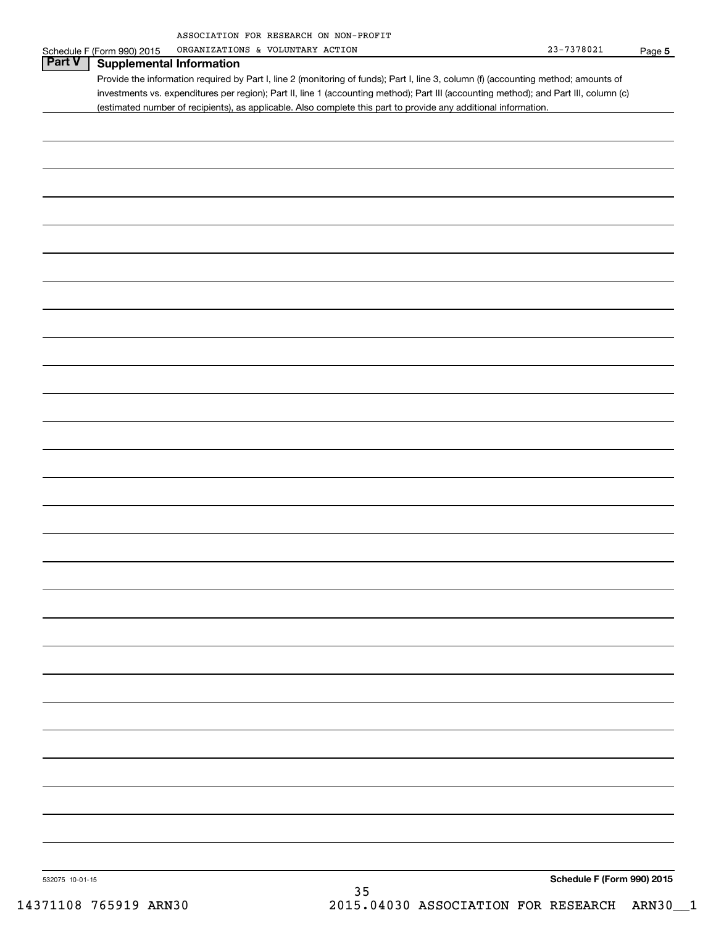| ASSOCIATION FOR RESEARCH ON NON-PROFIT |  |  |
|----------------------------------------|--|--|
|                                        |  |  |

|                 | Schedule F (Form 990) 2015<br>ORGANIZATIONS & VOLUNTARY ACTION                                                                        | 23-7378021                 | Page 5 |
|-----------------|---------------------------------------------------------------------------------------------------------------------------------------|----------------------------|--------|
| Part V          | <b>Supplemental Information</b>                                                                                                       |                            |        |
|                 | Provide the information required by Part I, line 2 (monitoring of funds); Part I, line 3, column (f) (accounting method; amounts of   |                            |        |
|                 | investments vs. expenditures per region); Part II, line 1 (accounting method); Part III (accounting method); and Part III, column (c) |                            |        |
|                 | (estimated number of recipients), as applicable. Also complete this part to provide any additional information.                       |                            |        |
|                 |                                                                                                                                       |                            |        |
|                 |                                                                                                                                       |                            |        |
|                 |                                                                                                                                       |                            |        |
|                 |                                                                                                                                       |                            |        |
|                 |                                                                                                                                       |                            |        |
|                 |                                                                                                                                       |                            |        |
|                 |                                                                                                                                       |                            |        |
|                 |                                                                                                                                       |                            |        |
|                 |                                                                                                                                       |                            |        |
|                 |                                                                                                                                       |                            |        |
|                 |                                                                                                                                       |                            |        |
|                 |                                                                                                                                       |                            |        |
|                 |                                                                                                                                       |                            |        |
|                 |                                                                                                                                       |                            |        |
|                 |                                                                                                                                       |                            |        |
|                 |                                                                                                                                       |                            |        |
|                 |                                                                                                                                       |                            |        |
|                 |                                                                                                                                       |                            |        |
|                 |                                                                                                                                       |                            |        |
|                 |                                                                                                                                       |                            |        |
|                 |                                                                                                                                       |                            |        |
|                 |                                                                                                                                       |                            |        |
|                 |                                                                                                                                       |                            |        |
|                 |                                                                                                                                       |                            |        |
|                 |                                                                                                                                       |                            |        |
|                 |                                                                                                                                       |                            |        |
|                 |                                                                                                                                       |                            |        |
|                 |                                                                                                                                       |                            |        |
|                 |                                                                                                                                       |                            |        |
|                 |                                                                                                                                       |                            |        |
|                 |                                                                                                                                       |                            |        |
|                 |                                                                                                                                       |                            |        |
|                 |                                                                                                                                       |                            |        |
|                 |                                                                                                                                       |                            |        |
|                 |                                                                                                                                       |                            |        |
|                 |                                                                                                                                       |                            |        |
|                 |                                                                                                                                       |                            |        |
|                 |                                                                                                                                       |                            |        |
|                 |                                                                                                                                       |                            |        |
|                 |                                                                                                                                       |                            |        |
|                 |                                                                                                                                       |                            |        |
|                 |                                                                                                                                       |                            |        |
|                 |                                                                                                                                       |                            |        |
|                 |                                                                                                                                       |                            |        |
|                 |                                                                                                                                       |                            |        |
|                 |                                                                                                                                       |                            |        |
|                 |                                                                                                                                       |                            |        |
|                 |                                                                                                                                       |                            |        |
|                 |                                                                                                                                       |                            |        |
|                 |                                                                                                                                       |                            |        |
|                 |                                                                                                                                       |                            |        |
|                 |                                                                                                                                       |                            |        |
|                 |                                                                                                                                       |                            |        |
|                 |                                                                                                                                       |                            |        |
|                 |                                                                                                                                       |                            |        |
|                 |                                                                                                                                       |                            |        |
|                 |                                                                                                                                       |                            |        |
|                 |                                                                                                                                       |                            |        |
|                 |                                                                                                                                       |                            |        |
| 532075 10-01-15 |                                                                                                                                       | Schedule F (Form 990) 2015 |        |
|                 | 35                                                                                                                                    |                            |        |
|                 |                                                                                                                                       |                            |        |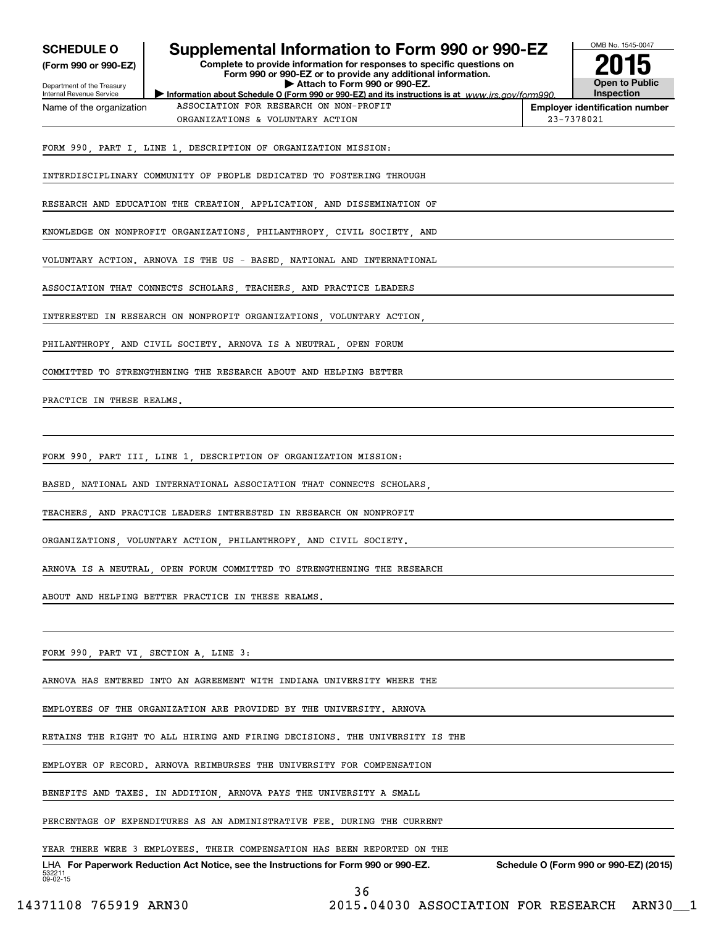| <b>SCHEDULE O</b><br>(Form 990 or 990-EZ)<br>Department of the Treasury | Supplemental Information to Form 990 or 990-EZ<br>Complete to provide information for responses to specific questions on<br>Form 990 or 990-EZ or to provide any additional information.<br>Attach to Form 990 or 990-EZ. | OMB No. 1545-0047<br><b>Open to Public</b>          |
|-------------------------------------------------------------------------|---------------------------------------------------------------------------------------------------------------------------------------------------------------------------------------------------------------------------|-----------------------------------------------------|
| Internal Revenue Service                                                | Information about Schedule O (Form 990 or 990-EZ) and its instructions is at $www.irs.gov/form990$ .<br>ASSOCIATION FOR RESEARCH ON NON-PROFIT                                                                            | <b>Inspection</b>                                   |
| Name of the organization                                                | ORGANIZATIONS & VOLUNTARY ACTION                                                                                                                                                                                          | <b>Employer identification number</b><br>23-7378021 |
|                                                                         | FORM 990, PART I, LINE 1, DESCRIPTION OF ORGANIZATION MISSION:                                                                                                                                                            |                                                     |
|                                                                         | INTERDISCIPLINARY COMMUNITY OF PEOPLE DEDICATED TO FOSTERING THROUGH                                                                                                                                                      |                                                     |
|                                                                         | RESEARCH AND EDUCATION THE CREATION, APPLICATION, AND DISSEMINATION OF                                                                                                                                                    |                                                     |
|                                                                         | KNOWLEDGE ON NONPROFIT ORGANIZATIONS, PHILANTHROPY, CIVIL SOCIETY, AND                                                                                                                                                    |                                                     |
|                                                                         | VOLUNTARY ACTION. ARNOVA IS THE US - BASED, NATIONAL AND INTERNATIONAL                                                                                                                                                    |                                                     |
|                                                                         | ASSOCIATION THAT CONNECTS SCHOLARS, TEACHERS, AND PRACTICE LEADERS                                                                                                                                                        |                                                     |
|                                                                         | INTERESTED IN RESEARCH ON NONPROFIT ORGANIZATIONS, VOLUNTARY ACTION,                                                                                                                                                      |                                                     |
|                                                                         | PHILANTHROPY, AND CIVIL SOCIETY. ARNOVA IS A NEUTRAL, OPEN FORUM                                                                                                                                                          |                                                     |
|                                                                         | COMMITTED TO STRENGTHENING THE RESEARCH ABOUT AND HELPING BETTER                                                                                                                                                          |                                                     |
| PRACTICE IN THESE REALMS.                                               |                                                                                                                                                                                                                           |                                                     |
|                                                                         |                                                                                                                                                                                                                           |                                                     |
|                                                                         | FORM 990, PART III, LINE 1, DESCRIPTION OF ORGANIZATION MISSION:                                                                                                                                                          |                                                     |
|                                                                         | BASED, NATIONAL AND INTERNATIONAL ASSOCIATION THAT CONNECTS SCHOLARS,                                                                                                                                                     |                                                     |
|                                                                         | TEACHERS, AND PRACTICE LEADERS INTERESTED IN RESEARCH ON NONPROFIT                                                                                                                                                        |                                                     |
|                                                                         | ORGANIZATIONS VOLUNTARY ACTION PHILANTHROPY AND CIVIL SOCIETY.                                                                                                                                                            |                                                     |
|                                                                         | ARNOVA IS A NEUTRAL, OPEN FORUM COMMITTED TO STRENGTHENING THE RESEARCH                                                                                                                                                   |                                                     |
|                                                                         | ABOUT AND HELPING BETTER PRACTICE IN THESE REALMS.                                                                                                                                                                        |                                                     |
|                                                                         |                                                                                                                                                                                                                           |                                                     |
|                                                                         | FORM 990, PART VI, SECTION A, LINE 3:                                                                                                                                                                                     |                                                     |
|                                                                         | ARNOVA HAS ENTERED INTO AN AGREEMENT WITH INDIANA UNIVERSITY WHERE THE                                                                                                                                                    |                                                     |
|                                                                         | EMPLOYEES OF THE ORGANIZATION ARE PROVIDED BY THE UNIVERSITY. ARNOVA                                                                                                                                                      |                                                     |
|                                                                         | RETAINS THE RIGHT TO ALL HIRING AND FIRING DECISIONS. THE UNIVERSITY IS THE                                                                                                                                               |                                                     |
|                                                                         | EMPLOYER OF RECORD. ARNOVA REIMBURSES THE UNIVERSITY FOR COMPENSATION                                                                                                                                                     |                                                     |
|                                                                         | BENEFITS AND TAXES. IN ADDITION, ARNOVA PAYS THE UNIVERSITY A SMALL                                                                                                                                                       |                                                     |
|                                                                         | PERCENTAGE OF EXPENDITURES AS AN ADMINISTRATIVE FEE. DURING THE CURRENT                                                                                                                                                   |                                                     |
|                                                                         | YEAR THERE WERE 3 EMPLOYEES. THEIR COMPENSATION HAS BEEN REPORTED ON THE                                                                                                                                                  |                                                     |
| 532211<br>09-02-15                                                      | LHA For Paperwork Reduction Act Notice, see the Instructions for Form 990 or 990-EZ.                                                                                                                                      | Schedule O (Form 990 or 990-EZ) (2015)              |

36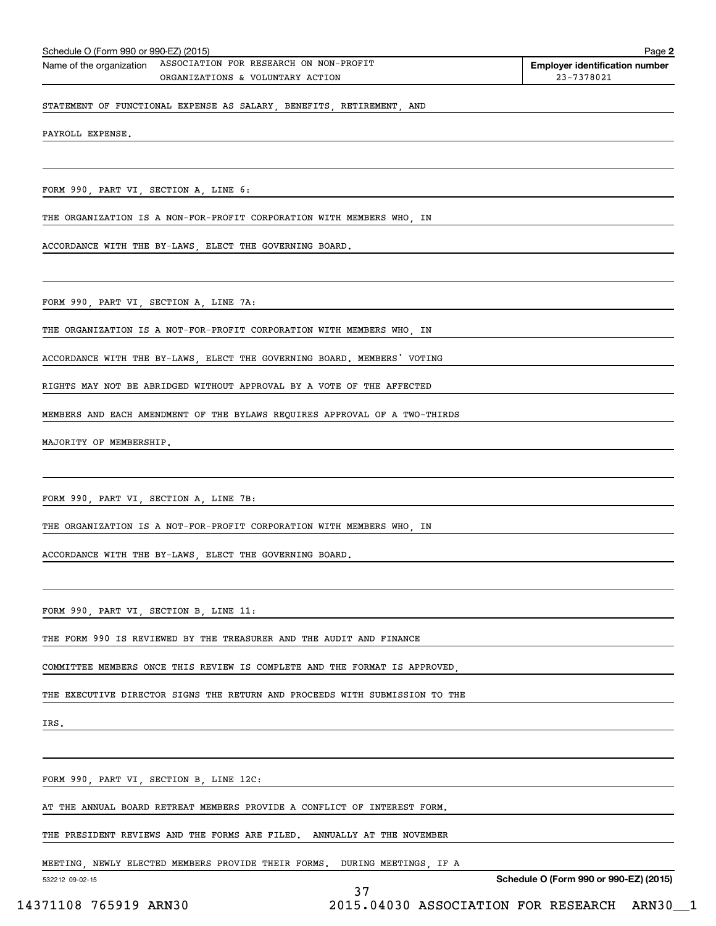| Schedule O (Form 990 or 990-EZ) (2015) |                                        | Page 2                                |
|----------------------------------------|----------------------------------------|---------------------------------------|
| Name of the organization               | ASSOCIATION FOR RESEARCH ON NON-PROFIT | <b>Employer identification number</b> |
|                                        | ORGANIZATIONS & VOLUNTARY ACTION       | 23-7378021                            |
|                                        |                                        |                                       |

STATEMENT OF FUNCTIONAL EXPENSE AS SALARY, BENEFITS, RETIREMENT, AND

PAYROLL EXPENSE.

FORM 990, PART VI, SECTION A, LINE 6:

THE ORGANIZATION IS A NON-FOR-PROFIT CORPORATION WITH MEMBERS WHO, IN

ACCORDANCE WITH THE BY-LAWS, ELECT THE GOVERNING BOARD.

FORM 990, PART VI, SECTION A, LINE 7A:

THE ORGANIZATION IS A NOT-FOR-PROFIT CORPORATION WITH MEMBERS WHO, IN

ACCORDANCE WITH THE BY-LAWS, ELECT THE GOVERNING BOARD. MEMBERS' VOTING

RIGHTS MAY NOT BE ABRIDGED WITHOUT APPROVAL BY A VOTE OF THE AFFECTED

MEMBERS AND EACH AMENDMENT OF THE BYLAWS REQUIRES APPROVAL OF A TWO-THIRDS

MAJORITY OF MEMBERSHIP.

FORM 990, PART VI, SECTION A, LINE 7B:

THE ORGANIZATION IS A NOT-FOR-PROFIT CORPORATION WITH MEMBERS WHO, IN

ACCORDANCE WITH THE BY-LAWS, ELECT THE GOVERNING BOARD.

FORM 990, PART VI, SECTION B, LINE 11:

THE FORM 990 IS REVIEWED BY THE TREASURER AND THE AUDIT AND FINANCE

COMMITTEE MEMBERS ONCE THIS REVIEW IS COMPLETE AND THE FORMAT IS APPROVED,

THE EXECUTIVE DIRECTOR SIGNS THE RETURN AND PROCEEDS WITH SUBMISSION TO THE

IRS.

FORM 990, PART VI, SECTION B, LINE 12C:

AT THE ANNUAL BOARD RETREAT MEMBERS PROVIDE A CONFLICT OF INTEREST FORM.

THE PRESIDENT REVIEWS AND THE FORMS ARE FILED. ANNUALLY AT THE NOVEMBER

MEETING, NEWLY ELECTED MEMBERS PROVIDE THEIR FORMS. DURING MEETINGS, IF A

37

532212 09-02-15

**Schedule O (Form 990 or 990-EZ) (2015)**